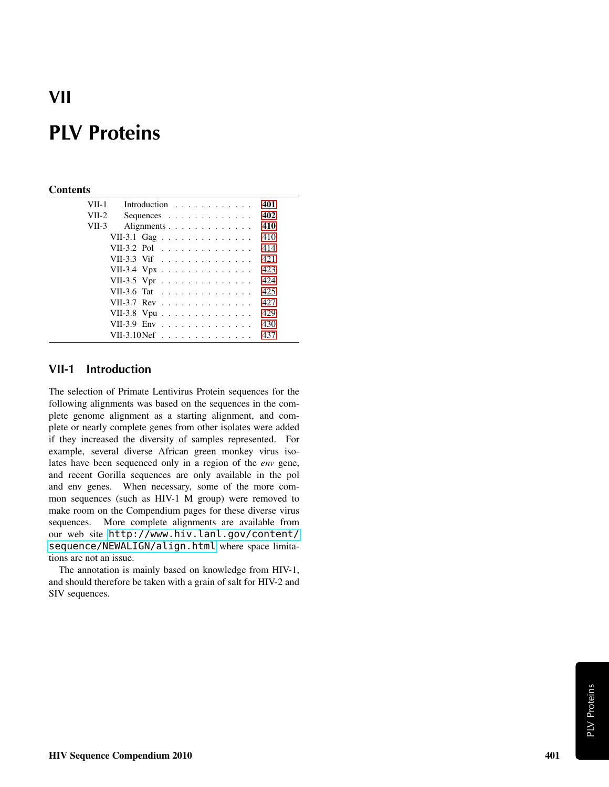# VII

# PLV Proteins

#### **Contents**

| VII-1   |                       | Introduction |  |  |  |  |  |  |  | 401  |
|---------|-----------------------|--------------|--|--|--|--|--|--|--|------|
| $VII-2$ |                       | Sequences    |  |  |  |  |  |  |  | 402  |
| VII-3   |                       | Alignments   |  |  |  |  |  |  |  | 410  |
|         | VII-3.1 Gag           |              |  |  |  |  |  |  |  | 410  |
|         | VII-3.2 Pol           |              |  |  |  |  |  |  |  | 414  |
|         | VII-3.3 Vif           |              |  |  |  |  |  |  |  | 42.1 |
|         | VII-3.4 Vpx           |              |  |  |  |  |  |  |  | 423  |
|         | VII-3.5 Vpr           |              |  |  |  |  |  |  |  | 424  |
|         | VII-3.6 Tat           |              |  |  |  |  |  |  |  | 425  |
|         | VII-3.7 Rev           |              |  |  |  |  |  |  |  | 427  |
|         | VII-3.8 Vpu           |              |  |  |  |  |  |  |  | 429  |
|         | VII-3.9 Env           |              |  |  |  |  |  |  |  | 430  |
|         | VII-3.10 Nef $\ldots$ |              |  |  |  |  |  |  |  | 437  |
|         |                       |              |  |  |  |  |  |  |  |      |

### <span id="page-0-0"></span>VII-1 Introduction

The selection of Primate Lentivirus Protein sequences for the following alignments was based on the sequences in the complete genome alignment as a starting alignment, and complete or nearly complete genes from other isolates were added if they increased the diversity of samples represented. For example, several diverse African green monkey virus isolates have been sequenced only in a region of the *env* gene, and recent Gorilla sequences are only available in the pol and env genes. When necessary, some of the more common sequences (such as HIV-1 M group) were removed to make room on the Compendium pages for these diverse virus sequences. More complete alignments are available from our web site [http://www.hiv.lanl.gov/content/](http://www.hiv.lanl.gov/content/sequence/NEWALIGN/align.html) [sequence/NEWALIGN/align.html](http://www.hiv.lanl.gov/content/sequence/NEWALIGN/align.html) where space limitations are not an issue.

The annotation is mainly based on knowledge from HIV-1, and should therefore be taken with a grain of salt for HIV-2 and SIV sequences.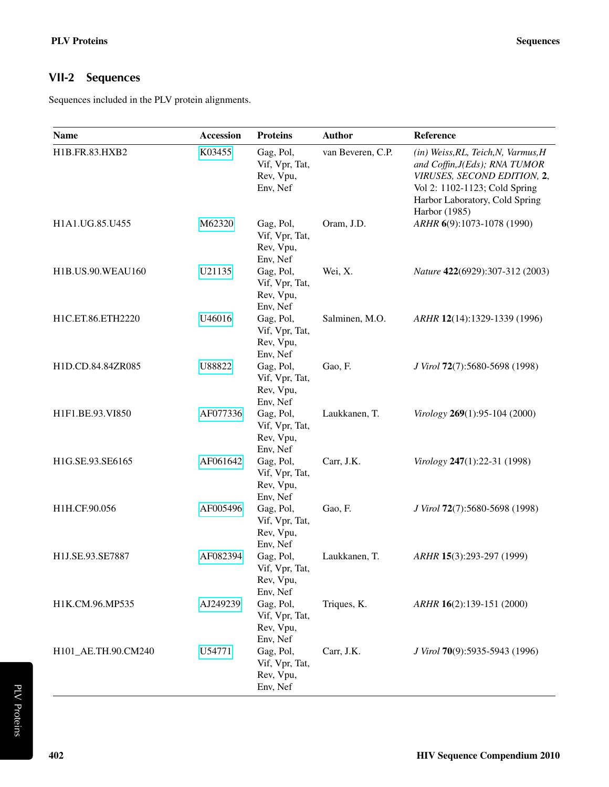## <span id="page-1-0"></span>VII-2 Sequences

Sequences included in the PLV protein alignments.

| <b>Name</b>              | <b>Accession</b> | <b>Proteins</b>                                                  | <b>Author</b>     | Reference                                                                                                                                                                               |
|--------------------------|------------------|------------------------------------------------------------------|-------------------|-----------------------------------------------------------------------------------------------------------------------------------------------------------------------------------------|
| H1B.FR.83.HXB2           | K03455           | Gag, Pol,<br>Vif, Vpr, Tat,<br>Rev, Vpu,<br>Env, Nef             | van Beveren, C.P. | (in) Weiss, RL, Teich, N, Varmus, H<br>and Coffin, J(Eds); RNA TUMOR<br>VIRUSES, SECOND EDITION, 2,<br>Vol 2: 1102-1123; Cold Spring<br>Harbor Laboratory, Cold Spring<br>Harbor (1985) |
| H1A1.UG.85.U455          | M62320           | Gag, Pol,<br>Vif, Vpr, Tat,<br>Rev, Vpu,<br>Env, Nef             | Oram, J.D.        | ARHR 6(9):1073-1078 (1990)                                                                                                                                                              |
| <b>H1B.US.90.WEAU160</b> | U21135           | Gag, Pol,<br>Vif, Vpr, Tat,<br>Rev, Vpu,<br>Env, Nef             | Wei, X.           | Nature 422(6929):307-312 (2003)                                                                                                                                                         |
| H1C.ET.86.ETH2220        | U46016           | Gag, Pol,<br>Vif, Vpr, Tat,<br>Rev, Vpu,<br>Env, Nef             | Salminen, M.O.    | ARHR 12(14):1329-1339 (1996)                                                                                                                                                            |
| H1D.CD.84.84ZR085        | U88822           | Gag, Pol,<br>Vif, Vpr, Tat,<br>Rev, Vpu,<br>Env, Nef             | Gao, F.           | J Virol 72(7):5680-5698 (1998)                                                                                                                                                          |
| H1F1.BE.93.VI850         | AF077336         | Gag, Pol,<br>Vif, Vpr, Tat,<br>Rev, Vpu,                         | Laukkanen, T.     | Virology 269(1):95-104 (2000)                                                                                                                                                           |
| H1G.SE.93.SE6165         | AF061642         | Env, Nef<br>Gag, Pol,<br>Vif, Vpr, Tat,<br>Rev, Vpu,<br>Env, Nef | Carr, J.K.        | Virology 247(1):22-31 (1998)                                                                                                                                                            |
| H1H.CF.90.056            | AF005496         | Gag, Pol,<br>Vif, Vpr, Tat,<br>Rev, Vpu,                         | Gao, F.           | J Virol 72(7):5680-5698 (1998)                                                                                                                                                          |
| H1J.SE.93.SE7887         | AF082394         | Env, Nef<br>Gag, Pol,<br>Vif, Vpr, Tat,<br>Rev, Vpu,<br>Env, Nef | Laukkanen, T.     | ARHR 15(3):293-297 (1999)                                                                                                                                                               |
| H1K.CM.96.MP535          | AJ249239         | Gag, Pol,<br>Vif, Vpr, Tat,<br>Rev, Vpu,<br>Env, Nef             | Triques, K.       | ARHR 16(2):139-151 (2000)                                                                                                                                                               |
| H101_AE.TH.90.CM240      | U54771           | Gag, Pol,<br>Vif, Vpr, Tat,<br>Rev, Vpu,<br>Env, Nef             | Carr, J.K.        | J Virol 70(9):5935-5943 (1996)                                                                                                                                                          |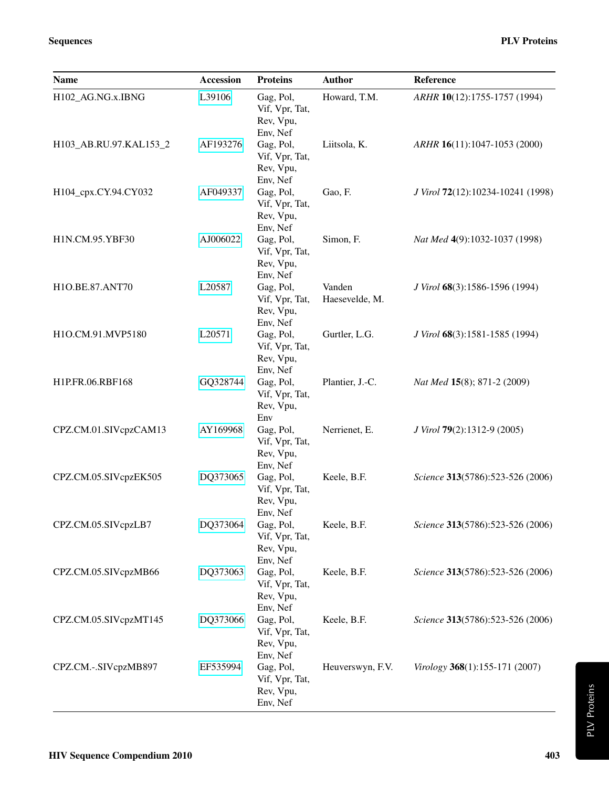| <b>Name</b>            | <b>Accession</b> | <b>Proteins</b>                                      | <b>Author</b>            | Reference                         |
|------------------------|------------------|------------------------------------------------------|--------------------------|-----------------------------------|
| H102_AG.NG.x.IBNG      | L39106           | Gag, Pol,<br>Vif, Vpr, Tat,<br>Rev, Vpu,<br>Env, Nef | Howard, T.M.             | ARHR 10(12):1755-1757 (1994)      |
| H103_AB.RU.97.KAL153_2 | AF193276         | Gag, Pol,<br>Vif, Vpr, Tat,<br>Rev, Vpu,<br>Env, Nef | Liitsola, K.             | ARHR 16(11):1047-1053 (2000)      |
| H104_cpx.CY.94.CY032   | AF049337         | Gag, Pol,<br>Vif, Vpr, Tat,<br>Rev, Vpu,<br>Env, Nef | Gao, F.                  | J Virol 72(12):10234-10241 (1998) |
| H1N.CM.95.YBF30        | AJ006022         | Gag, Pol,<br>Vif, Vpr, Tat,<br>Rev, Vpu,<br>Env, Nef | Simon, F.                | Nat Med 4(9):1032-1037 (1998)     |
| H1O.BE.87.ANT70        | L20587           | Gag, Pol,<br>Vif, Vpr, Tat,<br>Rev, Vpu,<br>Env, Nef | Vanden<br>Haesevelde, M. | J Virol 68(3):1586-1596 (1994)    |
| H1O.CM.91.MVP5180      | L20571           | Gag, Pol,<br>Vif, Vpr, Tat,<br>Rev, Vpu,<br>Env, Nef | Gurtler, L.G.            | J Virol 68(3):1581-1585 (1994)    |
| H1P.FR.06.RBF168       | GQ328744         | Gag, Pol,<br>Vif, Vpr, Tat,<br>Rev, Vpu,<br>Env      | Plantier, J.-C.          | Nat Med 15(8); 871-2 (2009)       |
| CPZ.CM.01.SIVcpzCAM13  | AY169968         | Gag, Pol,<br>Vif, Vpr, Tat,<br>Rev, Vpu,<br>Env, Nef | Nerrienet, E.            | J Virol 79(2):1312-9 (2005)       |
| CPZ.CM.05.SIVcpzEK505  | DQ373065         | Gag, Pol,<br>Vif, Vpr, Tat,<br>Rev, Vpu,<br>Env, Nef | Keele, B.F.              | Science 313(5786):523-526 (2006)  |
| CPZ.CM.05.SIVcpzLB7    | DQ373064         | Gag, Pol,<br>Vif, Vpr, Tat,<br>Rev, Vpu,<br>Env, Nef | Keele, B.F.              | Science 313(5786):523-526 (2006)  |
| CPZ.CM.05.SIVcpzMB66   | DQ373063         | Gag, Pol,<br>Vif, Vpr, Tat,<br>Rev, Vpu,<br>Env, Nef | Keele, B.F.              | Science 313(5786):523-526 (2006)  |
| CPZ.CM.05.SIVcpzMT145  | DQ373066         | Gag, Pol,<br>Vif, Vpr, Tat,<br>Rev, Vpu,<br>Env, Nef | Keele, B.F.              | Science 313(5786):523-526 (2006)  |
| CPZ.CM.-.SIVcpzMB897   | EF535994         | Gag, Pol,<br>Vif, Vpr, Tat,<br>Rev, Vpu,<br>Env, Nef | Heuverswyn, F.V.         | Virology 368(1):155-171 (2007)    |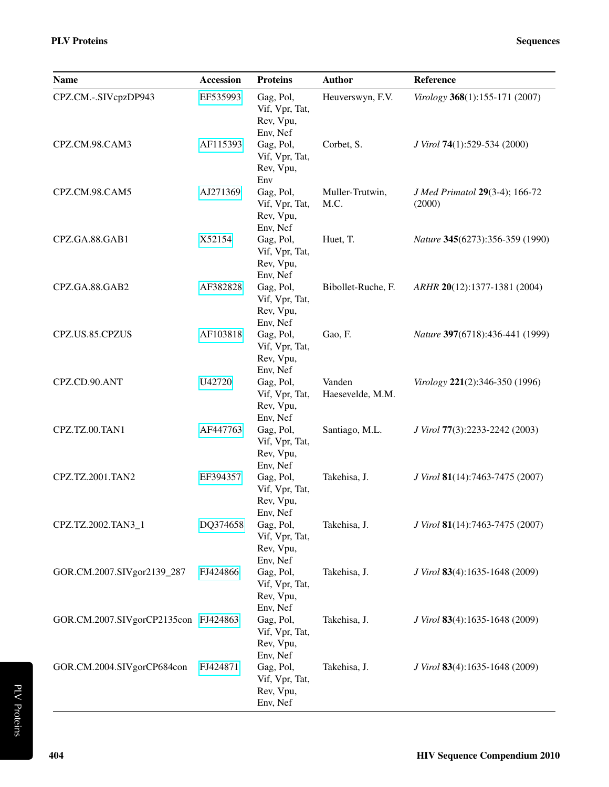| <b>Name</b>                          | <b>Accession</b> | <b>Proteins</b>                                      | <b>Author</b>              | Reference                                |
|--------------------------------------|------------------|------------------------------------------------------|----------------------------|------------------------------------------|
| CPZ.CM.-.SIVcpzDP943                 | EF535993         | Gag, Pol,<br>Vif, Vpr, Tat,<br>Rev, Vpu,<br>Env, Nef | Heuverswyn, F.V.           | Virology 368(1):155-171 (2007)           |
| CPZ.CM.98.CAM3                       | AF115393         | Gag, Pol,<br>Vif, Vpr, Tat,<br>Rev, Vpu,<br>Env      | Corbet, S.                 | J Virol 74(1):529-534 (2000)             |
| CPZ.CM.98.CAM5                       | AJ271369         | Gag, Pol,<br>Vif, Vpr, Tat,<br>Rev, Vpu,<br>Env, Nef | Muller-Trutwin,<br>M.C.    | J Med Primatol 29(3-4); 166-72<br>(2000) |
| CPZ.GA.88.GAB1                       | X52154           | Gag, Pol,<br>Vif, Vpr, Tat,<br>Rev, Vpu,<br>Env, Nef | Huet, T.                   | Nature 345(6273):356-359 (1990)          |
| CPZ.GA.88.GAB2                       | AF382828         | Gag, Pol,<br>Vif, Vpr, Tat,<br>Rev, Vpu,<br>Env, Nef | Bibollet-Ruche, F.         | ARHR 20(12):1377-1381 (2004)             |
| CPZ.US.85.CPZUS                      | AF103818         | Gag, Pol,<br>Vif, Vpr, Tat,<br>Rev, Vpu,<br>Env, Nef | Gao, F.                    | Nature 397(6718):436-441 (1999)          |
| CPZ.CD.90.ANT                        | U42720           | Gag, Pol,<br>Vif, Vpr, Tat,<br>Rev, Vpu,<br>Env, Nef | Vanden<br>Haesevelde, M.M. | Virology 221(2):346-350 (1996)           |
| CPZ.TZ.00.TAN1                       | AF447763         | Gag, Pol,<br>Vif, Vpr, Tat,<br>Rev, Vpu,<br>Env, Nef | Santiago, M.L.             | J Virol 77(3):2233-2242 (2003)           |
| CPZ.TZ.2001.TAN2                     | EF394357         | Gag, Pol,<br>Vif, Vpr, Tat,<br>Rev, Vpu,<br>Env, Nef | Takehisa, J.               | J Virol 81(14):7463-7475 (2007)          |
| CPZ.TZ.2002.TAN3_1                   | DQ374658         | Gag, Pol,<br>Vif, Vpr, Tat,<br>Rev, Vpu,<br>Env, Nef | Takehisa, J.               | J Virol 81(14):7463-7475 (2007)          |
| GOR.CM.2007.SIVgor2139_287           | FJ424866         | Gag, Pol,<br>Vif, Vpr, Tat,<br>Rev, Vpu,<br>Env, Nef | Takehisa, J.               | J Virol 83(4):1635-1648 (2009)           |
| GOR.CM.2007.SIVgorCP2135con FJ424863 |                  | Gag, Pol,<br>Vif, Vpr, Tat,<br>Rev, Vpu,<br>Env, Nef | Takehisa, J.               | J Virol 83(4):1635-1648 (2009)           |
| GOR.CM.2004.SIVgorCP684con           | FJ424871         | Gag, Pol,<br>Vif, Vpr, Tat,<br>Rev, Vpu,<br>Env, Nef | Takehisa, J.               | J Virol 83(4):1635-1648 (2009)           |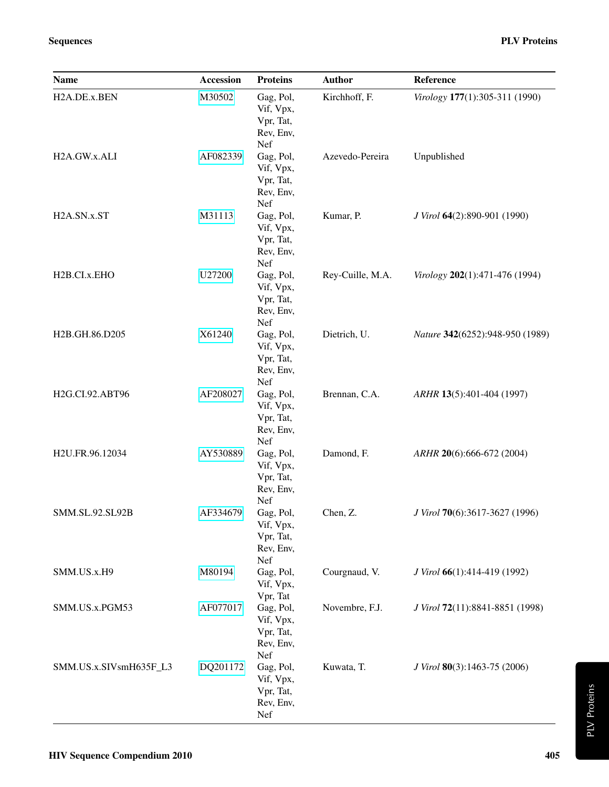| <b>Name</b>               | <b>Accession</b> | <b>Proteins</b>                                         | <b>Author</b>    | Reference                       |
|---------------------------|------------------|---------------------------------------------------------|------------------|---------------------------------|
| H2A.DE.x.BEN              | M30502           | Gag, Pol,<br>Vif, Vpx,<br>Vpr, Tat,<br>Rev, Env,<br>Nef | Kirchhoff, F.    | Virology 177(1):305-311 (1990)  |
| H2A.GW.x.ALI              | AF082339         | Gag, Pol,<br>Vif, Vpx,<br>Vpr, Tat,<br>Rev, Env,<br>Nef | Azevedo-Pereira  | Unpublished                     |
| H2A.SN.x.ST               | M31113           | Gag, Pol,<br>Vif, Vpx,<br>Vpr, Tat,<br>Rev, Env,<br>Nef | Kumar, P.        | J Virol 64(2):890-901 (1990)    |
| H <sub>2</sub> B.CI.x.EHO | U27200           | Gag, Pol,<br>Vif, Vpx,<br>Vpr, Tat,<br>Rev, Env,<br>Nef | Rey-Cuille, M.A. | Virology 202(1):471-476 (1994)  |
| H2B.GH.86.D205            | X61240           | Gag, Pol,<br>Vif, Vpx,<br>Vpr, Tat,<br>Rev, Env,<br>Nef | Dietrich, U.     | Nature 342(6252):948-950 (1989) |
| H2G.CI.92.ABT96           | AF208027         | Gag, Pol,<br>Vif, Vpx,<br>Vpr, Tat,<br>Rev, Env,<br>Nef | Brennan, C.A.    | ARHR 13(5):401-404 (1997)       |
| H2U.FR.96.12034           | AY530889         | Gag, Pol,<br>Vif, Vpx,<br>Vpr, Tat,<br>Rev, Env,<br>Nef | Damond, F.       | ARHR 20(6):666-672 (2004)       |
| SMM.SL.92.SL92B           | AF334679         | Gag, Pol,<br>Vif, Vpx,<br>Vpr, Tat,<br>Rev, Env,<br>Nef | Chen, Z.         | J Virol 70(6):3617-3627 (1996)  |
| SMM.US.x.H9               | M80194           | Gag, Pol,<br>Vif, Vpx,<br>Vpr, Tat                      | Courgnaud, V.    | J Virol 66(1):414-419 (1992)    |
| SMM.US.x.PGM53            | AF077017         | Gag, Pol,<br>Vif, Vpx,<br>Vpr, Tat,<br>Rev, Env,<br>Nef | Novembre, F.J.   | J Virol 72(11):8841-8851 (1998) |
| SMM.US.x.SIVsmH635F_L3    | DQ201172         | Gag, Pol,<br>Vif, Vpx,<br>Vpr, Tat,<br>Rev, Env,<br>Nef | Kuwata, T.       | J Virol 80(3):1463-75 (2006)    |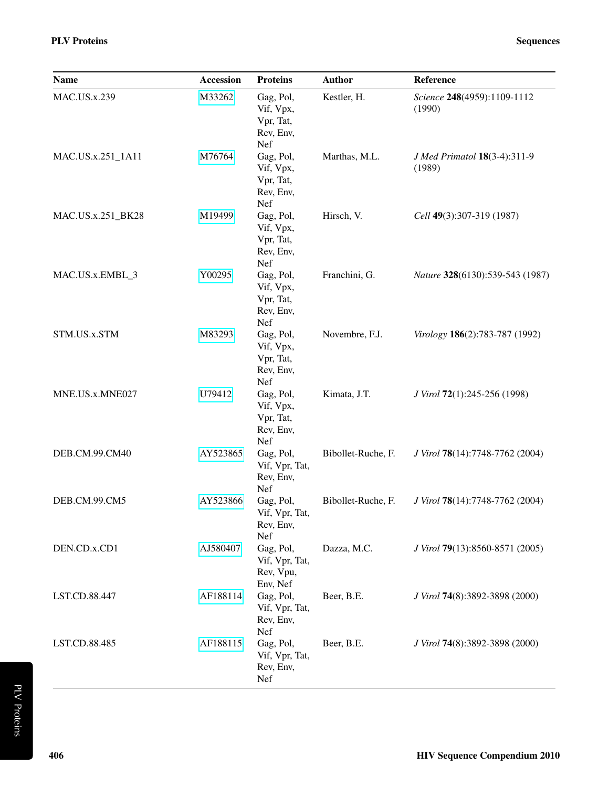| <b>Name</b>         | <b>Accession</b> | <b>Proteins</b>                                         | <b>Author</b>      | Reference                              |
|---------------------|------------------|---------------------------------------------------------|--------------------|----------------------------------------|
| <b>MAC.US.x.239</b> | M33262           | Gag, Pol,<br>Vif, Vpx,<br>Vpr, Tat,<br>Rev, Env,<br>Nef | Kestler, H.        | Science 248(4959):1109-1112<br>(1990)  |
| MAC.US.x.251_1A11   | M76764           | Gag, Pol,<br>Vif, Vpx,<br>Vpr, Tat,<br>Rev, Env,<br>Nef | Marthas, M.L.      | J Med Primatol 18(3-4):311-9<br>(1989) |
| MAC.US.x.251_BK28   | M19499           | Gag, Pol,<br>Vif, Vpx,<br>Vpr, Tat,<br>Rev, Env,<br>Nef | Hirsch, V.         | Cell 49(3):307-319 (1987)              |
| MAC.US.x.EMBL_3     | Y00295           | Gag, Pol,<br>Vif, Vpx,<br>Vpr, Tat,<br>Rev, Env,<br>Nef | Franchini, G.      | Nature 328(6130):539-543 (1987)        |
| STM.US.x.STM        | M83293           | Gag, Pol,<br>Vif, Vpx,<br>Vpr, Tat,<br>Rev, Env,<br>Nef | Novembre, F.J.     | Virology 186(2):783-787 (1992)         |
| MNE.US.x.MNE027     | U79412           | Gag, Pol,<br>Vif, Vpx,<br>Vpr, Tat,<br>Rev, Env,<br>Nef | Kimata, J.T.       | J Virol 72(1):245-256 (1998)           |
| DEB.CM.99.CM40      | AY523865         | Gag, Pol,<br>Vif, Vpr, Tat,<br>Rev, Env,<br>Nef         | Bibollet-Ruche, F. | J Virol 78(14):7748-7762 (2004)        |
| DEB.CM.99.CM5       | AY523866         | Gag, Pol,<br>Vif, Vpr, Tat,<br>Rev, Env,<br>Nef         | Bibollet-Ruche, F. | J Virol 78(14):7748-7762 (2004)        |
| DEN.CD.x.CD1        | AJ580407         | Gag, Pol,<br>Vif, Vpr, Tat,<br>Rev, Vpu,<br>Env, Nef    | Dazza, M.C.        | J Virol 79(13):8560-8571 (2005)        |
| LST.CD.88.447       | AF188114         | Gag, Pol,<br>Vif, Vpr, Tat,<br>Rev, Env,<br>Nef         | Beer, B.E.         | J Virol 74(8):3892-3898 (2000)         |
| LST.CD.88.485       | AF188115         | Gag, Pol,<br>Vif, Vpr, Tat,<br>Rev, Env,<br>Nef         | Beer, B.E.         | J Virol 74(8):3892-3898 (2000)         |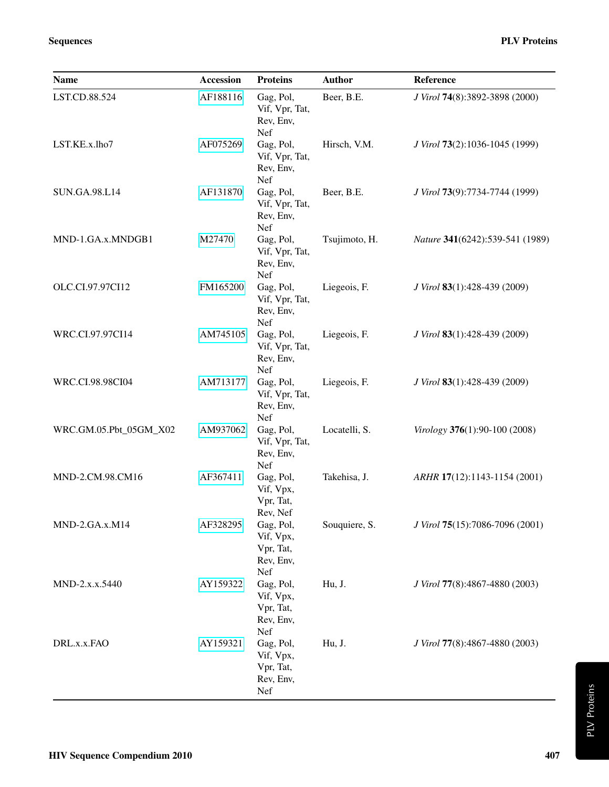| <b>Name</b>            | <b>Accession</b> | <b>Proteins</b>                                         | <b>Author</b> | Reference                       |
|------------------------|------------------|---------------------------------------------------------|---------------|---------------------------------|
| LST.CD.88.524          | AF188116         | Gag, Pol,<br>Vif, Vpr, Tat,<br>Rev, Env,<br>Nef         | Beer, B.E.    | J Virol 74(8):3892-3898 (2000)  |
| LST.KE.x.lho7          | AF075269         | Gag, Pol,<br>Vif, Vpr, Tat,<br>Rev, Env,<br>Nef         | Hirsch, V.M.  | J Virol 73(2):1036-1045 (1999)  |
| <b>SUN.GA.98.L14</b>   | AF131870         | Gag, Pol,<br>Vif, Vpr, Tat,<br>Rev, Env,<br>Nef         | Beer, B.E.    | J Virol 73(9):7734-7744 (1999)  |
| MND-1.GA.x.MNDGB1      | M27470           | Gag, Pol,<br>Vif, Vpr, Tat,<br>Rev, Env,<br>Nef         | Tsujimoto, H. | Nature 341(6242):539-541 (1989) |
| OLC.CI.97.97CI12       | FM165200         | Gag, Pol,<br>Vif, Vpr, Tat,<br>Rev, Env,<br>Nef         | Liegeois, F.  | J Virol 83(1):428-439 (2009)    |
| WRC.CI.97.97CI14       | AM745105         | Gag, Pol,<br>Vif, Vpr, Tat,<br>Rev, Env,<br>Nef         | Liegeois, F.  | J Virol 83(1):428-439 (2009)    |
| WRC.CI.98.98CI04       | AM713177         | Gag, Pol,<br>Vif, Vpr, Tat,<br>Rev, Env,<br>Nef         | Liegeois, F.  | J Virol 83(1):428-439 (2009)    |
| WRC.GM.05.Pbt_05GM_X02 | AM937062         | Gag, Pol,<br>Vif, Vpr, Tat,<br>Rev, Env,<br>Nef         | Locatelli, S. | Virology 376(1):90-100 (2008)   |
| MND-2.CM.98.CM16       | AF367411         | Gag, Pol,<br>Vif, Vpx,<br>Vpr, Tat,<br>Rev, Nef         | Takehisa, J.  | ARHR 17(12):1143-1154 (2001)    |
| MND-2.GA.x.M14         | AF328295         | Gag, Pol,<br>Vif, Vpx,<br>Vpr, Tat,<br>Rev, Env,<br>Nef | Souquiere, S. | J Virol 75(15):7086-7096 (2001) |
| MND-2.x.x.5440         | AY159322         | Gag, Pol,<br>Vif, Vpx,<br>Vpr, Tat,<br>Rev, Env,<br>Nef | Hu, J.        | J Virol 77(8):4867-4880 (2003)  |
| DRL.x.x.FAO            | AY159321         | Gag, Pol,<br>Vif, Vpx,<br>Vpr, Tat,<br>Rev, Env,<br>Nef | Hu, J.        | J Virol 77(8):4867-4880 (2003)  |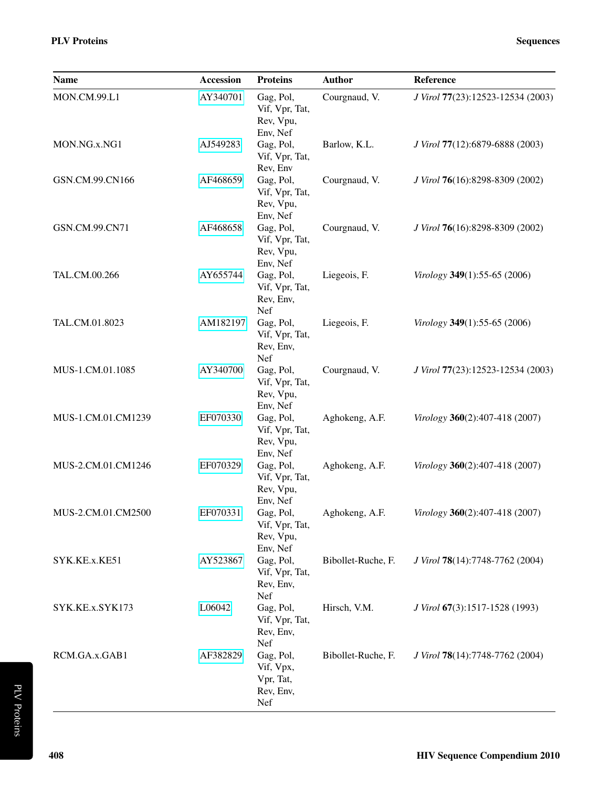| RCM. |
|------|
|      |
|      |

| <b>PLV Proteins</b> | <b>Sequences</b> |
|---------------------|------------------|

| Name               | <b>Accession</b> | <b>Proteins</b>                                         | <b>Author</b>      | Reference                         |
|--------------------|------------------|---------------------------------------------------------|--------------------|-----------------------------------|
| MON.CM.99.L1       | AY340701         | Gag, Pol,<br>Vif, Vpr, Tat,<br>Rev, Vpu,<br>Env, Nef    | Courgnaud, V.      | J Virol 77(23):12523-12534 (2003) |
| MON.NG.x.NG1       | AJ549283         | Gag, Pol,<br>Vif, Vpr, Tat,<br>Rev, Env                 | Barlow, K.L.       | J Virol 77(12):6879-6888 (2003)   |
| GSN.CM.99.CN166    | AF468659         | Gag, Pol,<br>Vif, Vpr, Tat,<br>Rev, Vpu,<br>Env, Nef    | Courgnaud, V.      | J Virol 76(16):8298-8309 (2002)   |
| GSN.CM.99.CN71     | AF468658         | Gag, Pol,<br>Vif, Vpr, Tat,<br>Rev, Vpu,<br>Env, Nef    | Courgnaud, V.      | J Virol 76(16):8298-8309 (2002)   |
| TAL.CM.00.266      | AY655744         | Gag, Pol,<br>Vif, Vpr, Tat,<br>Rev, Env,<br><b>Nef</b>  | Liegeois, F.       | Virology 349(1):55-65 (2006)      |
| TAL.CM.01.8023     | AM182197         | Gag, Pol,<br>Vif, Vpr, Tat,<br>Rev, Env,<br>Nef         | Liegeois, F.       | Virology 349(1):55-65 (2006)      |
| MUS-1.CM.01.1085   | AY340700         | Gag, Pol,<br>Vif, Vpr, Tat,<br>Rev, Vpu,<br>Env, Nef    | Courgnaud, V.      | J Virol 77(23):12523-12534 (2003) |
| MUS-1.CM.01.CM1239 | EF070330         | Gag, Pol,<br>Vif, Vpr, Tat,<br>Rev, Vpu,<br>Env, Nef    | Aghokeng, A.F.     | Virology 360(2):407-418 (2007)    |
| MUS-2.CM.01.CM1246 | EF070329         | Gag, Pol,<br>Vif, Vpr, Tat,<br>Rev, Vpu,<br>Env, Nef    | Aghokeng, A.F.     | Virology 360(2):407-418 (2007)    |
| MUS-2.CM.01.CM2500 | EF070331         | Gag, Pol,<br>Vif, Vpr, Tat,<br>Rev, Vpu,<br>Env, Nef    | Aghokeng, A.F.     | Virology 360(2):407-418 (2007)    |
| SYK.KE.x.KE51      | AY523867         | Gag, Pol,<br>Vif, Vpr, Tat,<br>Rev, Env,<br>Nef         | Bibollet-Ruche, F. | J Virol 78(14):7748-7762 (2004)   |
| SYK.KE.x.SYK173    | L06042           | Gag, Pol,<br>Vif, Vpr, Tat,<br>Rev, Env,<br>Nef         | Hirsch, V.M.       | J Virol 67(3):1517-1528 (1993)    |
| RCM.GA.x.GAB1      | AF382829         | Gag, Pol,<br>Vif, Vpx,<br>Vpr, Tat,<br>Rev, Env,<br>Nef | Bibollet-Ruche, F. | J Virol 78(14):7748-7762 (2004)   |

PLV Proteins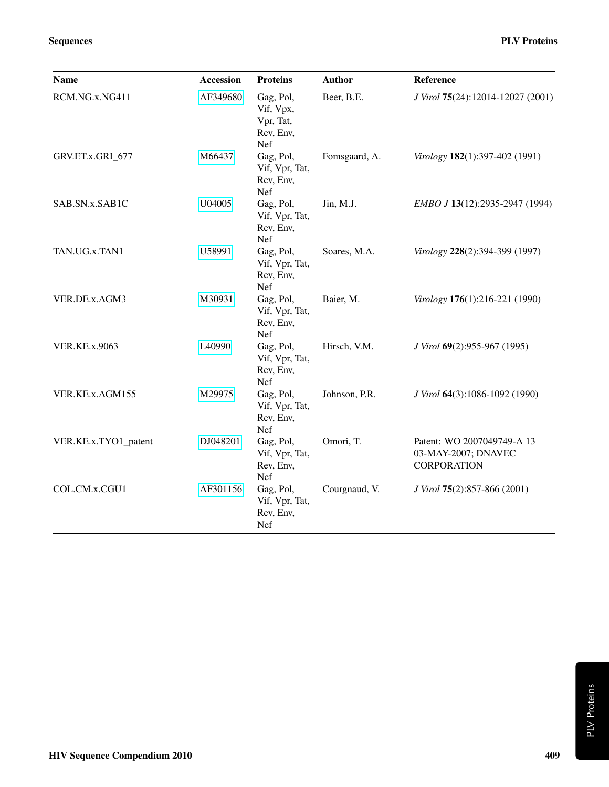| <b>Name</b>          | <b>Accession</b> | <b>Proteins</b>                                         | <b>Author</b> | Reference                                                               |
|----------------------|------------------|---------------------------------------------------------|---------------|-------------------------------------------------------------------------|
| RCM.NG.x.NG411       | AF349680         | Gag, Pol,<br>Vif, Vpx,<br>Vpr, Tat,<br>Rev, Env,<br>Nef | Beer, B.E.    | J Virol 75(24):12014-12027 (2001)                                       |
| GRV.ET.x.GRI_677     | M66437           | Gag, Pol,<br>Vif, Vpr, Tat,<br>Rev, Env,<br>Nef         | Fomsgaard, A. | Virology 182(1):397-402 (1991)                                          |
| SAB.SN.x.SAB1C       | U04005           | Gag, Pol,<br>Vif, Vpr, Tat,<br>Rev, Env,<br>Nef         | Jin, M.J.     | EMBO J 13(12):2935-2947 (1994)                                          |
| TAN.UG.x.TAN1        | U58991           | Gag, Pol,<br>Vif, Vpr, Tat,<br>Rev, Env,<br>Nef         | Soares, M.A.  | Virology 228(2):394-399 (1997)                                          |
| VER.DE.x.AGM3        | M30931           | Gag, Pol,<br>Vif, Vpr, Tat,<br>Rev, Env,<br>Nef         | Baier, M.     | Virology 176(1):216-221 (1990)                                          |
| <b>VER.KE.x.9063</b> | L40990           | Gag, Pol,<br>Vif, Vpr, Tat,<br>Rev, Env,<br>Nef         | Hirsch, V.M.  | J Virol 69(2):955-967 (1995)                                            |
| VER.KE.x.AGM155      | M29975           | Gag, Pol,<br>Vif, Vpr, Tat,<br>Rev, Env,<br>Nef         | Johnson, P.R. | J Virol 64(3):1086-1092 (1990)                                          |
| VER.KE.x.TYO1_patent | DJ048201         | Gag, Pol,<br>Vif, Vpr, Tat,<br>Rev, Env,<br>Nef         | Omori, T.     | Patent: WO 2007049749-A 13<br>03-MAY-2007; DNAVEC<br><b>CORPORATION</b> |
| COL.CM.x.CGU1        | AF301156         | Gag, Pol,<br>Vif, Vpr, Tat,<br>Rev, Env,<br>Nef         | Courgnaud, V. | J Virol 75(2):857-866 (2001)                                            |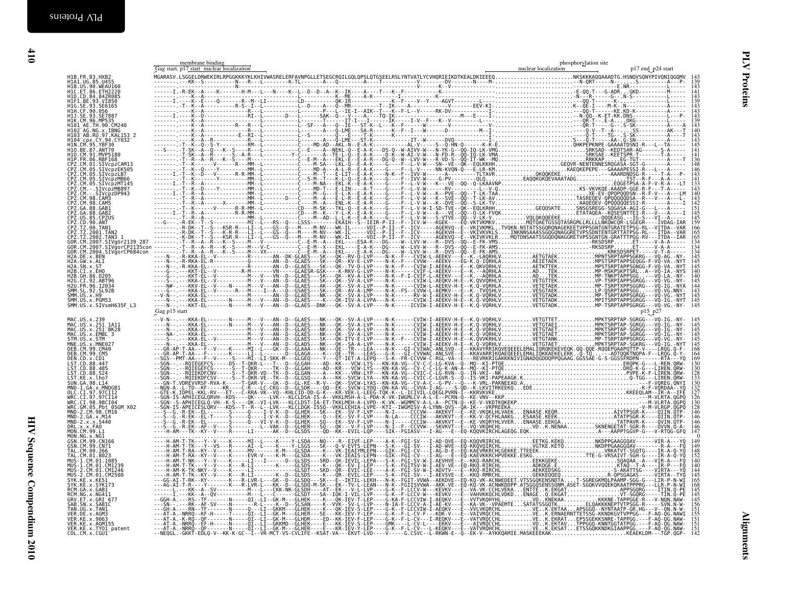<span id="page-9-1"></span><span id="page-9-0"></span>

|                                                                                                          |               | $\frac{139}{143}$                                              |
|----------------------------------------------------------------------------------------------------------|---------------|----------------------------------------------------------------|
|                                                                                                          |               | $\frac{141}{143}$<br>139                                       |
|                                                                                                          |               | 143<br>143<br>143<br>139<br>143<br>140                         |
|                                                                                                          |               |                                                                |
|                                                                                                          |               | $\begin{array}{c} 143 \\ 143 \\ 143 \\ 145 \end{array}$        |
|                                                                                                          |               | $\frac{141}{141}$<br>141<br>136                                |
|                                                                                                          |               | 148<br>146<br>143                                              |
|                                                                                                          |               | 133<br>143                                                     |
|                                                                                                          |               | 140                                                            |
|                                                                                                          |               | 145                                                            |
|                                                                                                          |               | 145<br>159                                                     |
|                                                                                                          |               | 166<br>165<br>165<br>134<br>134                                |
|                                                                                                          |               | $\frac{134}{145}$<br>$\frac{145}{145}$                         |
|                                                                                                          |               | 140                                                            |
|                                                                                                          |               | $\frac{144}{143}$<br>$\frac{143}{145}$                         |
|                                                                                                          |               |                                                                |
|                                                                                                          | Gag p15 start | p15 p27                                                        |
| MAC.US.x.239<br>MAC.US.x.251_1A11<br>MAC.US.x.251_BK28<br>MAC.US.x.EMBL_3                                |               | $\frac{145}{145}$<br>$\frac{145}{145}$                         |
| STM.US.x.STM                                                                                             |               | $\frac{145}{145}$                                              |
| STR.03.X.3TH<br>MNE.US.x.MNE027<br>DEB.CM.99.CM40<br>DEB.CM.99.CM5<br>DEN.CD.x.CD1<br>LST. CD. 88.447    |               | 164<br>169                                                     |
| LST.CD.88.485<br>LST.CD.88.524                                                                           |               |                                                                |
| LST.KE.x.lho7<br>SUN.GA.98.L14<br>MND-1.GA.x.MNDGB1<br>OLC.CI.97.97CI12                                  |               | $\frac{130}{132}$<br>$\frac{132}{127}$                         |
| WRC.CI.97.97CI14<br>WRC.CI.98.98CI04                                                                     |               |                                                                |
| WRC.CM.05.990194<br>MND-2.CM.98.CM16<br>MND-2.CM.98.CM16<br>MND-2.S4.x.M14<br>DRL.x.x.FA0<br>DRL.x.x.FA0 |               | $\frac{146}{146}$<br>$\frac{146}{146}$                         |
|                                                                                                          |               | 146                                                            |
| MN. CM. 99. L1<br>MON. CM. 99. L1<br>GSN. CM. 99. CN166<br>GSN. CM. 99. CN71<br>TAL. CM. 99. 266         |               | $\begin{array}{c} 149 \\ 149 \\ 149 \\ 148 \\ 152 \end{array}$ |
| TAL.CM.01.8023<br>MUS-1.CM.01.1085                                                                       |               | 140                                                            |
| MUS-1.CM.01.CM1239<br>MUS-2.CM.01.CM1239<br>MUS-2.CM.01.CM1246                                           |               | 140<br>145                                                     |
| SYK. KE.x.KE51<br>SYK. KE.x.SYK173<br>RCM. GA.x.GAB1<br>RCM. NG.x.NG411                                  |               | 165<br>168<br>145<br>145                                       |
| GRV.ET.x.GRI 677<br>SAB.SN.x.SABIC                                                                       |               |                                                                |
| TAN.UG.x.TAN1<br>VER.DE.x.AGM3                                                                           |               | $\frac{155}{151}$                                              |
| VER.KE.x.9063<br>VER.KE.x.AGM155<br>VER.KE.x.TY01_patent<br>COL.CM.x.CGU1                                |               |                                                                |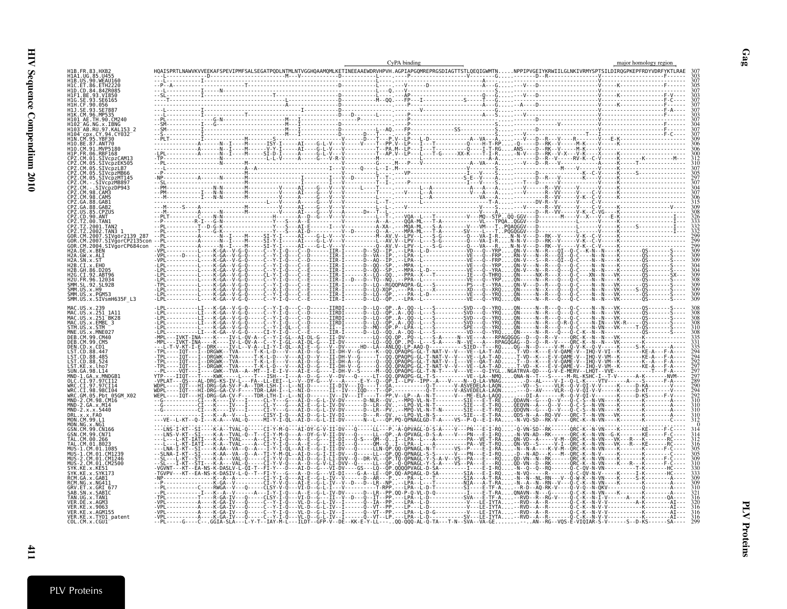| H1B.FR.83.HXB.                                                                   | CyPA binding | major homology region |
|----------------------------------------------------------------------------------|--------------|-----------------------|
| H1A1.UG.85.U455<br>HIB.US.90.WEAU160<br>H1C. FT.86. FTH2220<br>H1D.CD.84.84ZR085 |              |                       |
| H1F1.BE.93.VI850<br>H1G.SE.93.SE6165<br>H1H.CF.90.056                            |              |                       |
|                                                                                  |              |                       |
| 103 <sup>-</sup> AB.RU.97.KAL153 2<br>H104 CDX.CY.94.CY032<br>H10.BE.87.ANT70    |              |                       |
| H1O.CM.91.MVP5180<br>CPZ.CM.01.SIVcpzCAM13                                       |              |                       |
| CPZ.CM.05.SIVcpzEK505<br>PZ.CM.05.SIVcpzLB7<br>PZ.CM.05.SIVcnzMB66               |              |                       |
| PZ.CM.98.CAM3                                                                    |              |                       |
|                                                                                  |              |                       |
|                                                                                  |              |                       |
| OR.CM.2004.SIVqorCP684con                                                        |              |                       |
| H2A.GW.x.ALI<br>$H2A$ . SN. $x$ . ST<br>H2B.CI.x.EHO<br>H2R GH 86 D205           |              |                       |
| 2G.CI.92.ABT96<br>SMM SI 92 SI 92R<br>SMM.US.x.H9                                |              |                       |
| SMM.US.x.PGM53<br>SMM.US.x.SIVsmH635F L3                                         |              |                       |
| MAC.US.x.251_1A11<br>MAC.US.x.251 <sup>-</sup> BK28<br>MAC.US.x.EMBL 3           |              |                       |
|                                                                                  |              |                       |
| ST.CD.88.485                                                                     |              |                       |
|                                                                                  |              |                       |
| WRC.CI.97.97CI14<br>WRC.CI.98.98CI04<br>WRC.GM.05.Pbt 05GM X02                   |              |                       |
| 2.CM.98.CM16<br>MND-2.GA.x.M14<br>MND-2.x.x.5440                                 |              |                       |
| MON.CM.99.L1<br>MON.NG.x.NG1<br>GSN.CM.99.CN166<br>GSN CM 99 CN71                |              |                       |
| MUS-1.CM.01.1085                                                                 |              |                       |
| MUS-1.CM.01.CM1239<br>MUS-2.CM.01.CM1246                                         |              |                       |
| RCM.NG.x.NG411<br>GRV FT x GRT 677                                               |              |                       |
| SAB.SN.x.SABIC<br>TAN.UG.x.TAN1<br>VFR.DF.x.AGM3                                 |              |                       |
| VER.KE.x.9063<br>VER.KE.x.AGM155<br>VER.KE.x.TY01_patent<br>COL.CM.x.CGU1        |              |                       |

**PLV Proteins** PLV Proteins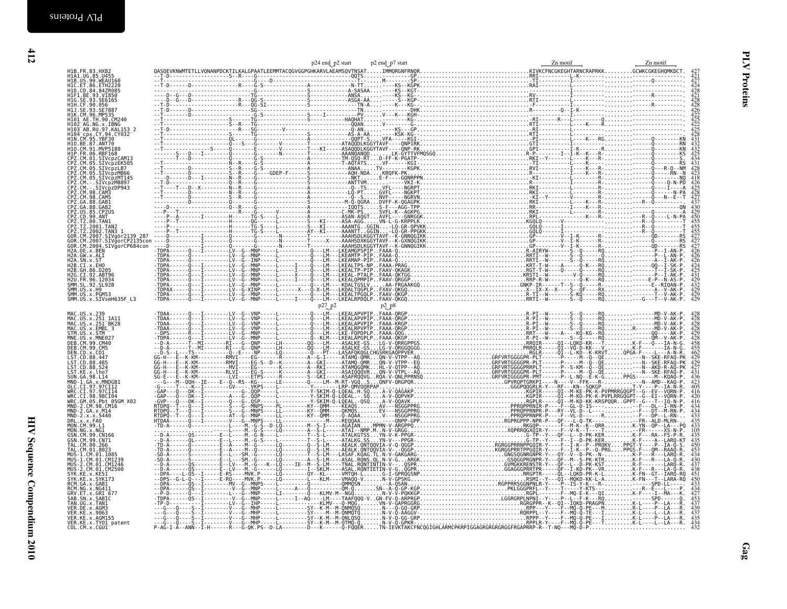| end_p2 start | p2 end_p7 start | Zn motif                                                               | Zn motif |
|--------------|-----------------|------------------------------------------------------------------------|----------|
|              |                 |                                                                        |          |
|              |                 |                                                                        |          |
|              |                 |                                                                        |          |
|              |                 |                                                                        |          |
|              |                 |                                                                        |          |
|              |                 |                                                                        |          |
|              |                 |                                                                        |          |
|              |                 |                                                                        |          |
|              |                 |                                                                        |          |
|              |                 |                                                                        |          |
|              |                 |                                                                        |          |
|              |                 |                                                                        |          |
|              |                 |                                                                        |          |
|              |                 |                                                                        |          |
|              |                 |                                                                        |          |
|              |                 |                                                                        |          |
|              |                 |                                                                        |          |
|              |                 |                                                                        |          |
|              |                 |                                                                        |          |
|              |                 |                                                                        |          |
|              |                 |                                                                        |          |
|              |                 |                                                                        |          |
|              |                 |                                                                        |          |
|              |                 |                                                                        |          |
|              |                 |                                                                        |          |
|              |                 |                                                                        |          |
|              |                 |                                                                        |          |
|              |                 |                                                                        |          |
|              |                 |                                                                        |          |
|              |                 |                                                                        |          |
|              |                 |                                                                        |          |
|              |                 |                                                                        |          |
|              |                 |                                                                        |          |
|              |                 |                                                                        |          |
|              |                 |                                                                        |          |
|              |                 |                                                                        |          |
|              |                 |                                                                        |          |
|              |                 |                                                                        |          |
|              |                 |                                                                        |          |
|              |                 |                                                                        |          |
|              |                 |                                                                        |          |
| $^{27}P^2$   | $p_2$ $p_8$     |                                                                        |          |
|              |                 |                                                                        |          |
|              |                 |                                                                        |          |
|              |                 |                                                                        |          |
|              |                 |                                                                        |          |
|              |                 |                                                                        |          |
|              |                 | LM----ASALKE-GSLG-V-QRRGPPGSRRQIR-----QI--LQKD-KR---TK-F---Q---IA-N-G. |          |

| MAC.US.x.239<br>MAC.US.x.251_1A11<br>MAC.US.x.251_1A11<br>MAC.US.x.EMBL_3<br>STM.US.x.STM<br>MNE.US.x.MNE027<br>DEB.CM.99.CM40<br>DEB. CM. 99. CM5<br>DEN CD .x .CD1<br>LST .CD .88 .447<br>LST .CD .88 .485<br>LST .CD .88 .524<br>LST .KE .x . Lho .<br>LST .KE .x . Lho .<br>SUN.GA.98.L14<br>MND-1.GA.x.MNDGB1<br>OLC.CI.97.97CI12<br>WRC.CI.97.97CI14<br>WRC.CI.98.98CI04<br>WRC.CI.98.98CI04<br>WRC.GM.05.Pbt 05GM_X02<br>MND-2.CM.98.CM16<br>MND-2.CM.98.CM16<br>MND-2.GA.x.M14<br>MND-2.x.x.5440<br>DRL.x.x.FA0<br>MON.NG.x.NG1<br>MON.NG.x.NG1<br>GSN.CM.99.CN166<br>GSN.CM.99.CN71<br>GSN.CM.99.CN71<br>05N.CM.00.266<br>TAL.CM.00.266<br>TAL.CM.01.8023<br>MUS - 1.CM. 01.CM1239<br>MUS - 2.CM. 01.CM1246<br>MUS - 2.CM. 01.CM2500<br>SYK. KE. x. KE51<br>RCM. GA. x. GAB1<br>RCM. NG. x. NG411<br>GRV.ET.x.GRI 677<br>SAB.SN.x.SABIC<br>TAN.UG.x.TAN1<br>VER.DE.x.AGM3<br>VER.KE.x.9063<br>VER.KE.x.AGM155<br>VER.KE.x.TYO1_patent<br>COL.CM.x.CGU1_ |                                                                                                                            |
|------------------------------------------------------------------------------------------------------------------------------------------------------------------------------------------------------------------------------------------------------------------------------------------------------------------------------------------------------------------------------------------------------------------------------------------------------------------------------------------------------------------------------------------------------------------------------------------------------------------------------------------------------------------------------------------------------------------------------------------------------------------------------------------------------------------------------------------------------------------------------------------------------------------------------------------------------------------|----------------------------------------------------------------------------------------------------------------------------|
|                                                                                                                                                                                                                                                                                                                                                                                                                                                                                                                                                                                                                                                                                                                                                                                                                                                                                                                                                                  |                                                                                                                            |
|                                                                                                                                                                                                                                                                                                                                                                                                                                                                                                                                                                                                                                                                                                                                                                                                                                                                                                                                                                  |                                                                                                                            |
|                                                                                                                                                                                                                                                                                                                                                                                                                                                                                                                                                                                                                                                                                                                                                                                                                                                                                                                                                                  |                                                                                                                            |
|                                                                                                                                                                                                                                                                                                                                                                                                                                                                                                                                                                                                                                                                                                                                                                                                                                                                                                                                                                  |                                                                                                                            |
|                                                                                                                                                                                                                                                                                                                                                                                                                                                                                                                                                                                                                                                                                                                                                                                                                                                                                                                                                                  | $428426$<br>$4225$<br>$4225$<br>$4225$<br>$4225$                                                                           |
|                                                                                                                                                                                                                                                                                                                                                                                                                                                                                                                                                                                                                                                                                                                                                                                                                                                                                                                                                                  |                                                                                                                            |
|                                                                                                                                                                                                                                                                                                                                                                                                                                                                                                                                                                                                                                                                                                                                                                                                                                                                                                                                                                  |                                                                                                                            |
|                                                                                                                                                                                                                                                                                                                                                                                                                                                                                                                                                                                                                                                                                                                                                                                                                                                                                                                                                                  |                                                                                                                            |
|                                                                                                                                                                                                                                                                                                                                                                                                                                                                                                                                                                                                                                                                                                                                                                                                                                                                                                                                                                  |                                                                                                                            |
|                                                                                                                                                                                                                                                                                                                                                                                                                                                                                                                                                                                                                                                                                                                                                                                                                                                                                                                                                                  | $432$<br>$432$<br>$425$<br>$434$<br>$431$                                                                                  |
|                                                                                                                                                                                                                                                                                                                                                                                                                                                                                                                                                                                                                                                                                                                                                                                                                                                                                                                                                                  |                                                                                                                            |
|                                                                                                                                                                                                                                                                                                                                                                                                                                                                                                                                                                                                                                                                                                                                                                                                                                                                                                                                                                  |                                                                                                                            |
|                                                                                                                                                                                                                                                                                                                                                                                                                                                                                                                                                                                                                                                                                                                                                                                                                                                                                                                                                                  | $^{+31}_{+28}$<br>$^{+23}_{+23}$<br>$^{+31}_{+26}$<br>$^{+31}_{+25}$<br>$^{+31}_{+25}$<br>$^{+31}_{+25}$<br>$^{+31}_{-27}$ |
|                                                                                                                                                                                                                                                                                                                                                                                                                                                                                                                                                                                                                                                                                                                                                                                                                                                                                                                                                                  |                                                                                                                            |
|                                                                                                                                                                                                                                                                                                                                                                                                                                                                                                                                                                                                                                                                                                                                                                                                                                                                                                                                                                  |                                                                                                                            |
|                                                                                                                                                                                                                                                                                                                                                                                                                                                                                                                                                                                                                                                                                                                                                                                                                                                                                                                                                                  |                                                                                                                            |
|                                                                                                                                                                                                                                                                                                                                                                                                                                                                                                                                                                                                                                                                                                                                                                                                                                                                                                                                                                  |                                                                                                                            |
|                                                                                                                                                                                                                                                                                                                                                                                                                                                                                                                                                                                                                                                                                                                                                                                                                                                                                                                                                                  |                                                                                                                            |
|                                                                                                                                                                                                                                                                                                                                                                                                                                                                                                                                                                                                                                                                                                                                                                                                                                                                                                                                                                  |                                                                                                                            |
|                                                                                                                                                                                                                                                                                                                                                                                                                                                                                                                                                                                                                                                                                                                                                                                                                                                                                                                                                                  |                                                                                                                            |
|                                                                                                                                                                                                                                                                                                                                                                                                                                                                                                                                                                                                                                                                                                                                                                                                                                                                                                                                                                  |                                                                                                                            |
|                                                                                                                                                                                                                                                                                                                                                                                                                                                                                                                                                                                                                                                                                                                                                                                                                                                                                                                                                                  |                                                                                                                            |
|                                                                                                                                                                                                                                                                                                                                                                                                                                                                                                                                                                                                                                                                                                                                                                                                                                                                                                                                                                  |                                                                                                                            |
|                                                                                                                                                                                                                                                                                                                                                                                                                                                                                                                                                                                                                                                                                                                                                                                                                                                                                                                                                                  | 455<br>455<br>455<br>427<br>427<br>426<br>426<br>424<br>425                                                                |
|                                                                                                                                                                                                                                                                                                                                                                                                                                                                                                                                                                                                                                                                                                                                                                                                                                                                                                                                                                  |                                                                                                                            |
|                                                                                                                                                                                                                                                                                                                                                                                                                                                                                                                                                                                                                                                                                                                                                                                                                                                                                                                                                                  | 431<br>432<br>432<br>429<br>429<br>429                                                                                     |
|                                                                                                                                                                                                                                                                                                                                                                                                                                                                                                                                                                                                                                                                                                                                                                                                                                                                                                                                                                  |                                                                                                                            |
|                                                                                                                                                                                                                                                                                                                                                                                                                                                                                                                                                                                                                                                                                                                                                                                                                                                                                                                                                                  |                                                                                                                            |
|                                                                                                                                                                                                                                                                                                                                                                                                                                                                                                                                                                                                                                                                                                                                                                                                                                                                                                                                                                  |                                                                                                                            |
|                                                                                                                                                                                                                                                                                                                                                                                                                                                                                                                                                                                                                                                                                                                                                                                                                                                                                                                                                                  |                                                                                                                            |
|                                                                                                                                                                                                                                                                                                                                                                                                                                                                                                                                                                                                                                                                                                                                                                                                                                                                                                                                                                  | 4288842842842342294227431                                                                                                  |
|                                                                                                                                                                                                                                                                                                                                                                                                                                                                                                                                                                                                                                                                                                                                                                                                                                                                                                                                                                  |                                                                                                                            |
|                                                                                                                                                                                                                                                                                                                                                                                                                                                                                                                                                                                                                                                                                                                                                                                                                                                                                                                                                                  |                                                                                                                            |
|                                                                                                                                                                                                                                                                                                                                                                                                                                                                                                                                                                                                                                                                                                                                                                                                                                                                                                                                                                  |                                                                                                                            |
|                                                                                                                                                                                                                                                                                                                                                                                                                                                                                                                                                                                                                                                                                                                                                                                                                                                                                                                                                                  |                                                                                                                            |
|                                                                                                                                                                                                                                                                                                                                                                                                                                                                                                                                                                                                                                                                                                                                                                                                                                                                                                                                                                  |                                                                                                                            |
|                                                                                                                                                                                                                                                                                                                                                                                                                                                                                                                                                                                                                                                                                                                                                                                                                                                                                                                                                                  |                                                                                                                            |
|                                                                                                                                                                                                                                                                                                                                                                                                                                                                                                                                                                                                                                                                                                                                                                                                                                                                                                                                                                  | $\frac{436}{423}$                                                                                                          |
|                                                                                                                                                                                                                                                                                                                                                                                                                                                                                                                                                                                                                                                                                                                                                                                                                                                                                                                                                                  |                                                                                                                            |
|                                                                                                                                                                                                                                                                                                                                                                                                                                                                                                                                                                                                                                                                                                                                                                                                                                                                                                                                                                  |                                                                                                                            |
|                                                                                                                                                                                                                                                                                                                                                                                                                                                                                                                                                                                                                                                                                                                                                                                                                                                                                                                                                                  |                                                                                                                            |
|                                                                                                                                                                                                                                                                                                                                                                                                                                                                                                                                                                                                                                                                                                                                                                                                                                                                                                                                                                  |                                                                                                                            |
|                                                                                                                                                                                                                                                                                                                                                                                                                                                                                                                                                                                                                                                                                                                                                                                                                                                                                                                                                                  |                                                                                                                            |
|                                                                                                                                                                                                                                                                                                                                                                                                                                                                                                                                                                                                                                                                                                                                                                                                                                                                                                                                                                  |                                                                                                                            |
|                                                                                                                                                                                                                                                                                                                                                                                                                                                                                                                                                                                                                                                                                                                                                                                                                                                                                                                                                                  | $\frac{105}{105}$<br>$\frac{435}{435}$                                                                                     |
|                                                                                                                                                                                                                                                                                                                                                                                                                                                                                                                                                                                                                                                                                                                                                                                                                                                                                                                                                                  |                                                                                                                            |
|                                                                                                                                                                                                                                                                                                                                                                                                                                                                                                                                                                                                                                                                                                                                                                                                                                                                                                                                                                  | 453<br>434<br>430                                                                                                          |
|                                                                                                                                                                                                                                                                                                                                                                                                                                                                                                                                                                                                                                                                                                                                                                                                                                                                                                                                                                  |                                                                                                                            |
|                                                                                                                                                                                                                                                                                                                                                                                                                                                                                                                                                                                                                                                                                                                                                                                                                                                                                                                                                                  | $\frac{437}{438}$                                                                                                          |
|                                                                                                                                                                                                                                                                                                                                                                                                                                                                                                                                                                                                                                                                                                                                                                                                                                                                                                                                                                  |                                                                                                                            |
|                                                                                                                                                                                                                                                                                                                                                                                                                                                                                                                                                                                                                                                                                                                                                                                                                                                                                                                                                                  |                                                                                                                            |
|                                                                                                                                                                                                                                                                                                                                                                                                                                                                                                                                                                                                                                                                                                                                                                                                                                                                                                                                                                  |                                                                                                                            |
|                                                                                                                                                                                                                                                                                                                                                                                                                                                                                                                                                                                                                                                                                                                                                                                                                                                                                                                                                                  |                                                                                                                            |
|                                                                                                                                                                                                                                                                                                                                                                                                                                                                                                                                                                                                                                                                                                                                                                                                                                                                                                                                                                  | $\frac{439}{437}$                                                                                                          |
|                                                                                                                                                                                                                                                                                                                                                                                                                                                                                                                                                                                                                                                                                                                                                                                                                                                                                                                                                                  |                                                                                                                            |
|                                                                                                                                                                                                                                                                                                                                                                                                                                                                                                                                                                                                                                                                                                                                                                                                                                                                                                                                                                  |                                                                                                                            |
|                                                                                                                                                                                                                                                                                                                                                                                                                                                                                                                                                                                                                                                                                                                                                                                                                                                                                                                                                                  |                                                                                                                            |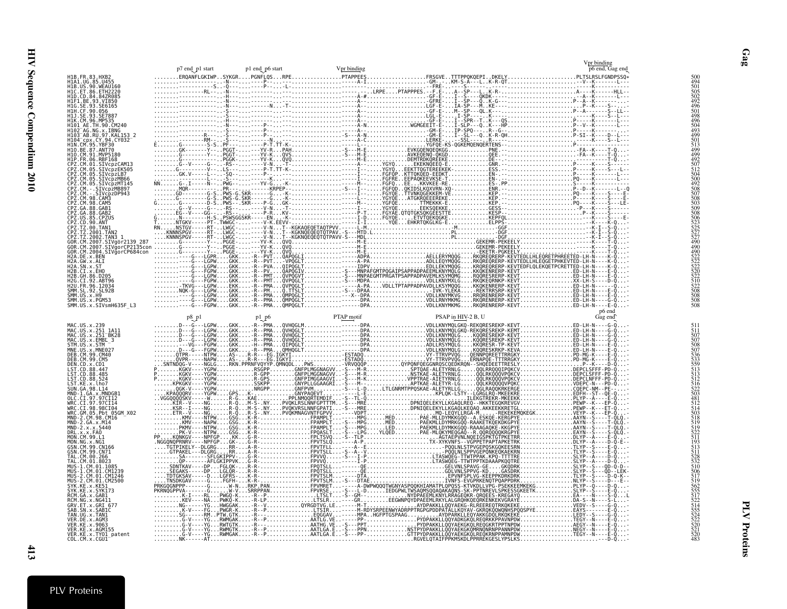|                                                                                            | p7 end_p1 start | p1 end_p6 start | Vpr binding |                    | Vpr binding<br>p6 end, Gag end |  |
|--------------------------------------------------------------------------------------------|-----------------|-----------------|-------------|--------------------|--------------------------------|--|
|                                                                                            |                 |                 |             |                    |                                |  |
|                                                                                            |                 |                 |             |                    |                                |  |
|                                                                                            |                 |                 |             |                    |                                |  |
|                                                                                            |                 |                 |             |                    |                                |  |
|                                                                                            |                 |                 |             |                    |                                |  |
|                                                                                            |                 |                 |             |                    |                                |  |
|                                                                                            |                 |                 |             |                    |                                |  |
|                                                                                            |                 |                 |             |                    |                                |  |
|                                                                                            |                 |                 |             |                    |                                |  |
|                                                                                            |                 |                 |             |                    |                                |  |
|                                                                                            |                 |                 |             |                    |                                |  |
|                                                                                            |                 |                 |             |                    |                                |  |
|                                                                                            |                 |                 |             |                    |                                |  |
|                                                                                            |                 |                 |             |                    |                                |  |
|                                                                                            |                 |                 |             |                    |                                |  |
|                                                                                            |                 |                 |             |                    |                                |  |
|                                                                                            |                 |                 |             |                    |                                |  |
|                                                                                            |                 |                 |             |                    |                                |  |
|                                                                                            |                 |                 |             |                    |                                |  |
|                                                                                            |                 |                 |             |                    |                                |  |
|                                                                                            |                 |                 |             |                    | p6 end                         |  |
|                                                                                            |                 | $p1$ $p6$       | PTAP motif  | PSAP in HIV-2 B, U |                                |  |
| MAC.US.x.239<br>MAC.US.x.251_1A11<br>MAC.US.x.251_BK28                                     |                 |                 |             |                    |                                |  |
| MAC.US.x.25MBL<br>MAC.US.x.EMBL_3<br>STM.US.x.STM –<br>MNE.US.x.MNE027<br>DEB.CM.99.CM40   |                 |                 |             |                    |                                |  |
| DEB.CM.99.CM5                                                                              |                 |                 |             |                    |                                |  |
| DEN.CD.x.CD1<br>LST.CD.88.447                                                              |                 |                 |             |                    |                                |  |
| LST. CD. 88.485                                                                            |                 |                 |             |                    |                                |  |
| LST.CD.88.524<br>LST.KE.x.lho7<br>SUN.GA.98.L14<br>MND-1.GA.x.MNDGB1                       |                 |                 |             |                    |                                |  |
|                                                                                            |                 |                 |             |                    |                                |  |
| wRC.CI.98.98CI04<br>WRC.CI.98.98CI04<br>WRC.GM.05.Pbt 05GM X02                             |                 |                 |             |                    |                                |  |
| $MND - 2. x. x. 5440$                                                                      |                 |                 |             |                    |                                |  |
| DRL.x.x.FAO<br>MON.CM.99.L1<br>MON.NG.x.NGI                                                |                 |                 |             |                    |                                |  |
| GŚN.CM.99.CN166<br>GSN.CM.99.CN71                                                          |                 |                 |             |                    |                                |  |
| TAL.CM.00.266<br>TAL.CM.00.266<br>TAL.CM.01.8023                                           |                 |                 |             |                    |                                |  |
|                                                                                            |                 |                 |             |                    |                                |  |
| SYK.KE.x.KE5I<br>SYK.KE.x.KE5I                                                             |                 |                 |             |                    |                                |  |
| RCM.GA.x.GAB1                                                                              |                 |                 |             |                    |                                |  |
| RCM.NG.x.NG411<br>GRV.ET.x.GRI 677<br>SAB.SN.x.SABIC<br>TAN.UG.x.TANI                      |                 |                 |             |                    |                                |  |
| VER.DE.x.AGM3                                                                              |                 |                 |             |                    |                                |  |
| vER.DE.x.AGUS<br>VER.KE.x.9063<br>VER.KE.x.AGM155<br>VER.KE.x.TY01_patent<br>COL.CM.x.CGU1 |                 |                 |             |                    |                                |  |
|                                                                                            |                 |                 |             |                    |                                |  |

Gag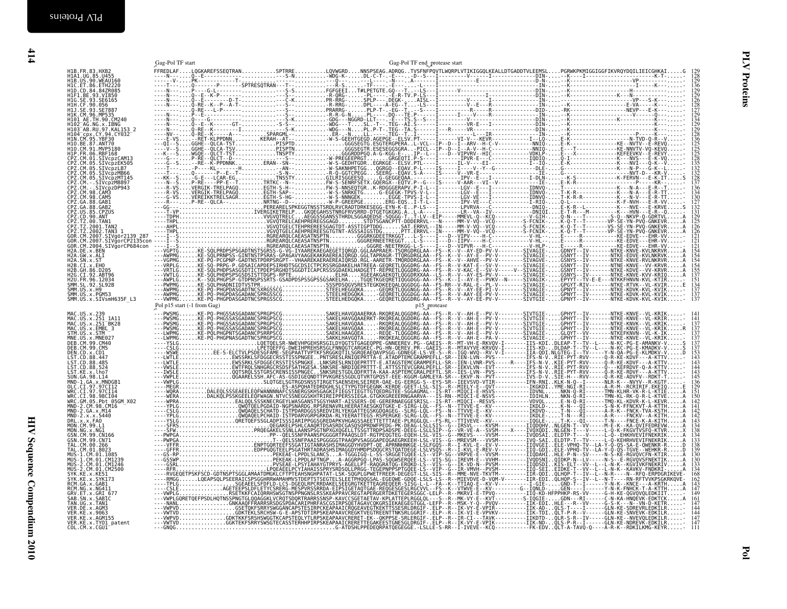| $TA.S \cdot \cdots \cdot I \cdots R \cdot \cdots \vee R \cdot \cdots \cdots \cdots \cdots \cdots \cdot DIN \cdot \cdots \cdot K \cdot$ |                                   |  |  |  |
|----------------------------------------------------------------------------------------------------------------------------------------|-----------------------------------|--|--|--|
|                                                                                                                                        |                                   |  |  |  |
| .<br>SV.PT-----I------VI-V---KEVR------------I--LO-E-K-                                                                                |                                   |  |  |  |
| AL-VCL--IP--D--I--ARV--H-C-V-----------NNIÔ-E-K-                                                                                       |                                   |  |  |  |
| A-PICL--IP--D--I--A-V--H-C--------------NNIÔ-E---                                                                                      |                                   |  |  |  |
| IP--L--I---D--VIPVRV--HIC-------------VDKLP-E---                                                                                       |                                   |  |  |  |
| TI.P-S----I-------IPVR-E---C-------------IODIO-O-I-                                                                                    |                                   |  |  |  |
|                                                                                                                                        |                                   |  |  |  |
| .SV.PTL----I-------IL-V----EI---------------I--IQ-E-K-                                                                                 |                                   |  |  |  |
| AV.P-L----IS-----I----V--Y--G--------------DLE-G---                                                                                    |                                   |  |  |  |
|                                                                                                                                        |                                   |  |  |  |
| AA. - - - - - - - I - - - - - - - IPV - - E - - - I - - - - - - - - - - - - I - DLN - - - K -                                          |                                   |  |  |  |
|                                                                                                                                        |                                   |  |  |  |
| PV.P-I-L--I-------LGV--E---I------------IDNVO-T---                                                                                     |                                   |  |  |  |
| TPVS-V-L--I--------LGV--E---I-------------IDNV0-T-K-                                                                                   |                                   |  |  |  |
| TPVS-I-L--I-------LGV-VE---I------------IDNVO-T-K-                                                                                     |                                   |  |  |  |
|                                                                                                                                        |                                   |  |  |  |
| SI-T-L--I-------IPV-VE---C------------I-RIQ-Q-L-<br>EP-LS---I-------LPVRVA---C-------------DNIQ-E-K-                                   |                                   |  |  |  |
|                                                                                                                                        |                                   |  |  |  |
| AL-A----I--------[R--VA--IV--------------DNIOIE-T-                                                                                     |                                   |  |  |  |
| TT-LV--EIP-----MMEVL-0--KCO-----------V-GIH-O-N-                                                                                       |                                   |  |  |  |
| DDDERRVL---N-----MM-V-VQ--VCQ---------S-FCNIK-K-Q-                                                                                     |                                   |  |  |  |
| AT.ERRVL--IN-----MM-V-VÔ--VCÔ---------S-FCNIK-K-Ô-                                                                                     |                                   |  |  |  |
| TT.ERRVL--IN-----MM-V-VÔ--VCÔ---------S-FCNIK-K-Ô-                                                                                     |                                   |  |  |  |
|                                                                                                                                        |                                   |  |  |  |
| . L-S---- I'--- D--VIPV----H-C--------------V-HL-------E---<br>. L-S---- I---D--IIPV----H-C-------------V-HL-------E---                |                                   |  |  |  |
| :GG-L-S----I---D--VIPVR---H-C-------------V-HLP-E---                                                                                   |                                   |  |  |  |
| RGDRGLAA - - FS - - K - - V - - AY - ED - PV - V - - - - - - - - - SIVAGIE - GDNY                                                      |                                   |  |  |  |
| RGDRGLAA--FS--K--V--AY-E--PV-V--------SIVAGIE-GSNY                                                                                     |                                   |  |  |  |
| RDDRGLAA--FS--K--V--AHVE--PV-V--------SIVAGVE-GSNY                                                                                     |                                   |  |  |  |
|                                                                                                                                        |                                   |  |  |  |
| GGDRG-AA--FS--R--V-KAT-E--SV-V--------SIVAGIE-GSNY                                                                                     |                                   |  |  |  |
| GGDRG-AA--FS--R--V-KAC-E--SV-V-----V--SIVAGIE-GSNY                                                                                     |                                   |  |  |  |
| GGDRXXAA--LS--R--V--AY-ES-PV-V--------SIVAGIE-GSNY                                                                                     |                                   |  |  |  |
| GGDGG-AA--FS--K--I--AY-E--PVKV--N-----SIVAGIK-EPYY                                                                                     |                                   |  |  |  |
|                                                                                                                                        |                                   |  |  |  |
|                                                                                                                                        |                                   |  |  |  |
| GGDGG-AA--FS--R--V-AAY-EE-PV-V--------SIVAGIE-GPNY                                                                                     |                                   |  |  |  |
| GGDRG-AA--FS--R--V--AY-EE-PV-V--------SIVTGIE-GPNY                                                                                     |                                   |  |  |  |
|                                                                                                                                        |                                   |  |  |  |
| p15 protease                                                                                                                           |                                   |  |  |  |
| GGDRG-AA--FS--R--V--AH-E--PV-V--------SIVTGIE-GPHY                                                                                     |                                   |  |  |  |
| GDDRG-AA--FS--R--V--AH-E--PV-V--------SIVTGIE-GPHY                                                                                     |                                   |  |  |  |
| GGDRG-AA--FS--R--V--AH-E--PV-V--------SIVTGIE-GPHY                                                                                     |                                   |  |  |  |
|                                                                                                                                        |                                   |  |  |  |
| GGDRG-AA--FS--R--V--AH-E--PV-V--------SIVTGIE-GPHY                                                                                     |                                   |  |  |  |
| GGDRG-AA--FS--R--V--AH-E--PV-V--------SIVAGIE-GLQY                                                                                     |                                   |  |  |  |
| GGGRG-AA--FS--R--V--AH-E--PA-V--------SIVAGIE-GPHY                                                                                     |                                   |  |  |  |
|                                                                                                                                        | CAFTC B MT VILLE BIGHAVE TTC ICET |  |  |  |

<span id="page-13-0"></span>

|                                                                                                                                                                                     |                             |  |              |  | $\frac{136}{129}$                         |
|-------------------------------------------------------------------------------------------------------------------------------------------------------------------------------------|-----------------------------|--|--------------|--|-------------------------------------------|
|                                                                                                                                                                                     |                             |  |              |  | 126<br>128<br>127<br>129                  |
|                                                                                                                                                                                     |                             |  |              |  | 134<br>129                                |
|                                                                                                                                                                                     |                             |  |              |  | iž9<br>128                                |
|                                                                                                                                                                                     |                             |  |              |  | 125<br>125                                |
|                                                                                                                                                                                     |                             |  |              |  | 125<br>128<br>135<br>132                  |
|                                                                                                                                                                                     |                             |  |              |  |                                           |
|                                                                                                                                                                                     |                             |  |              |  | $\frac{128}{137}$                         |
|                                                                                                                                                                                     |                             |  |              |  | 134<br>130                                |
|                                                                                                                                                                                     |                             |  |              |  | 132                                       |
|                                                                                                                                                                                     |                             |  |              |  | 125<br>126                                |
|                                                                                                                                                                                     |                             |  |              |  | $^{126}_{121}$                            |
|                                                                                                                                                                                     |                             |  |              |  |                                           |
|                                                                                                                                                                                     |                             |  |              |  | $154$<br>$154$<br>$155$<br>$137$<br>$151$ |
|                                                                                                                                                                                     |                             |  |              |  |                                           |
|                                                                                                                                                                                     |                             |  |              |  |                                           |
|                                                                                                                                                                                     | Pol p15 start (-1 from Gag) |  | p15_protease |  |                                           |
| MAC.US.x.239<br>MAC.US.x.251 1A11<br>MAC.US.x.251 1BK28<br>MAC.US.x.EMBE<br>STM.US.x.STM<br>MHC.US.x.MNE027<br>DEB.CM.99.CM40<br>DEB.CM.99.CM40<br>DEB.CM.99.CM40<br>DEB.CM.99.CM40 |                             |  |              |  |                                           |
|                                                                                                                                                                                     |                             |  |              |  | $\frac{137}{137}$                         |
| DEN.CD.x.CD1                                                                                                                                                                        |                             |  |              |  | 137<br>137                                |
| LST.CD.88.447<br>LST.CD.88.485                                                                                                                                                      |                             |  |              |  |                                           |
| LST.CD.88.524<br>LST.KE.x.lho7                                                                                                                                                      |                             |  |              |  | 143<br>145                                |
| SUN.GA.98.L14<br>MND-1.GA.x.MNDGB1<br>OLC.CI.97.97CI12<br>WRC.CI.97.97CI14<br>WRC.CI.98.98CI04                                                                                      |                             |  |              |  |                                           |
| WRC.CL.198.98CL104<br>MRC.GM.05.Pbt 05GM_X02<br>MND-2.CM.98.CM16<br>MND-2.GA.x.M14<br>MND-2.x.x.5440<br>DRL.x.x.FA0<br>MQN.CM.99.L1                                                 |                             |  |              |  | 141                                       |
|                                                                                                                                                                                     |                             |  |              |  | 143                                       |
| MON. NG. x. NG1<br>GSN. CM. 99. CN166<br>GSN. CM. 99. CN71                                                                                                                          |                             |  |              |  | 138                                       |
|                                                                                                                                                                                     |                             |  |              |  | 138<br>139                                |
| USIN: CM. 00.266<br>TAL. CM. 00.266<br>TAL. CM. 01.8023<br>MUS-1. CM. 01. CM1239<br>MUS-2. CM. 01. CM1246                                                                           |                             |  |              |  | 130<br>130                                |
| MUS-2.CM.01.CM2500<br>SYK.KE.x.KE51                                                                                                                                                 |                             |  |              |  | 168                                       |
| SYK.KE.x.SYK173<br>RCM.GA.x.GAB1<br>RCM.NG.x.NG411<br>GRV.ET.x.GRI_677                                                                                                              |                             |  |              |  | 162<br>143<br>147                         |
|                                                                                                                                                                                     |                             |  |              |  | 149<br>161                                |
| SAB.SN.x.SABIC                                                                                                                                                                      |                             |  |              |  | 144                                       |
| TAN.UG.x.TAN1<br>VER.DE.x.AGM3<br>VER.KE.x.9063<br>VER.KE.x.AGM155                                                                                                                  |                             |  |              |  |                                           |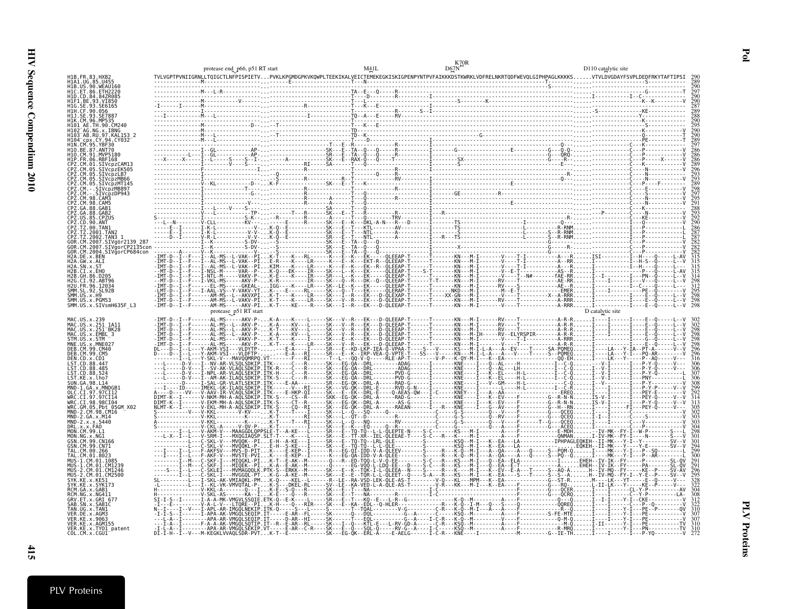|                                                  | protease end_p66, p51 RT start |  | D110 catalytic site |
|--------------------------------------------------|--------------------------------|--|---------------------|
|                                                  |                                |  |                     |
|                                                  |                                |  |                     |
| [VcpzMT145<br>VcnzMR897<br>GAR <sub>1</sub>      |                                |  |                     |
|                                                  |                                |  |                     |
| SMM.US.x.PGM53<br>SMM.US.x.SIVsmH635F_L3         |                                |  |                     |
|                                                  |                                |  |                     |
| CT 98 98CT04<br>Pbt 05GM X02<br>MND-2.CM.98.CM16 |                                |  |                     |
|                                                  |                                |  |                     |
| /ER.KE.x.TY01 patent                             |                                |  |                     |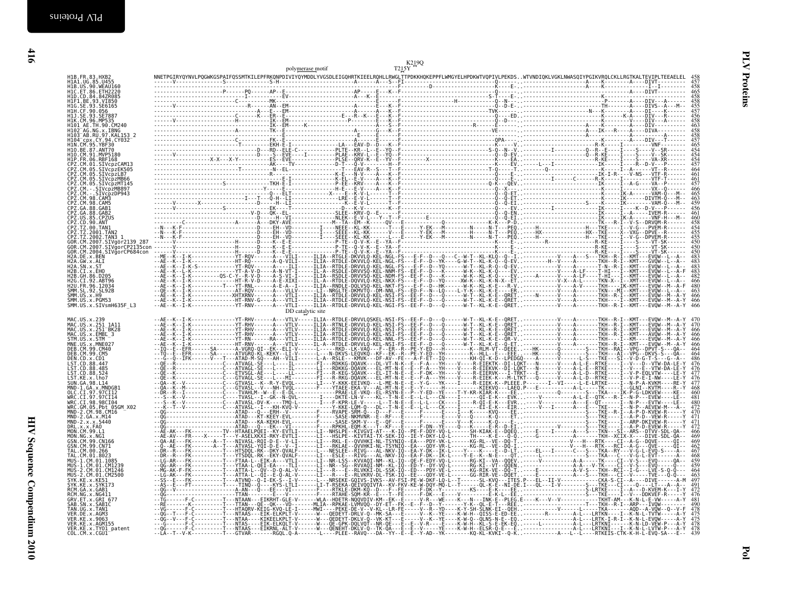|                                                                                                                                                                                                                                                                                                                                                                                                                                                                                                                                                                                                                                                 | polymerase motif  |  |                                        |
|-------------------------------------------------------------------------------------------------------------------------------------------------------------------------------------------------------------------------------------------------------------------------------------------------------------------------------------------------------------------------------------------------------------------------------------------------------------------------------------------------------------------------------------------------------------------------------------------------------------------------------------------------|-------------------|--|----------------------------------------|
|                                                                                                                                                                                                                                                                                                                                                                                                                                                                                                                                                                                                                                                 |                   |  |                                        |
|                                                                                                                                                                                                                                                                                                                                                                                                                                                                                                                                                                                                                                                 |                   |  |                                        |
|                                                                                                                                                                                                                                                                                                                                                                                                                                                                                                                                                                                                                                                 |                   |  |                                        |
|                                                                                                                                                                                                                                                                                                                                                                                                                                                                                                                                                                                                                                                 |                   |  |                                        |
|                                                                                                                                                                                                                                                                                                                                                                                                                                                                                                                                                                                                                                                 |                   |  |                                        |
|                                                                                                                                                                                                                                                                                                                                                                                                                                                                                                                                                                                                                                                 |                   |  |                                        |
|                                                                                                                                                                                                                                                                                                                                                                                                                                                                                                                                                                                                                                                 |                   |  |                                        |
|                                                                                                                                                                                                                                                                                                                                                                                                                                                                                                                                                                                                                                                 |                   |  |                                        |
|                                                                                                                                                                                                                                                                                                                                                                                                                                                                                                                                                                                                                                                 |                   |  |                                        |
|                                                                                                                                                                                                                                                                                                                                                                                                                                                                                                                                                                                                                                                 |                   |  |                                        |
|                                                                                                                                                                                                                                                                                                                                                                                                                                                                                                                                                                                                                                                 |                   |  |                                        |
|                                                                                                                                                                                                                                                                                                                                                                                                                                                                                                                                                                                                                                                 |                   |  |                                        |
|                                                                                                                                                                                                                                                                                                                                                                                                                                                                                                                                                                                                                                                 |                   |  |                                        |
|                                                                                                                                                                                                                                                                                                                                                                                                                                                                                                                                                                                                                                                 |                   |  |                                        |
|                                                                                                                                                                                                                                                                                                                                                                                                                                                                                                                                                                                                                                                 |                   |  |                                        |
|                                                                                                                                                                                                                                                                                                                                                                                                                                                                                                                                                                                                                                                 |                   |  |                                        |
|                                                                                                                                                                                                                                                                                                                                                                                                                                                                                                                                                                                                                                                 |                   |  |                                        |
|                                                                                                                                                                                                                                                                                                                                                                                                                                                                                                                                                                                                                                                 |                   |  |                                        |
|                                                                                                                                                                                                                                                                                                                                                                                                                                                                                                                                                                                                                                                 | DD catalytic site |  |                                        |
| MAC.US.x.239<br>MAC.US.x.251 1A11<br>MAC.US.x.251 1A11<br>MAC.US.x.251 BK28<br>STM.US.x.5TM<br>MME.US.x.5TM<br>DEB.CM.99.CM40<br>DEB.CM.99.CM40                                                                                                                                                                                                                                                                                                                                                                                                                                                                                                 |                   |  | 466                                    |
|                                                                                                                                                                                                                                                                                                                                                                                                                                                                                                                                                                                                                                                 |                   |  | 466<br>466<br>466                      |
| DEB. CM. 99. CM5<br>DEN.CD.x.CD1                                                                                                                                                                                                                                                                                                                                                                                                                                                                                                                                                                                                                |                   |  | 464                                    |
| LST.CD.88.447<br>LST.CD.88.485                                                                                                                                                                                                                                                                                                                                                                                                                                                                                                                                                                                                                  |                   |  | $\frac{476}{477}$                      |
|                                                                                                                                                                                                                                                                                                                                                                                                                                                                                                                                                                                                                                                 |                   |  |                                        |
|                                                                                                                                                                                                                                                                                                                                                                                                                                                                                                                                                                                                                                                 |                   |  |                                        |
|                                                                                                                                                                                                                                                                                                                                                                                                                                                                                                                                                                                                                                                 |                   |  | $\frac{476}{477}$<br>468               |
|                                                                                                                                                                                                                                                                                                                                                                                                                                                                                                                                                                                                                                                 |                   |  |                                        |
|                                                                                                                                                                                                                                                                                                                                                                                                                                                                                                                                                                                                                                                 |                   |  | 471                                    |
|                                                                                                                                                                                                                                                                                                                                                                                                                                                                                                                                                                                                                                                 |                   |  | 471<br>472<br>466                      |
|                                                                                                                                                                                                                                                                                                                                                                                                                                                                                                                                                                                                                                                 |                   |  | 469<br>469                             |
|                                                                                                                                                                                                                                                                                                                                                                                                                                                                                                                                                                                                                                                 |                   |  | $\frac{462}{467}$<br>468               |
|                                                                                                                                                                                                                                                                                                                                                                                                                                                                                                                                                                                                                                                 |                   |  |                                        |
|                                                                                                                                                                                                                                                                                                                                                                                                                                                                                                                                                                                                                                                 |                   |  |                                        |
|                                                                                                                                                                                                                                                                                                                                                                                                                                                                                                                                                                                                                                                 |                   |  |                                        |
|                                                                                                                                                                                                                                                                                                                                                                                                                                                                                                                                                                                                                                                 |                   |  |                                        |
| LST.CD.88.524<br>LST.KE.x.lho7<br>SUN.GA.98.L14<br>MND-1.GA.x.MNDGB1<br>OLC.CI.97.97CI12<br>WRC.CI.97.97CI14<br>WRC.CI.98.98CI04.<br>WRC.GM.05.Pbt 05GM X02<br>MND-2.CM.98.CM16<br>MND-2.GA.x.M14<br>MND-2.x.x.5440<br>MND-2.: x.x.5440<br>MON.CM.99.L1<br>MON.MG.x.NG1<br>GSN.CM.99.CN166<br>GSN.CM.99.CN71<br>TAL.CM.99.2665<br>TAL. CM. 01.8023<br>MUS-1.CM.01.1085<br>MUS-1.CM.01.1085<br>MUS-2.CM.01.CM1246<br>MUS-2.CM.01.CM1246<br>SYK. KE.X. KESI<br>SYK. KE.X. SYK173<br>RCM.GA.x.GAB1<br>RCM. NG. x. NG411<br>GRV. ET. x. GRI 677<br>SAB. SN. x. SABIC<br>TAN. UG. x. TAN1<br>VER. DE. x. AGM3<br>VER. KE. x. 9063<br>VER.KE.x.AGM155 |                   |  | 464<br>497<br>491<br>481<br>490<br>478 |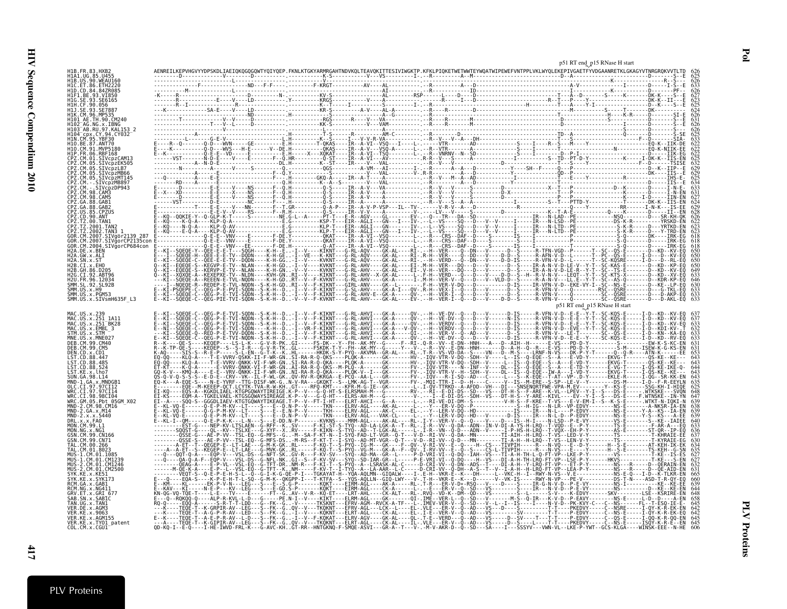|                                        |                                                                                                                                                                                                                                                                                                                                                                                                                                      | p51 RT end p15 RNase H start                               |
|----------------------------------------|--------------------------------------------------------------------------------------------------------------------------------------------------------------------------------------------------------------------------------------------------------------------------------------------------------------------------------------------------------------------------------------------------------------------------------------|------------------------------------------------------------|
|                                        |                                                                                                                                                                                                                                                                                                                                                                                                                                      |                                                            |
|                                        |                                                                                                                                                                                                                                                                                                                                                                                                                                      |                                                            |
|                                        |                                                                                                                                                                                                                                                                                                                                                                                                                                      |                                                            |
|                                        |                                                                                                                                                                                                                                                                                                                                                                                                                                      |                                                            |
|                                        |                                                                                                                                                                                                                                                                                                                                                                                                                                      |                                                            |
|                                        |                                                                                                                                                                                                                                                                                                                                                                                                                                      |                                                            |
|                                        |                                                                                                                                                                                                                                                                                                                                                                                                                                      |                                                            |
|                                        |                                                                                                                                                                                                                                                                                                                                                                                                                                      |                                                            |
|                                        |                                                                                                                                                                                                                                                                                                                                                                                                                                      |                                                            |
|                                        |                                                                                                                                                                                                                                                                                                                                                                                                                                      |                                                            |
|                                        |                                                                                                                                                                                                                                                                                                                                                                                                                                      |                                                            |
|                                        |                                                                                                                                                                                                                                                                                                                                                                                                                                      |                                                            |
|                                        |                                                                                                                                                                                                                                                                                                                                                                                                                                      |                                                            |
|                                        |                                                                                                                                                                                                                                                                                                                                                                                                                                      |                                                            |
|                                        |                                                                                                                                                                                                                                                                                                                                                                                                                                      |                                                            |
|                                        |                                                                                                                                                                                                                                                                                                                                                                                                                                      |                                                            |
|                                        |                                                                                                                                                                                                                                                                                                                                                                                                                                      |                                                            |
|                                        |                                                                                                                                                                                                                                                                                                                                                                                                                                      |                                                            |
|                                        |                                                                                                                                                                                                                                                                                                                                                                                                                                      |                                                            |
|                                        |                                                                                                                                                                                                                                                                                                                                                                                                                                      |                                                            |
| SIVgorCP684con                         |                                                                                                                                                                                                                                                                                                                                                                                                                                      |                                                            |
|                                        |                                                                                                                                                                                                                                                                                                                                                                                                                                      |                                                            |
|                                        |                                                                                                                                                                                                                                                                                                                                                                                                                                      |                                                            |
|                                        |                                                                                                                                                                                                                                                                                                                                                                                                                                      |                                                            |
|                                        |                                                                                                                                                                                                                                                                                                                                                                                                                                      |                                                            |
|                                        |                                                                                                                                                                                                                                                                                                                                                                                                                                      |                                                            |
|                                        |                                                                                                                                                                                                                                                                                                                                                                                                                                      |                                                            |
|                                        |                                                                                                                                                                                                                                                                                                                                                                                                                                      |                                                            |
|                                        |                                                                                                                                                                                                                                                                                                                                                                                                                                      | p51 RT end p15 RNase H start<br>-V-D--E-E--Y-T--SC-KQS-E-- |
|                                        |                                                                                                                                                                                                                                                                                                                                                                                                                                      |                                                            |
|                                        |                                                                                                                                                                                                                                                                                                                                                                                                                                      |                                                            |
|                                        |                                                                                                                                                                                                                                                                                                                                                                                                                                      |                                                            |
|                                        |                                                                                                                                                                                                                                                                                                                                                                                                                                      |                                                            |
|                                        |                                                                                                                                                                                                                                                                                                                                                                                                                                      |                                                            |
|                                        |                                                                                                                                                                                                                                                                                                                                                                                                                                      |                                                            |
|                                        |                                                                                                                                                                                                                                                                                                                                                                                                                                      |                                                            |
|                                        |                                                                                                                                                                                                                                                                                                                                                                                                                                      |                                                            |
|                                        |                                                                                                                                                                                                                                                                                                                                                                                                                                      |                                                            |
|                                        |                                                                                                                                                                                                                                                                                                                                                                                                                                      |                                                            |
|                                        |                                                                                                                                                                                                                                                                                                                                                                                                                                      |                                                            |
|                                        |                                                                                                                                                                                                                                                                                                                                                                                                                                      |                                                            |
|                                        |                                                                                                                                                                                                                                                                                                                                                                                                                                      |                                                            |
|                                        |                                                                                                                                                                                                                                                                                                                                                                                                                                      |                                                            |
|                                        |                                                                                                                                                                                                                                                                                                                                                                                                                                      |                                                            |
|                                        |                                                                                                                                                                                                                                                                                                                                                                                                                                      |                                                            |
|                                        |                                                                                                                                                                                                                                                                                                                                                                                                                                      |                                                            |
|                                        |                                                                                                                                                                                                                                                                                                                                                                                                                                      |                                                            |
|                                        |                                                                                                                                                                                                                                                                                                                                                                                                                                      |                                                            |
|                                        |                                                                                                                                                                                                                                                                                                                                                                                                                                      |                                                            |
|                                        |                                                                                                                                                                                                                                                                                                                                                                                                                                      |                                                            |
|                                        |                                                                                                                                                                                                                                                                                                                                                                                                                                      |                                                            |
|                                        | $\begin{smallmatrix} \textbf{1} & \textbf{1} & \textbf{2} & \textbf{3} & \textbf{4} & \textbf{5} & \textbf{6} & \textbf{7} & \textbf{8} & \textbf{8} & \textbf{9} & \textbf{1} & \textbf{1} & \textbf{1} & \textbf{1} & \textbf{1} & \textbf{1} & \textbf{1} & \textbf{1} & \textbf{1} & \textbf{1} & \textbf{1} & \textbf{1} & \textbf{1} & \textbf{1} & \textbf{1} & \textbf{1} & \textbf{1} & \textbf{1} & \textbf{1} & \textbf{$ |                                                            |
| ER.KE.x.AGM155<br>VER.KE.x.TY01 patent |                                                                                                                                                                                                                                                                                                                                                                                                                                      |                                                            |
|                                        |                                                                                                                                                                                                                                                                                                                                                                                                                                      |                                                            |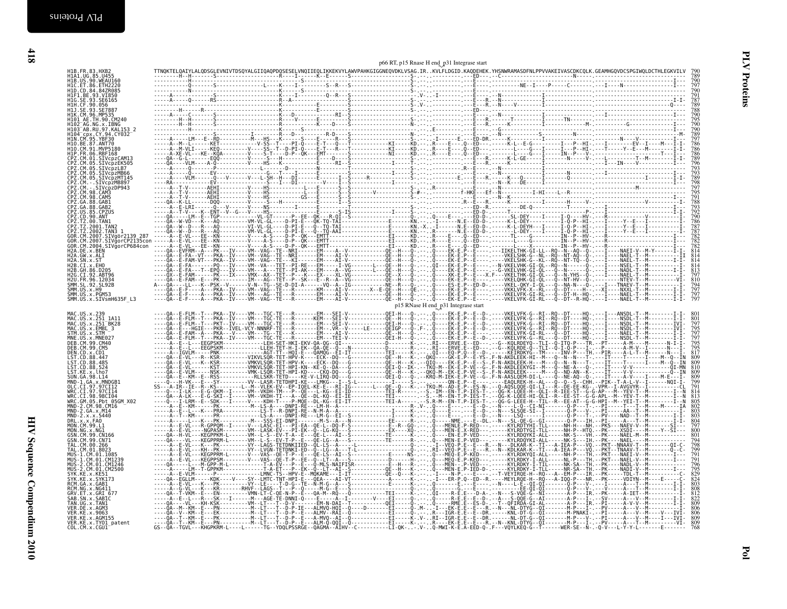| MAC.US.x.239                                                                                  |  |  |  |  | p15 RNase H end_p31 Integrase start |  |  |  |                   |
|-----------------------------------------------------------------------------------------------|--|--|--|--|-------------------------------------|--|--|--|-------------------|
| MAC.US.x.251_1A11<br>MAC.US.x.251_1A11<br>MAC.US.x.EMBL_3                                     |  |  |  |  |                                     |  |  |  |                   |
| STM.US.x.STM<br>MNE.US.x.MNE027                                                               |  |  |  |  |                                     |  |  |  | 795<br>797        |
| DEB.CM.99.CM40<br>DEB.CM.99.CM5                                                               |  |  |  |  |                                     |  |  |  |                   |
| DEN.CD.x.CD1<br>LST.CD.88.447<br>LST.CD.88.485                                                |  |  |  |  |                                     |  |  |  | 809               |
| LST. CD. 88.524<br>LST.KE.x.lho7                                                              |  |  |  |  |                                     |  |  |  | 810               |
| SUN.GA.98.L14<br>MND-1.GA.x.MNDGB1                                                            |  |  |  |  |                                     |  |  |  | 809               |
|                                                                                               |  |  |  |  |                                     |  |  |  |                   |
| MND-2.CM.98.CM16                                                                              |  |  |  |  |                                     |  |  |  |                   |
| MND-2.6A.x.M14<br>MND-2.x.x.5440<br>DRL.x.x.FA0<br>DRL.x.x.FA0<br>MON.CM.99.L1                |  |  |  |  |                                     |  |  |  | 803<br>804        |
|                                                                                               |  |  |  |  |                                     |  |  |  | 800               |
| MON.NG.X.NGĪ<br>GSN.CM.99.CN166<br>GSN.CM.99.CN71                                             |  |  |  |  |                                     |  |  |  | 801               |
| 05N.CM.00.266<br>TAL.CM.00.266<br>TAL.CM.01.8023<br>MUS-1.CM.01.1085                          |  |  |  |  |                                     |  |  |  |                   |
| MUS-1.CM.01.CM1239                                                                            |  |  |  |  |                                     |  |  |  | $\frac{791}{791}$ |
| HUS-2.CM.01.CM123<br>MUS-2.CM.01.CM1246<br>SYK.KE.x.KE51<br>SYK.KE.x.SYK173<br>RCM.GA.x.GAB1, |  |  |  |  |                                     |  |  |  |                   |
| RCM.NG.x.NG411                                                                                |  |  |  |  |                                     |  |  |  |                   |
| GRV.ET.x.GRI 677<br>SAB.SN.x.SABIC                                                            |  |  |  |  |                                     |  |  |  |                   |
| TAN.UG.x.TAN1<br>VER.DE.x.AGM3                                                                |  |  |  |  |                                     |  |  |  | 809<br>806        |
| VER.KE.x.9063<br>VER.KE.x.AGM155<br>VER.KE.x.TY01_patent                                      |  |  |  |  |                                     |  |  |  | 806<br>809<br>809 |
| COL.CM.x.CGU1                                                                                 |  |  |  |  |                                     |  |  |  |                   |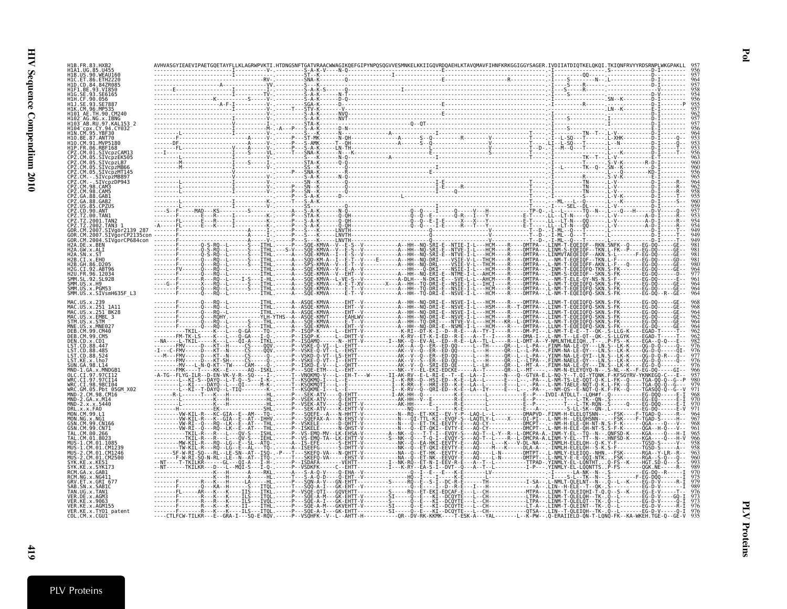| SMM.US.x.PGM53<br>WRC.GM.05.Pht 05GM X02<br>MND-2.GA.x.M14<br>ER.KE.x.AGM155<br>VER.KE.x.TY01_patent |  |  |  |  |  |  |
|------------------------------------------------------------------------------------------------------|--|--|--|--|--|--|
|                                                                                                      |  |  |  |  |  |  |
|                                                                                                      |  |  |  |  |  |  |
|                                                                                                      |  |  |  |  |  |  |
|                                                                                                      |  |  |  |  |  |  |
|                                                                                                      |  |  |  |  |  |  |
|                                                                                                      |  |  |  |  |  |  |
|                                                                                                      |  |  |  |  |  |  |
|                                                                                                      |  |  |  |  |  |  |
|                                                                                                      |  |  |  |  |  |  |
|                                                                                                      |  |  |  |  |  |  |
|                                                                                                      |  |  |  |  |  |  |
|                                                                                                      |  |  |  |  |  |  |
|                                                                                                      |  |  |  |  |  |  |
|                                                                                                      |  |  |  |  |  |  |
|                                                                                                      |  |  |  |  |  |  |
|                                                                                                      |  |  |  |  |  |  |
|                                                                                                      |  |  |  |  |  |  |
|                                                                                                      |  |  |  |  |  |  |
|                                                                                                      |  |  |  |  |  |  |
|                                                                                                      |  |  |  |  |  |  |
|                                                                                                      |  |  |  |  |  |  |
|                                                                                                      |  |  |  |  |  |  |
|                                                                                                      |  |  |  |  |  |  |
|                                                                                                      |  |  |  |  |  |  |
|                                                                                                      |  |  |  |  |  |  |
|                                                                                                      |  |  |  |  |  |  |
|                                                                                                      |  |  |  |  |  |  |
|                                                                                                      |  |  |  |  |  |  |
|                                                                                                      |  |  |  |  |  |  |
|                                                                                                      |  |  |  |  |  |  |
|                                                                                                      |  |  |  |  |  |  |
|                                                                                                      |  |  |  |  |  |  |
|                                                                                                      |  |  |  |  |  |  |
|                                                                                                      |  |  |  |  |  |  |
|                                                                                                      |  |  |  |  |  |  |
|                                                                                                      |  |  |  |  |  |  |
|                                                                                                      |  |  |  |  |  |  |
|                                                                                                      |  |  |  |  |  |  |
|                                                                                                      |  |  |  |  |  |  |
|                                                                                                      |  |  |  |  |  |  |
|                                                                                                      |  |  |  |  |  |  |
|                                                                                                      |  |  |  |  |  |  |
|                                                                                                      |  |  |  |  |  |  |
|                                                                                                      |  |  |  |  |  |  |
|                                                                                                      |  |  |  |  |  |  |
|                                                                                                      |  |  |  |  |  |  |
|                                                                                                      |  |  |  |  |  |  |
|                                                                                                      |  |  |  |  |  |  |
|                                                                                                      |  |  |  |  |  |  |
|                                                                                                      |  |  |  |  |  |  |
|                                                                                                      |  |  |  |  |  |  |
|                                                                                                      |  |  |  |  |  |  |
|                                                                                                      |  |  |  |  |  |  |
|                                                                                                      |  |  |  |  |  |  |
|                                                                                                      |  |  |  |  |  |  |
|                                                                                                      |  |  |  |  |  |  |
|                                                                                                      |  |  |  |  |  |  |
|                                                                                                      |  |  |  |  |  |  |
|                                                                                                      |  |  |  |  |  |  |
|                                                                                                      |  |  |  |  |  |  |
|                                                                                                      |  |  |  |  |  |  |
|                                                                                                      |  |  |  |  |  |  |
|                                                                                                      |  |  |  |  |  |  |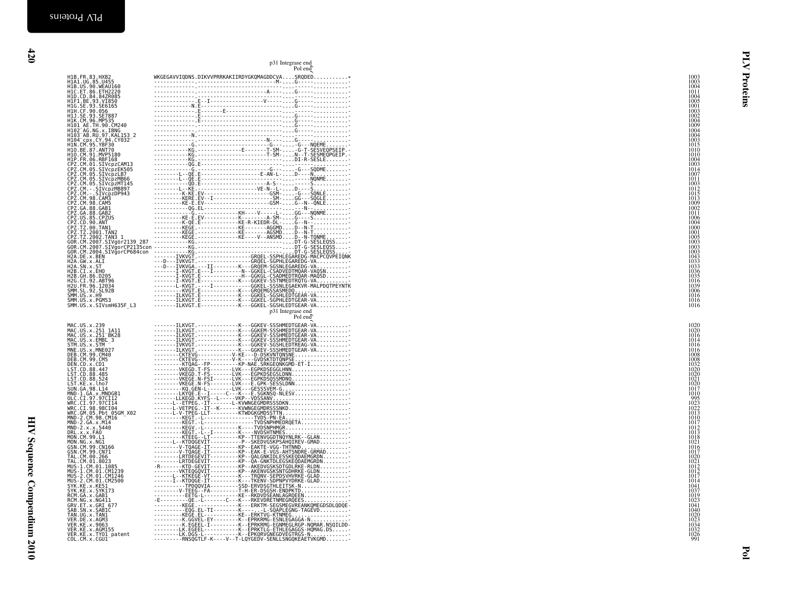|                                                                                                                                                                  | p31 Integrase end<br>Pol end                                                                                                                                                                                                                                                                                                                                                                                                                                     |                                                             |
|------------------------------------------------------------------------------------------------------------------------------------------------------------------|------------------------------------------------------------------------------------------------------------------------------------------------------------------------------------------------------------------------------------------------------------------------------------------------------------------------------------------------------------------------------------------------------------------------------------------------------------------|-------------------------------------------------------------|
|                                                                                                                                                                  | 110. $P_1, 3, 10826$<br>110. $P_2, 3, 10826$<br>110. $P_3, 4, 1083$<br>110. $P_4, 5, 1083$<br>110. $P_5, 6, 10826$<br>110. $P_5, 7, 1083$<br>110. $P_6, 6, 1083$<br>110. $P_6, 7, 1083$<br>110. $P_7, 6, 1083$<br>110. $P_7, 6, 1083$<br>110. $P_$                                                                                                                                                                                                               | $\begin{array}{c} 1003 \\ 1003 \\ 1004 \end{array}$         |
|                                                                                                                                                                  |                                                                                                                                                                                                                                                                                                                                                                                                                                                                  | Proteins<br>1011<br>1004                                    |
|                                                                                                                                                                  |                                                                                                                                                                                                                                                                                                                                                                                                                                                                  | 1005<br>1001<br>1003                                        |
|                                                                                                                                                                  |                                                                                                                                                                                                                                                                                                                                                                                                                                                                  | 1002<br>1004<br>1009<br>1004                                |
|                                                                                                                                                                  |                                                                                                                                                                                                                                                                                                                                                                                                                                                                  | 1004                                                        |
|                                                                                                                                                                  |                                                                                                                                                                                                                                                                                                                                                                                                                                                                  | 1003<br>1015<br>1010                                        |
|                                                                                                                                                                  |                                                                                                                                                                                                                                                                                                                                                                                                                                                                  | 1010<br>1004                                                |
|                                                                                                                                                                  |                                                                                                                                                                                                                                                                                                                                                                                                                                                                  | $\frac{1014}{1007}$<br>1011                                 |
|                                                                                                                                                                  |                                                                                                                                                                                                                                                                                                                                                                                                                                                                  | 1003<br>1012                                                |
|                                                                                                                                                                  |                                                                                                                                                                                                                                                                                                                                                                                                                                                                  | 1015<br>1013<br>1009<br>1002                                |
|                                                                                                                                                                  |                                                                                                                                                                                                                                                                                                                                                                                                                                                                  | $\begin{array}{c} 1011 \\ 1006 \\ 1004 \end{array}$         |
|                                                                                                                                                                  |                                                                                                                                                                                                                                                                                                                                                                                                                                                                  | 1000<br>1001                                                |
|                                                                                                                                                                  |                                                                                                                                                                                                                                                                                                                                                                                                                                                                  | 1005<br>1003<br>1003                                        |
|                                                                                                                                                                  |                                                                                                                                                                                                                                                                                                                                                                                                                                                                  | 1003<br>1043                                                |
|                                                                                                                                                                  |                                                                                                                                                                                                                                                                                                                                                                                                                                                                  | 1033<br>1033<br>1036                                        |
|                                                                                                                                                                  |                                                                                                                                                                                                                                                                                                                                                                                                                                                                  | 1016<br>1039                                                |
|                                                                                                                                                                  |                                                                                                                                                                                                                                                                                                                                                                                                                                                                  | 1006<br>1016<br>1016                                        |
|                                                                                                                                                                  | p31 Integrase end                                                                                                                                                                                                                                                                                                                                                                                                                                                | 1016                                                        |
|                                                                                                                                                                  | Pol end<br>-------ILKVGT.------------K---GGKEV-SSSHMEDTGEAR-VA                                                                                                                                                                                                                                                                                                                                                                                                   | $\begin{array}{c} 1020 \\ 1020 \\ 1016 \end{array}$         |
| MAC.US.x.239<br>MAC.US.x.251_1A11<br>MAC.US.x.251_BK28<br>MAC.US.x.EMBL 3                                                                                        |                                                                                                                                                                                                                                                                                                                                                                                                                                                                  | 1014                                                        |
| STM.US.x.STM                                                                                                                                                     |                                                                                                                                                                                                                                                                                                                                                                                                                                                                  | 1016<br>1016<br>1008<br>1008                                |
| STIME.US. X. STIM<br>DEB. CM. 99. CM40<br>DEB. CM. 99. CM40<br>DEN. CD. X. CD1<br>LST. CD. 88. 447<br>LST. CD. 88. 447                                           |                                                                                                                                                                                                                                                                                                                                                                                                                                                                  | 1032<br>1020                                                |
| LST.CD.88.524<br>LST.KE.x.lho7<br>SUN.GA.98.L14                                                                                                                  |                                                                                                                                                                                                                                                                                                                                                                                                                                                                  | 1020<br>1021<br>1020                                        |
|                                                                                                                                                                  |                                                                                                                                                                                                                                                                                                                                                                                                                                                                  | 1017<br>1010                                                |
| MND-1.6A.x.MNDGB1<br>OLC.CI.97.97CI12<br>WRC.CI.97.97CI14<br>WRC.CI.98.98CI04                                                                                    |                                                                                                                                                                                                                                                                                                                                                                                                                                                                  | $\begin{array}{c} 995 \\ 1023 \\ 1022 \end{array}$<br>1013  |
| WRC.CH.95.9bt<br>MRC.GM.05.Pbt 05GM_X02<br>MND-2.CM.98.CM16<br>MND-2.GA.x.M14<br>MND-2.x.x.5440                                                                  |                                                                                                                                                                                                                                                                                                                                                                                                                                                                  | 1010<br>1017<br>1012                                        |
|                                                                                                                                                                  |                                                                                                                                                                                                                                                                                                                                                                                                                                                                  | 1013<br>1018<br>1021                                        |
| PIND - 2. x.x. 53449<br>MON. CM. 99. L1<br>MON. NG. x. NG1<br>GSN. CM. 99. CN166<br>GSN. CM. 99. CN71<br>TAL. CM. 00. 266<br>TAL. CM. 00. 266<br>MIE. 1. M. 8023 |                                                                                                                                                                                                                                                                                                                                                                                                                                                                  | $\frac{1016}{1017}$                                         |
| MUS-1.CM.01.1085                                                                                                                                                 |                                                                                                                                                                                                                                                                                                                                                                                                                                                                  | $\frac{1020}{1021}$<br>1012                                 |
| MUS-1.CM.01.CM1239<br>MUS-2.CM.01.CM1246<br>MUS-2.CM.01.CM2500                                                                                                   |                                                                                                                                                                                                                                                                                                                                                                                                                                                                  | 1012<br>1017<br>1014                                        |
| FOR THE X. KES1<br>SYK. KE. X. KES1<br>SYK. KE. X. SYK173<br>RCM. GA. X. GAB1<br>RCM. NG. X. NG411<br>GRV. ET. X. GR1_677                                        |                                                                                                                                                                                                                                                                                                                                                                                                                                                                  | $\begin{array}{c} 1041 \\ 1037 \\ 1019 \\ 1023 \end{array}$ |
|                                                                                                                                                                  |                                                                                                                                                                                                                                                                                                                                                                                                                                                                  | 1041<br>1040                                                |
| SAB.SN.x.SABIC<br>TAN.UG.x.TAN1<br>VER.DE.x.AGM3<br>VER.KE.x.9063                                                                                                |                                                                                                                                                                                                                                                                                                                                                                                                                                                                  | 1020                                                        |
| VER.KE.x.AGM155<br>VER.KE.x.TY01_patent<br>COL.CM.x.CGU1                                                                                                         | $\begin{tabular}{c cccc} \multicolumn{1}{c}{\textbf{F1}} & \multicolumn{1}{c}{\textbf{F2}} & \multicolumn{1}{c}{\textbf{F3}} & \multicolumn{1}{c}{\textbf{F4}} & \multicolumn{1}{c}{\textbf{F6}} & \multicolumn{1}{c}{\textbf{F8}} & \multicolumn{1}{c}{\textbf{F9}} & \multicolumn{1}{c}{\textbf{F9}} & \multicolumn{1}{c}{\textbf{F9}} & \multicolumn{1}{c}{\textbf{F9}} & \multicolumn{1}{c}{\textbf{F9}} & \multicolumn{1}{c}{\textbf{F9}} & \multicolumn{1$ | 1023<br>1034<br>1032<br>1026<br>991                         |
|                                                                                                                                                                  |                                                                                                                                                                                                                                                                                                                                                                                                                                                                  |                                                             |
|                                                                                                                                                                  |                                                                                                                                                                                                                                                                                                                                                                                                                                                                  | ਣੂ                                                          |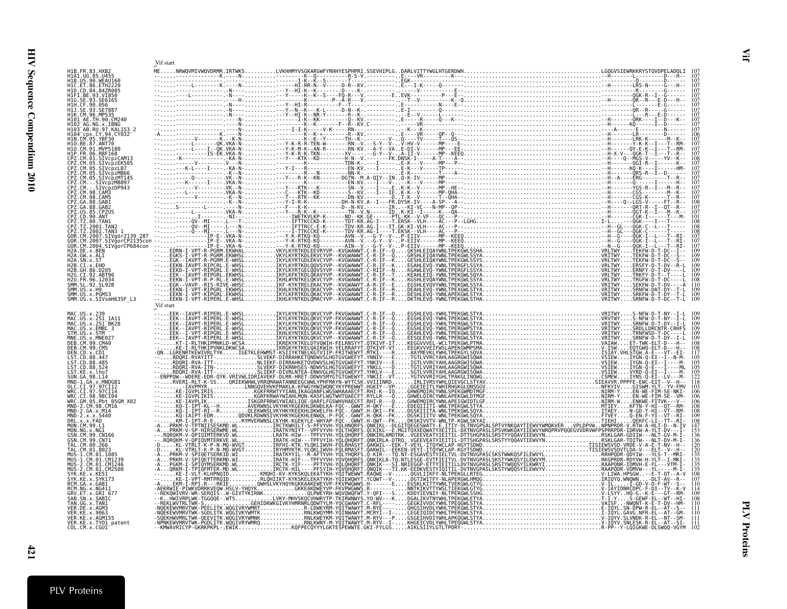<span id="page-20-0"></span>

|                                            | Vif start |  |  |
|--------------------------------------------|-----------|--|--|
|                                            |           |  |  |
|                                            |           |  |  |
|                                            |           |  |  |
|                                            |           |  |  |
|                                            |           |  |  |
|                                            |           |  |  |
|                                            |           |  |  |
|                                            |           |  |  |
|                                            |           |  |  |
|                                            |           |  |  |
|                                            |           |  |  |
|                                            |           |  |  |
|                                            |           |  |  |
|                                            |           |  |  |
|                                            |           |  |  |
|                                            |           |  |  |
|                                            |           |  |  |
|                                            |           |  |  |
|                                            |           |  |  |
|                                            |           |  |  |
|                                            |           |  |  |
|                                            |           |  |  |
|                                            |           |  |  |
|                                            |           |  |  |
|                                            |           |  |  |
|                                            |           |  |  |
|                                            |           |  |  |
|                                            | Vif start |  |  |
| MAC.US.x.239                               |           |  |  |
| MAC.US.x.251 1A11<br>MAC.US.x.251 BK28     |           |  |  |
| MAC.US.x.EMBL 3                            |           |  |  |
| STM. US. x. STM<br>MNE.US.x.MNE027         |           |  |  |
| DEB. CM. 99. CM40<br>DEB.CM.99.CM5         |           |  |  |
| DEN.CD.x.CD1<br>LST.CD.88.447              |           |  |  |
| ST.CD.88.485                               |           |  |  |
| LST.KE.x.lho7                              |           |  |  |
| SUN.GA.98.L14<br>MND-1.GA.x.MNDGB1         |           |  |  |
| WRC.CI.97.97CI14                           |           |  |  |
| WRC.CI.98.98CI04<br>WRC.GM.05.Pbt 05GM X02 |           |  |  |
| MND-2.CM.98.CM16                           |           |  |  |
| MND-2.GA.x.M14                             |           |  |  |
| DRL.x.x.FAO<br>MON.CM.99.L1                |           |  |  |
| MON.NG.x.NG1<br>GŚN.CM.99.CN166            |           |  |  |
| GSN.CM.99.CN71                             |           |  |  |
| TAL.CM.00.266<br>TAL.CM.01.8023            |           |  |  |
| MUS-1.CM.01.1085<br>MUS-1.CM.01.CM1239     |           |  |  |
| MUS-2.CM.01.CM1246<br>2.CM.01.CM2500       |           |  |  |
|                                            |           |  |  |
|                                            |           |  |  |
| RCM.NG.x.NG411<br>GRV.ET.x.GRI 677         |           |  |  |
| SAB.SN.x.SABIC<br>TAN. UG. x. TAN1         |           |  |  |
| VER.DE.x.AGM3<br>VER.KE.x.9063             |           |  |  |
| VER.KE.x.AGM155<br>VER.KE.x.TY01_patent    |           |  |  |
| COL.CM.x.CGU1                              |           |  |  |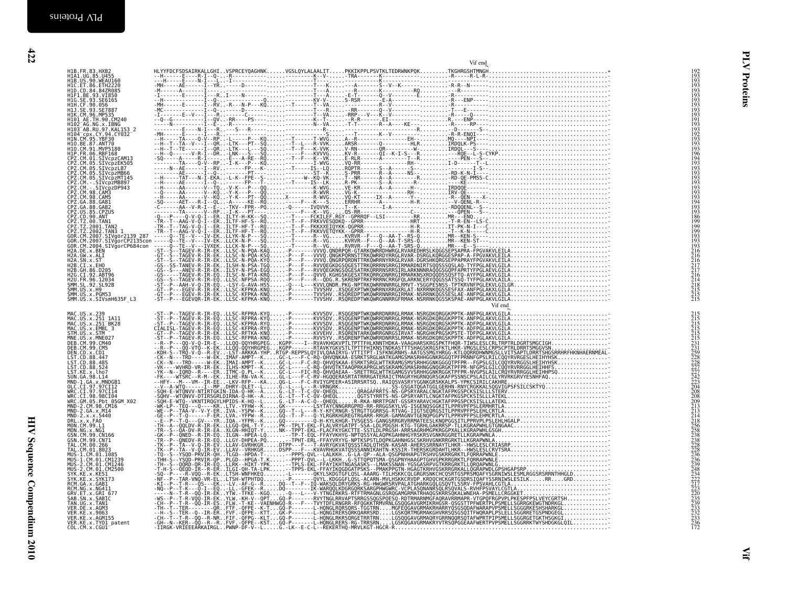| H1B.FR.83.HXB2<br>H1A1.UG.85.U455<br>H1B.US.90.WEAU160                                                                                                                                                                                                       |  |  |         |                                                                                                                                                                                                                                                                                                                                                                                                              | $\frac{192}{193}$<br>193                                                  |
|--------------------------------------------------------------------------------------------------------------------------------------------------------------------------------------------------------------------------------------------------------------|--|--|---------|--------------------------------------------------------------------------------------------------------------------------------------------------------------------------------------------------------------------------------------------------------------------------------------------------------------------------------------------------------------------------------------------------------------|---------------------------------------------------------------------------|
| HIC.ET.86.ETH2220                                                                                                                                                                                                                                            |  |  |         |                                                                                                                                                                                                                                                                                                                                                                                                              | 193<br>193                                                                |
| H1D.CD.84.84ZR085<br>H1D.CD.84.84ZR085<br>H1F1.BE.93.VI850                                                                                                                                                                                                   |  |  |         |                                                                                                                                                                                                                                                                                                                                                                                                              | 193<br>193                                                                |
| HIG.SE.93.SE6165<br>H1H.CF.90.056                                                                                                                                                                                                                            |  |  |         |                                                                                                                                                                                                                                                                                                                                                                                                              | 193<br>193                                                                |
| H1J.SE.93.SE7887<br>H1J. SE: 93. SE/009<br>H1R. CM. 96. MP535<br>H101_AE. TH. 90. CM240<br>H103_A6. NG. x. TBNG<br>H103_AB. RU. 97. KAL153_2<br>H1N. CM. 95. YBF30<br>H1N. CM. 95. YBF30                                                                     |  |  |         |                                                                                                                                                                                                                                                                                                                                                                                                              |                                                                           |
|                                                                                                                                                                                                                                                              |  |  |         |                                                                                                                                                                                                                                                                                                                                                                                                              | $\frac{193}{191}$<br>$\frac{193}{193}$                                    |
|                                                                                                                                                                                                                                                              |  |  |         |                                                                                                                                                                                                                                                                                                                                                                                                              | 192                                                                       |
|                                                                                                                                                                                                                                                              |  |  |         |                                                                                                                                                                                                                                                                                                                                                                                                              | 193<br>193                                                                |
| HIN.CM: 95.7BF30<br>H1O.BE.87.ANT70<br>H1O.CM.91.MVP5180<br>CPZ.CM.01.SIVcpzCAM13<br>CPZ.CM.05.SIVcpzCAM13<br>CPZ.CM.05.SIVcpzEK505<br>CPZ.CM.05.SIVcpzMB66                                                                                                  |  |  |         |                                                                                                                                                                                                                                                                                                                                                                                                              | 193<br>196                                                                |
|                                                                                                                                                                                                                                                              |  |  |         |                                                                                                                                                                                                                                                                                                                                                                                                              | 194<br>193                                                                |
|                                                                                                                                                                                                                                                              |  |  |         |                                                                                                                                                                                                                                                                                                                                                                                                              | 193<br>193                                                                |
|                                                                                                                                                                                                                                                              |  |  |         |                                                                                                                                                                                                                                                                                                                                                                                                              | $\frac{193}{193}$                                                         |
|                                                                                                                                                                                                                                                              |  |  |         |                                                                                                                                                                                                                                                                                                                                                                                                              | $\frac{193}{193}$                                                         |
|                                                                                                                                                                                                                                                              |  |  |         |                                                                                                                                                                                                                                                                                                                                                                                                              | 193<br>194                                                                |
|                                                                                                                                                                                                                                                              |  |  |         |                                                                                                                                                                                                                                                                                                                                                                                                              | 193                                                                       |
|                                                                                                                                                                                                                                                              |  |  |         |                                                                                                                                                                                                                                                                                                                                                                                                              | 193<br>186                                                                |
|                                                                                                                                                                                                                                                              |  |  |         |                                                                                                                                                                                                                                                                                                                                                                                                              | 199<br>199                                                                |
| CP2: CM: 08: SITVCP2LB3<br>CP2: CM: 08: SITVCP2LB3<br>CP2: CM: 08: SITVCP2MB097<br>CP2: CM: 08: SITVCP2MB097<br>CP2: CM: 08: CMP2<br>CP2: CM: 08: CMP2<br>CP2: CM: 08: CMP2<br>CP2: CM: 08: CMP2<br>CP2: CM: 08: CMP2<br>CP2: T2: 00: TAN<br>CP2: T2: 00: TA |  |  |         |                                                                                                                                                                                                                                                                                                                                                                                                              | $\frac{199}{193}$                                                         |
|                                                                                                                                                                                                                                                              |  |  |         |                                                                                                                                                                                                                                                                                                                                                                                                              | $\frac{193}{193}$                                                         |
|                                                                                                                                                                                                                                                              |  |  |         |                                                                                                                                                                                                                                                                                                                                                                                                              |                                                                           |
|                                                                                                                                                                                                                                                              |  |  |         |                                                                                                                                                                                                                                                                                                                                                                                                              |                                                                           |
|                                                                                                                                                                                                                                                              |  |  |         |                                                                                                                                                                                                                                                                                                                                                                                                              | 216<br>216<br>216<br>217<br>217<br>214<br>218<br>215<br>215<br>215<br>215 |
| H2U.FR.96.12034                                                                                                                                                                                                                                              |  |  |         |                                                                                                                                                                                                                                                                                                                                                                                                              |                                                                           |
|                                                                                                                                                                                                                                                              |  |  |         |                                                                                                                                                                                                                                                                                                                                                                                                              |                                                                           |
| : 2001 : 10.1292 : 51.928<br>SMM . US . x . H9<br>SMM . US . x . H9<br>SMM . US . x . SIVsmH635F_L3                                                                                                                                                          |  |  |         |                                                                                                                                                                                                                                                                                                                                                                                                              |                                                                           |
|                                                                                                                                                                                                                                                              |  |  | Vif end |                                                                                                                                                                                                                                                                                                                                                                                                              |                                                                           |
| MAC.US.x.239                                                                                                                                                                                                                                                 |  |  |         |                                                                                                                                                                                                                                                                                                                                                                                                              |                                                                           |
| MAC.US.x.251_1A11<br>MAC.US.x.251_1A11<br>MAC.US.x.EMBL_3                                                                                                                                                                                                    |  |  |         |                                                                                                                                                                                                                                                                                                                                                                                                              |                                                                           |
| STM.US.x.STM<br>MNE.US.x.MNE027                                                                                                                                                                                                                              |  |  |         |                                                                                                                                                                                                                                                                                                                                                                                                              |                                                                           |
| DEB.CM.99.CM40<br>DEB. CM. 99. CM5                                                                                                                                                                                                                           |  |  |         |                                                                                                                                                                                                                                                                                                                                                                                                              |                                                                           |
| DEN CD . x . CD1<br>LST . CD . 88 . 447<br>LST . CD . 88 . 485<br>LST . CD . 88 . 524<br>LST . KE . x . Lho .<br>LST . KE . x . Lho .                                                                                                                        |  |  |         |                                                                                                                                                                                                                                                                                                                                                                                                              |                                                                           |
|                                                                                                                                                                                                                                                              |  |  |         |                                                                                                                                                                                                                                                                                                                                                                                                              |                                                                           |
|                                                                                                                                                                                                                                                              |  |  |         |                                                                                                                                                                                                                                                                                                                                                                                                              |                                                                           |
|                                                                                                                                                                                                                                                              |  |  |         |                                                                                                                                                                                                                                                                                                                                                                                                              |                                                                           |
| MND-1:04.x.MND0b1<br>OLC.CI.97.97CI12<br>WRC.CI.98.98CI04<br>WRC.GM.05.Pbt 05GM_X02<br>MND-2.CM.98.CM16<br>MND-2.CM.98.CM16                                                                                                                                  |  |  |         |                                                                                                                                                                                                                                                                                                                                                                                                              |                                                                           |
|                                                                                                                                                                                                                                                              |  |  |         |                                                                                                                                                                                                                                                                                                                                                                                                              |                                                                           |
|                                                                                                                                                                                                                                                              |  |  |         |                                                                                                                                                                                                                                                                                                                                                                                                              |                                                                           |
|                                                                                                                                                                                                                                                              |  |  |         |                                                                                                                                                                                                                                                                                                                                                                                                              |                                                                           |
|                                                                                                                                                                                                                                                              |  |  |         |                                                                                                                                                                                                                                                                                                                                                                                                              |                                                                           |
| MND-2.CM. 98.CM14<br>MND-2.GA.x.M14<br>MND-2.x.x.5440<br>DRL.x.x.FAO<br>MON.MG.x.NG1<br>GSN.CM.99.CN166<br>GSN.CM.99.CN71<br>TAL.CM.99.CN71                                                                                                                  |  |  |         |                                                                                                                                                                                                                                                                                                                                                                                                              |                                                                           |
| 05N.CM.00.266<br>TAL.CM.00.266<br>TAL.CM.01.8023                                                                                                                                                                                                             |  |  |         |                                                                                                                                                                                                                                                                                                                                                                                                              |                                                                           |
|                                                                                                                                                                                                                                                              |  |  |         |                                                                                                                                                                                                                                                                                                                                                                                                              |                                                                           |
|                                                                                                                                                                                                                                                              |  |  |         |                                                                                                                                                                                                                                                                                                                                                                                                              |                                                                           |
|                                                                                                                                                                                                                                                              |  |  |         |                                                                                                                                                                                                                                                                                                                                                                                                              |                                                                           |
| TAL.CM.01.8023<br>MUS-1.CM.01.2085<br>MUS-1.CM.01.CM1239<br>MUS-2.CM.01.CM1246<br>MUS-2.CM.01.CM2500<br>SYK.KE.x.KE51<br>SKM.6A.x.KAB1<br>RCM.0A.x.KAB1<br>RCM.0A.x.KAB1<br>CBV.FT v.CRT.677                                                                 |  |  |         | $\begin{smallmatrix} \frac{1}{2} & \frac{1}{2} & \frac{1}{2} & \frac{1}{2} & \frac{1}{2} & \frac{1}{2} & \frac{1}{2} & \frac{1}{2} & \frac{1}{2} & \frac{1}{2} & \frac{1}{2} & \frac{1}{2} & \frac{1}{2} & \frac{1}{2} & \frac{1}{2} & \frac{1}{2} & \frac{1}{2} & \frac{1}{2} & \frac{1}{2} & \frac{1}{2} & \frac{1}{2} & \frac{1}{2} & \frac{1}{2} & \frac{1}{2} & \frac{1}{2} & \frac{1}{2} & \frac{1}{2$ |                                                                           |
| GRV.ET.x.GRI 677                                                                                                                                                                                                                                             |  |  |         |                                                                                                                                                                                                                                                                                                                                                                                                              |                                                                           |
| SAB.SN.x.SABIC<br>TAN.UG.x.TAN1                                                                                                                                                                                                                              |  |  |         |                                                                                                                                                                                                                                                                                                                                                                                                              |                                                                           |
|                                                                                                                                                                                                                                                              |  |  |         |                                                                                                                                                                                                                                                                                                                                                                                                              |                                                                           |
| VER.KE.x.AGM155<br>VER.KE.x.TY01_patent                                                                                                                                                                                                                      |  |  |         |                                                                                                                                                                                                                                                                                                                                                                                                              |                                                                           |
| COL.CM.x.CGU1                                                                                                                                                                                                                                                |  |  |         |                                                                                                                                                                                                                                                                                                                                                                                                              |                                                                           |
|                                                                                                                                                                                                                                                              |  |  |         |                                                                                                                                                                                                                                                                                                                                                                                                              |                                                                           |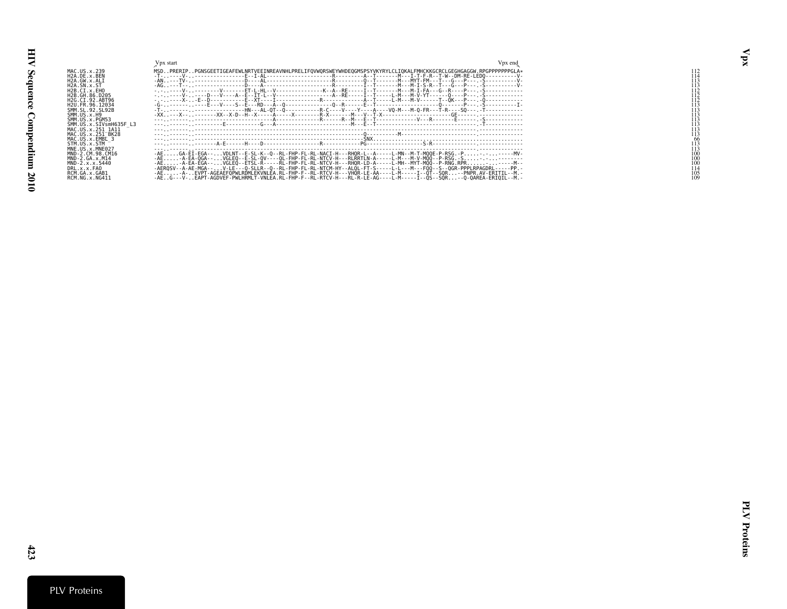<span id="page-22-0"></span>

|                             | Vpx start                                                                                                           | v px end |     |
|-----------------------------|---------------------------------------------------------------------------------------------------------------------|----------|-----|
| MAC.US.x.239                | MSDPRERIPPGNSGEETIGEAFEWLNRTVEEINREAVNHLPRELIFOVWORSWEYWHDEOGMSPSYVKYRYLCLIOKALFMHCKKGCRCLGEGHGAGGW.RPGPPPPPPGLA*   |          | 112 |
| H2A.DE.x.BEN                |                                                                                                                     |          |     |
| H2A.GW.x.ALT                |                                                                                                                     |          |     |
| H <sub>2</sub> A.SN.x.ST    |                                                                                                                     |          |     |
| H2B.CI.x.EHO                |                                                                                                                     |          |     |
| H2B GH 86 D205              | . D---D---V----A--E--IT-L--V--------------------A--RE-----I--T-----L-M---M-V-YT------O---P--- . S-------------      |          |     |
| H2G CT 92 ART96             |                                                                                                                     |          |     |
| H <sub>2U</sub> FR 96 12034 |                                                                                                                     |          |     |
| SMM SL 92 SL92F             |                                                                                                                     |          |     |
| SMM. US. x. H9              |                                                                                                                     |          |     |
| SMM.US.x.PGM53              |                                                                                                                     |          |     |
| SMM.US.x.SIVsmH635F L3      |                                                                                                                     |          |     |
| MAC.US.x.251 1A11           |                                                                                                                     |          |     |
| MAC. US. x. 251 BK28        |                                                                                                                     |          |     |
| MAC.US.x.EMBL3              |                                                                                                                     |          |     |
| STM. US. x. STM             |                                                                                                                     |          |     |
| MNE.US.x.MNE027             |                                                                                                                     |          |     |
| MND-2.CM.98.CM16            | -AEGA-EI-EGA--VDLNT--E-SL-K--O--RL-FHP-FL-RL-NACI-H---RHOR-L--A-----L-MN--M-T-MOOE-P-RSG.-P-.-----MV                |          |     |
| MND-2.GA.x.M14              | -AE-A-EA-OGA--VGLEO--E-SL-OV----OL-FHP-FL-RL-NTCV-H---RLRRTLN-A-----L-M---M-V-MOO--P-RSG.-S-.-------                |          |     |
| MND-2.x.x.5440              | -AE-A-EA-EGA--VGLEO--ETSL-R-----RL-FHP-FL-RL-NTCV-H---RHOR-LD-A-----L-MH--MYT-MOO--P-RNG.RPR------M-                |          |     |
| DRL.x.x.FAO                 | -AERQSV--A-AE-MGA--V-LE---Q-SLLR--Q--RL-FHP-FL-RL-NTCM-HY--ALQL-FT-S-----L-L---M---FQQ--S--QGR-PPPLRPAGDRL-----PP.- |          |     |
| RCM.GA.x.GAB1               | -AE-A-EVPT-AGEAEFOPWLRDMLEKVNLEA.RL-FHP-F--RL-RTCV-H---VHOR-LE-AA----L-M-----I--OT--SOR--PNPR.AV-ERITIL--M          |          | 105 |
| RCM.NG.x.NG411              | -AEG---V-EAPT-AGDVEF-PWLHRMLT-VNLEA.RL-FHP-F--RL-RTCV-H---RL-R-LE-AG----L-M-----I--QS--SQR--Q-QAREA-ERIQIL--M       |          |     |
|                             |                                                                                                                     |          |     |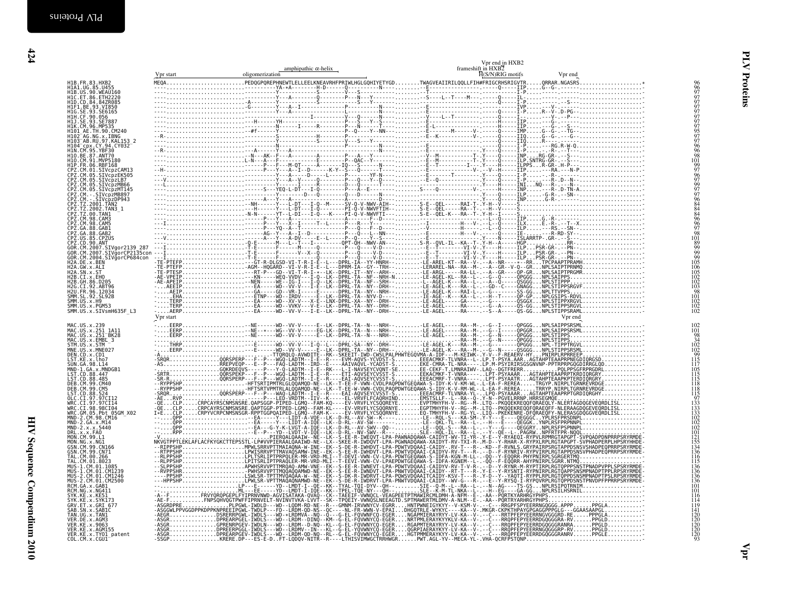<span id="page-23-0"></span>

|                                                                                                                                                                                                                                               | Vpr start | amphipathic $\alpha$ -helix<br>oligomerization | frameshift in HXB2<br>$\overline{H}(S/N)RIG$ motifs | Vpr end |                                                                                 |
|-----------------------------------------------------------------------------------------------------------------------------------------------------------------------------------------------------------------------------------------------|-----------|------------------------------------------------|-----------------------------------------------------|---------|---------------------------------------------------------------------------------|
|                                                                                                                                                                                                                                               |           |                                                |                                                     |         |                                                                                 |
|                                                                                                                                                                                                                                               |           |                                                |                                                     |         |                                                                                 |
|                                                                                                                                                                                                                                               |           |                                                |                                                     |         | 9997777777777597776998                                                          |
|                                                                                                                                                                                                                                               |           |                                                |                                                     |         |                                                                                 |
|                                                                                                                                                                                                                                               |           |                                                |                                                     |         |                                                                                 |
|                                                                                                                                                                                                                                               |           |                                                |                                                     |         |                                                                                 |
|                                                                                                                                                                                                                                               |           |                                                |                                                     |         |                                                                                 |
|                                                                                                                                                                                                                                               |           |                                                |                                                     |         |                                                                                 |
|                                                                                                                                                                                                                                               |           |                                                |                                                     |         |                                                                                 |
|                                                                                                                                                                                                                                               |           |                                                |                                                     |         |                                                                                 |
|                                                                                                                                                                                                                                               |           |                                                |                                                     |         |                                                                                 |
|                                                                                                                                                                                                                                               |           |                                                |                                                     |         |                                                                                 |
|                                                                                                                                                                                                                                               |           |                                                |                                                     |         |                                                                                 |
|                                                                                                                                                                                                                                               |           |                                                |                                                     |         |                                                                                 |
|                                                                                                                                                                                                                                               |           |                                                |                                                     |         |                                                                                 |
|                                                                                                                                                                                                                                               |           |                                                |                                                     |         |                                                                                 |
|                                                                                                                                                                                                                                               |           |                                                |                                                     |         |                                                                                 |
|                                                                                                                                                                                                                                               |           |                                                |                                                     |         | 1019976799776444446697                                                          |
|                                                                                                                                                                                                                                               |           |                                                |                                                     |         |                                                                                 |
|                                                                                                                                                                                                                                               |           |                                                |                                                     |         | 98                                                                              |
|                                                                                                                                                                                                                                               |           |                                                |                                                     |         | 101899999999999999999905100510051002100210038101                                |
|                                                                                                                                                                                                                                               |           |                                                |                                                     |         |                                                                                 |
|                                                                                                                                                                                                                                               |           |                                                |                                                     |         |                                                                                 |
|                                                                                                                                                                                                                                               |           |                                                |                                                     |         |                                                                                 |
|                                                                                                                                                                                                                                               |           |                                                |                                                     |         |                                                                                 |
|                                                                                                                                                                                                                                               |           |                                                |                                                     |         |                                                                                 |
|                                                                                                                                                                                                                                               |           |                                                |                                                     |         |                                                                                 |
|                                                                                                                                                                                                                                               |           |                                                |                                                     |         |                                                                                 |
|                                                                                                                                                                                                                                               |           |                                                |                                                     |         | $\frac{102}{102}$                                                               |
|                                                                                                                                                                                                                                               |           |                                                |                                                     |         |                                                                                 |
|                                                                                                                                                                                                                                               | Vpr start |                                                |                                                     | Vpr end |                                                                                 |
| MAC.US.x.239<br>MAC.US.x.251_1A11<br>MAC.US.x.251_BK28                                                                                                                                                                                        |           |                                                |                                                     |         | 102                                                                             |
|                                                                                                                                                                                                                                               |           |                                                |                                                     |         | $^{101}_{98}$                                                                   |
| MAC.US.x.EMBL 3<br>STM.US.x.STM                                                                                                                                                                                                               |           |                                                |                                                     |         |                                                                                 |
| MNE.US.x.MNE027                                                                                                                                                                                                                               |           |                                                |                                                     |         |                                                                                 |
| DEN.CD.x.CD1<br>LST.KE.x.lho7                                                                                                                                                                                                                 |           |                                                |                                                     |         |                                                                                 |
|                                                                                                                                                                                                                                               |           |                                                |                                                     |         |                                                                                 |
| <b>5J1.RETA: 08.L14<br/>MND-1.GA.X.MNDGB1<br/>LST.CD.88.447<br/>LST.CD.88.485<br/>DEB.CM.99.CM40</b>                                                                                                                                          |           |                                                |                                                     |         |                                                                                 |
|                                                                                                                                                                                                                                               |           |                                                |                                                     |         |                                                                                 |
| DEB.CM.99.CM5                                                                                                                                                                                                                                 |           |                                                |                                                     |         | 34<br>102<br>102<br>105<br>115<br>117<br>115<br>115<br>118<br>118<br>118<br>118 |
| LST.CD.88.524<br>OLC.CI.97.97CI12                                                                                                                                                                                                             |           |                                                |                                                     |         |                                                                                 |
|                                                                                                                                                                                                                                               |           |                                                |                                                     |         | 133<br>133<br>133<br>102<br>102<br>102<br>101<br>101                            |
| OLC. CI . 97. 97CI12<br>WRC. CI . 97. 97CI14<br>WRC. CI . 98. 98CI04<br>WRC. CI . 98. 98CI04<br>MND-2. CM. 98. CM16<br>MND-2. CM. 98. CM16<br>DRL. . X. X. FAO<br>DRL. X. X. FAO<br>MON. CM. 99. L1<br>MON. CM. 99. L1<br>GSN. CM . 99. CN166 |           |                                                |                                                     |         |                                                                                 |
|                                                                                                                                                                                                                                               |           |                                                |                                                     |         |                                                                                 |
|                                                                                                                                                                                                                                               |           |                                                |                                                     |         |                                                                                 |
|                                                                                                                                                                                                                                               |           |                                                |                                                     |         |                                                                                 |
| GSN.CM.99.CN166                                                                                                                                                                                                                               |           |                                                |                                                     |         | $\frac{155}{134}$<br>$\frac{136}{136}$                                          |
| GSN.CM.99.CN71<br>GSN.CM.99.CN71<br>TAL.CM.00.266                                                                                                                                                                                             |           |                                                |                                                     |         |                                                                                 |
| TAL.CM.00.250<br>TAL.CM.01.8023<br>MUS-1.CM.01.1085<br>MUS-1.CM.01.CM1239<br>MUS-2.CM.01.CM1246<br>MUS-2.CM.01.CM2500<br>RCM.NG.x.NG411<br>SYK.KE.x.KE511                                                                                     |           |                                                |                                                     |         | 115<br>136                                                                      |
|                                                                                                                                                                                                                                               |           |                                                |                                                     |         |                                                                                 |
|                                                                                                                                                                                                                                               |           |                                                |                                                     |         | 136<br>136                                                                      |
|                                                                                                                                                                                                                                               |           |                                                |                                                     |         | $\frac{136}{101}$                                                               |
|                                                                                                                                                                                                                                               |           |                                                |                                                     |         | 101<br>116                                                                      |
| SYK.KE.x.SYK173                                                                                                                                                                                                                               |           |                                                |                                                     |         | 114                                                                             |
| GRV.ET.x.GRI 677<br>SAB.SN.x.SABIC                                                                                                                                                                                                            |           |                                                |                                                     |         | 119                                                                             |
| TAN.UG.x.TAN1                                                                                                                                                                                                                                 |           |                                                |                                                     |         |                                                                                 |
| VER.DE.x.AGM3<br>VER.KE.x.9063                                                                                                                                                                                                                |           |                                                |                                                     |         | 141<br>120<br>120<br>120<br>120<br>120<br>120                                   |
|                                                                                                                                                                                                                                               |           |                                                |                                                     |         |                                                                                 |
| vER.KE.x.AGM155<br>VER.KE.x.AGM155<br>VER.KE.x.TY01_patent<br>COL.CM.x.CGU1                                                                                                                                                                   |           |                                                |                                                     |         |                                                                                 |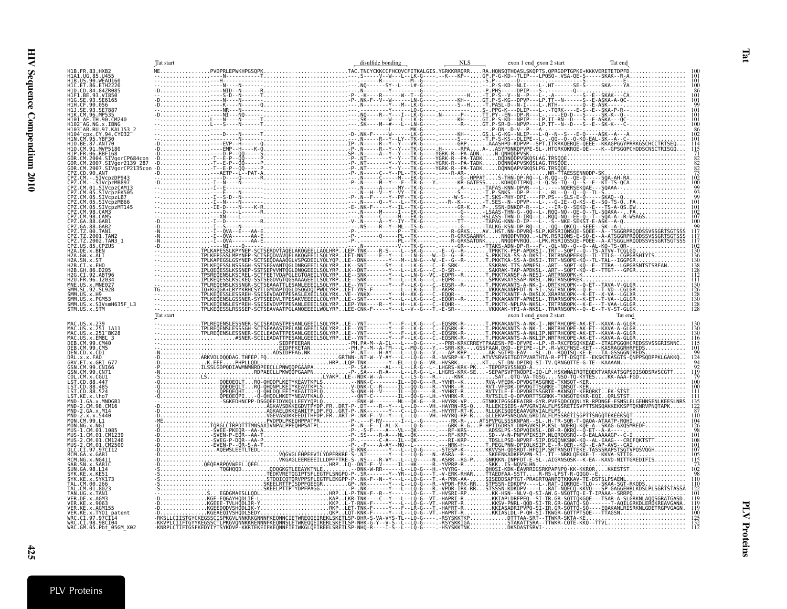<span id="page-24-0"></span>

|                                                                                         | Tat start | disulfide bonding | exon 1 end exon 2 start | Tat end |
|-----------------------------------------------------------------------------------------|-----------|-------------------|-------------------------|---------|
| H1B. FR. 83. HXB2<br>H1A1. UG. 85. U455<br>H1B. US. 90. WEAU160<br>H1C. ET. 86. ETH2220 |           |                   |                         |         |
|                                                                                         |           |                   |                         |         |
| 847R085                                                                                 |           |                   |                         |         |
|                                                                                         |           |                   |                         |         |
|                                                                                         |           |                   |                         |         |
|                                                                                         |           |                   |                         |         |
| AG.NG.x.IBNG<br>97.KAL153 2                                                             |           |                   |                         |         |
| cpx CY 94 CY032                                                                         |           |                   |                         |         |
| 110.BE.87.ANT70<br>91.MVP5180                                                           |           |                   |                         |         |
| H1P.FR.06.RBF168<br>.CM.2004.SIVgorCP684con<br>CM.2007.SIVgor2139_287                   |           |                   |                         |         |
| CM.2007.SIVgorCP2135con                                                                 |           |                   |                         |         |
| 90.ANT<br>SIVcpzDP943                                                                   |           |                   |                         |         |
| IVcpzMB897<br>1.SIVcpzCAM13                                                             |           |                   |                         |         |
| 05.SIVcpzEK505<br>CM.05.SIVCPZLB7<br>CM.05.SIVcpzMB66                                   |           |                   |                         |         |
| SIVcpzMT145                                                                             |           |                   |                         |         |
| CAM3<br>CAM5                                                                            |           |                   |                         |         |
| GAB1<br>GAB2                                                                            |           |                   |                         |         |
|                                                                                         |           |                   |                         |         |
|                                                                                         |           |                   |                         |         |
|                                                                                         |           |                   |                         |         |
|                                                                                         |           |                   |                         |         |
|                                                                                         |           |                   |                         |         |
| FR 96 12034                                                                             |           |                   |                         |         |
| 92. SL 92B                                                                              |           |                   |                         |         |
| US.X.PGM53<br>SMM.US.x.SIVsmH635F L3                                                    |           |                   |                         |         |
|                                                                                         | Tat start |                   | exon 1 end_exon 2 start |         |
|                                                                                         |           |                   |                         |         |
|                                                                                         |           |                   |                         |         |
| x. EMBL 3<br>.99.CM40                                                                   |           |                   |                         |         |
| DEB.CM.99.CM5<br>DEN.CD.x.CD1                                                           |           |                   |                         |         |
| $x \times FAD$<br>.x GRT 677                                                            |           |                   |                         |         |
| 99.CN166<br>.CM.99.CN71                                                                 |           |                   |                         |         |
| x.CGU1<br>38.447                                                                        |           |                   |                         |         |
|                                                                                         |           |                   |                         |         |
| x.lho7                                                                                  |           |                   |                         |         |
|                                                                                         |           |                   |                         |         |
| M.99.L1                                                                                 |           |                   |                         |         |
|                                                                                         |           |                   |                         |         |
| CM.01.CM1239<br>.CM1246                                                                 |           |                   |                         |         |
| 01.CM2500                                                                               |           |                   |                         |         |
|                                                                                         |           |                   |                         |         |
|                                                                                         |           |                   |                         |         |
|                                                                                         |           |                   |                         |         |
|                                                                                         |           |                   |                         |         |
|                                                                                         |           |                   |                         |         |
| <b>KE.x.AGM155</b>                                                                      |           |                   |                         |         |
| x.TY01_patent<br>WRC.CI.97.97CI14                                                       |           |                   |                         |         |
| WRC.CI.98.98CI04<br>WRC.GM.05.Pbt 05GM X02                                              |           |                   |                         |         |

Tat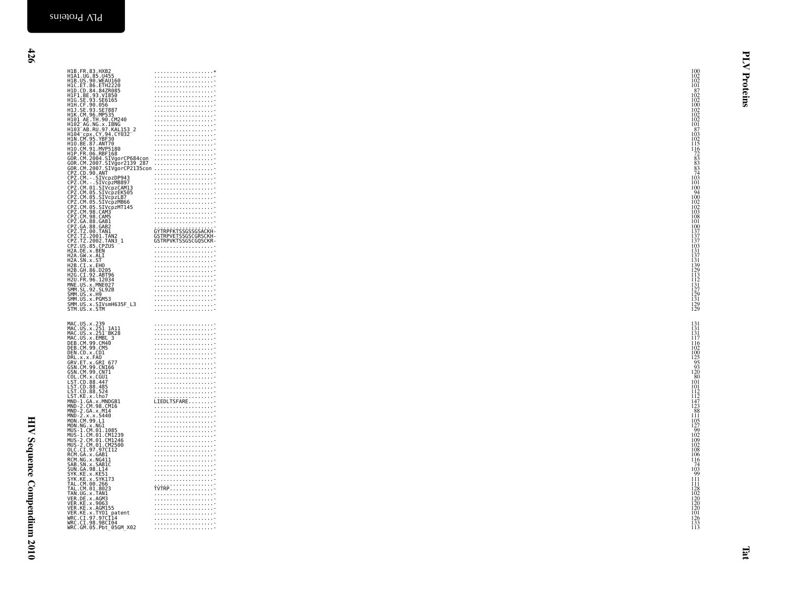HIV Sequence Compendium 2010 HIV Sequence Compendium 2010

| H1B. FR. 83. HXB2<br>H1A1. UG. 85. U455<br>H1B. US. 90. WEAU160<br>H1C. ET. 86. ETH2220                                                                                                                                                                                                                                                                                                                                                                                                                                                                                                                                                                                                                                                                                                                                                                                                                                                                                                  | $\begin{array}{c} 100 \\[-4pt] 102 \\[-4pt] 102 \end{array}$                                                                                                                                                                                                                                                                                                                                                                                          |          |
|------------------------------------------------------------------------------------------------------------------------------------------------------------------------------------------------------------------------------------------------------------------------------------------------------------------------------------------------------------------------------------------------------------------------------------------------------------------------------------------------------------------------------------------------------------------------------------------------------------------------------------------------------------------------------------------------------------------------------------------------------------------------------------------------------------------------------------------------------------------------------------------------------------------------------------------------------------------------------------------|-------------------------------------------------------------------------------------------------------------------------------------------------------------------------------------------------------------------------------------------------------------------------------------------------------------------------------------------------------------------------------------------------------------------------------------------------------|----------|
| H1D.CD.84.84ZR085                                                                                                                                                                                                                                                                                                                                                                                                                                                                                                                                                                                                                                                                                                                                                                                                                                                                                                                                                                        | $\frac{101}{87}$<br>.<br>.                                                                                                                                                                                                                                                                                                                                                                                                                            | Proteins |
| H1F1.BE.93.VI850<br>H1G.SE.93.SE6165                                                                                                                                                                                                                                                                                                                                                                                                                                                                                                                                                                                                                                                                                                                                                                                                                                                                                                                                                     | $^{102}_{102}$                                                                                                                                                                                                                                                                                                                                                                                                                                        |          |
| H1H.CF.90.056<br>H1J.SE.93.SE7887                                                                                                                                                                                                                                                                                                                                                                                                                                                                                                                                                                                                                                                                                                                                                                                                                                                                                                                                                        | $\frac{100}{102}$                                                                                                                                                                                                                                                                                                                                                                                                                                     |          |
| H1K.CM.96.MP535                                                                                                                                                                                                                                                                                                                                                                                                                                                                                                                                                                                                                                                                                                                                                                                                                                                                                                                                                                          |                                                                                                                                                                                                                                                                                                                                                                                                                                                       |          |
| HIN. (M. 96. MP535<br>HIBI_AE. TH. 90. CM240<br>HIBI_AB. RU. 97. KALI53_2<br>HIBI_AB. RU. 97. KALI53_2<br>HIM. CM. 95. YBF30<br>HIDI_CM. 95. YBF30<br>HID. CM. 91. MVP5188<br>HID. CM. 91. MVP5188<br>HID. CM. 91. MVP5188<br>HID. CM. 91. MVP5188                                                                                                                                                                                                                                                                                                                                                                                                                                                                                                                                                                                                                                                                                                                                       |                                                                                                                                                                                                                                                                                                                                                                                                                                                       |          |
|                                                                                                                                                                                                                                                                                                                                                                                                                                                                                                                                                                                                                                                                                                                                                                                                                                                                                                                                                                                          | .                                                                                                                                                                                                                                                                                                                                                                                                                                                     |          |
|                                                                                                                                                                                                                                                                                                                                                                                                                                                                                                                                                                                                                                                                                                                                                                                                                                                                                                                                                                                          |                                                                                                                                                                                                                                                                                                                                                                                                                                                       |          |
|                                                                                                                                                                                                                                                                                                                                                                                                                                                                                                                                                                                                                                                                                                                                                                                                                                                                                                                                                                                          |                                                                                                                                                                                                                                                                                                                                                                                                                                                       |          |
| 00R.CM.2004.SIVgorCP684con<br>GOR.CM.2007.SIVgorCP684con<br>COR.CM.2007.SIVgor2139_287<br>COR.CM.2007.SIVgorCP2135con                                                                                                                                                                                                                                                                                                                                                                                                                                                                                                                                                                                                                                                                                                                                                                                                                                                                    |                                                                                                                                                                                                                                                                                                                                                                                                                                                       |          |
|                                                                                                                                                                                                                                                                                                                                                                                                                                                                                                                                                                                                                                                                                                                                                                                                                                                                                                                                                                                          |                                                                                                                                                                                                                                                                                                                                                                                                                                                       |          |
| CPZ.CD.90.ANT<br>CPZ.CM. - .SIVcpzDP943<br>CPZ.CM. - .SIVcpzMB897<br>CPZ.CM.01.SIVcpzCAM13<br>CPZ.CM.01.SIVcpzCAM13                                                                                                                                                                                                                                                                                                                                                                                                                                                                                                                                                                                                                                                                                                                                                                                                                                                                      | 101                                                                                                                                                                                                                                                                                                                                                                                                                                                   |          |
|                                                                                                                                                                                                                                                                                                                                                                                                                                                                                                                                                                                                                                                                                                                                                                                                                                                                                                                                                                                          | 100                                                                                                                                                                                                                                                                                                                                                                                                                                                   |          |
|                                                                                                                                                                                                                                                                                                                                                                                                                                                                                                                                                                                                                                                                                                                                                                                                                                                                                                                                                                                          |                                                                                                                                                                                                                                                                                                                                                                                                                                                       |          |
| CPZ.CM.01.SIVCpzLAM13<br>CPZ.CM.05.SIVCpzEK505<br>CPZ.CM.05.SIVCpzLB7<br>CPZ.CM.05.SIVCpzMB66<br>CPZ.CM.05.SIVCpzMT145<br>CPZ.CM.98.CAM3<br>CPZ.CM.98.CAM3                                                                                                                                                                                                                                                                                                                                                                                                                                                                                                                                                                                                                                                                                                                                                                                                                               | $\begin{array}{r} 100 \\ 94 \\ 100 \\ 102 \\ 102 \\ 103 \end{array}$                                                                                                                                                                                                                                                                                                                                                                                  |          |
|                                                                                                                                                                                                                                                                                                                                                                                                                                                                                                                                                                                                                                                                                                                                                                                                                                                                                                                                                                                          |                                                                                                                                                                                                                                                                                                                                                                                                                                                       |          |
|                                                                                                                                                                                                                                                                                                                                                                                                                                                                                                                                                                                                                                                                                                                                                                                                                                                                                                                                                                                          | $\frac{108}{101}$                                                                                                                                                                                                                                                                                                                                                                                                                                     |          |
| CPZ.CM. 98.CAM3<br>CPZ.GA.88.GAB1<br>CPZ.GA.88.GAB2<br>CPZ.TZ.00.TAN1<br>CPZ.TZ.2001.TAN2                                                                                                                                                                                                                                                                                                                                                                                                                                                                                                                                                                                                                                                                                                                                                                                                                                                                                                | ĠŶŢŔPFĸŢŚŚĠŚŚĠŚAĊĶĤ-<br>GSTRPVETSSGŚĆGRŚĆĶH-                                                                                                                                                                                                                                                                                                                                                                                                          |          |
| CPZ.TZ.2002.TAN3_1<br>CPZ.US.85.CPZUS                                                                                                                                                                                                                                                                                                                                                                                                                                                                                                                                                                                                                                                                                                                                                                                                                                                                                                                                                    | GSTRPVKTSSGSCGQSCKR-                                                                                                                                                                                                                                                                                                                                                                                                                                  |          |
| LPZ. US. 35. CPZ<br>H2A. DE. x. BEN<br>H2A. GW. x. ALI<br>H2A. SN. x. ST<br>H2B. CH. 36. D205<br>H2G. CT. 32. ABT96<br>H2G. CT. 92. ABT96<br>H2U. FR. 96. 12034<br>H2U. FR. 96. 12034                                                                                                                                                                                                                                                                                                                                                                                                                                                                                                                                                                                                                                                                                                                                                                                                    |                                                                                                                                                                                                                                                                                                                                                                                                                                                       |          |
|                                                                                                                                                                                                                                                                                                                                                                                                                                                                                                                                                                                                                                                                                                                                                                                                                                                                                                                                                                                          |                                                                                                                                                                                                                                                                                                                                                                                                                                                       |          |
|                                                                                                                                                                                                                                                                                                                                                                                                                                                                                                                                                                                                                                                                                                                                                                                                                                                                                                                                                                                          |                                                                                                                                                                                                                                                                                                                                                                                                                                                       |          |
|                                                                                                                                                                                                                                                                                                                                                                                                                                                                                                                                                                                                                                                                                                                                                                                                                                                                                                                                                                                          |                                                                                                                                                                                                                                                                                                                                                                                                                                                       |          |
| MNE.US.X.MNE027<br>SMM.SL.92.SL92B                                                                                                                                                                                                                                                                                                                                                                                                                                                                                                                                                                                                                                                                                                                                                                                                                                                                                                                                                       |                                                                                                                                                                                                                                                                                                                                                                                                                                                       |          |
| SMM.US.x.H9<br>SMM.US.x.H9<br>SMM.US.x.PGM53<br>SMM.US.x.SIVsmH635F_L3                                                                                                                                                                                                                                                                                                                                                                                                                                                                                                                                                                                                                                                                                                                                                                                                                                                                                                                   |                                                                                                                                                                                                                                                                                                                                                                                                                                                       |          |
| STM.US.x.STM                                                                                                                                                                                                                                                                                                                                                                                                                                                                                                                                                                                                                                                                                                                                                                                                                                                                                                                                                                             | 100<br>137<br>137<br>137<br>131<br>137<br>131<br>139<br>129<br>131<br>127<br>129<br>129<br>129                                                                                                                                                                                                                                                                                                                                                        |          |
| MAC.US.x.239<br>MAC.US.x.251 1A11<br>MAC.US.x.251 BK28<br>MAC.US.x.EMBL 3<br>DEB.CM.90.CM40<br>DEB.CM.99.CM5<br><b>DEN.CD.x.CD1<br/>DRL.x.x.FA0<br/>DRL.x.x.FA0<br/>GRV.ET.x.GRI 677<br/>GSN.CM.99.CN166<br/>CSN.CM.99.CN71</b><br>e CDL.CM. x, CGU1<br>LST. CD. 88.447<br>LST. CD. 88.485<br>LST. CD. 88.485<br>LST. KE. x, Lho7<br>MND-2. CM. x, MNDGB1<br>MND-2. CM. x, MNDGB1<br>MND-2. CA. x, M14<br>MND-2. CA. x, M14<br>MND-2. x, x, 5440<br>MND-2.X.X.5440<br>MON.CM.99.L1<br>MON. (M. 99.11<br>MON. NG. x . NG1<br>MUS - 1. CM. 01. CM1239<br>MUS - 1. CM. 01. CM1239<br>MUS - 2. CM. 01. CM1246<br>MUS - 2. CM. 01. CM2500<br>RCM. GA. x . GAB1<br>RCM. GA. x . GAB1<br>SAB. SN. x . GAB1C<br>SVN. GA. x . GAB1C<br>SVN. GA. 98. 114<br>SVN<br>SYK.KE.x.KE51<br>SYK.KE.X.SYK173<br>TAL.CM.00.266<br>TAL.CM.001.8023<br>TAL.CM.001.8023<br>VER.DE.x.AGM3<br>VER.DE.x.AGM3<br>VER.KE.x.AGM3<br>VER.KE.x.AGM155<br>VER.KE.x.TY01.patent<br>WEC.CI.98:98CT044<br>WEC.CI.98:98CT044 | $\begin{array}{c} 131 \\ 131 \\ 131 \\ 117 \end{array}$<br>.<br>116<br>$\begin{array}{c} 102 \\ 100 \\ 125 \\ 95 \\ 93 \\ 120 \\ 80 \\ 101 \end{array}$<br>101<br>112<br>112<br>147<br>123<br>88<br>11<br>LIEDLTSFARE<br>$\frac{105}{127}$<br>$\frac{99}{102}$<br>$\frac{109}{102}$<br>$\frac{102}{108}$<br>.<br>106<br>$\frac{116}{74}$<br>$\frac{103}{99}$<br>.<br>$\frac{111}{111}$<br>128<br>102<br>120<br>120<br>120<br>101<br>126<br>133<br>113 |          |
|                                                                                                                                                                                                                                                                                                                                                                                                                                                                                                                                                                                                                                                                                                                                                                                                                                                                                                                                                                                          |                                                                                                                                                                                                                                                                                                                                                                                                                                                       |          |
| WRC.GM.05.Pbt_05GM_X02                                                                                                                                                                                                                                                                                                                                                                                                                                                                                                                                                                                                                                                                                                                                                                                                                                                                                                                                                                   |                                                                                                                                                                                                                                                                                                                                                                                                                                                       |          |
|                                                                                                                                                                                                                                                                                                                                                                                                                                                                                                                                                                                                                                                                                                                                                                                                                                                                                                                                                                                          |                                                                                                                                                                                                                                                                                                                                                                                                                                                       | E        |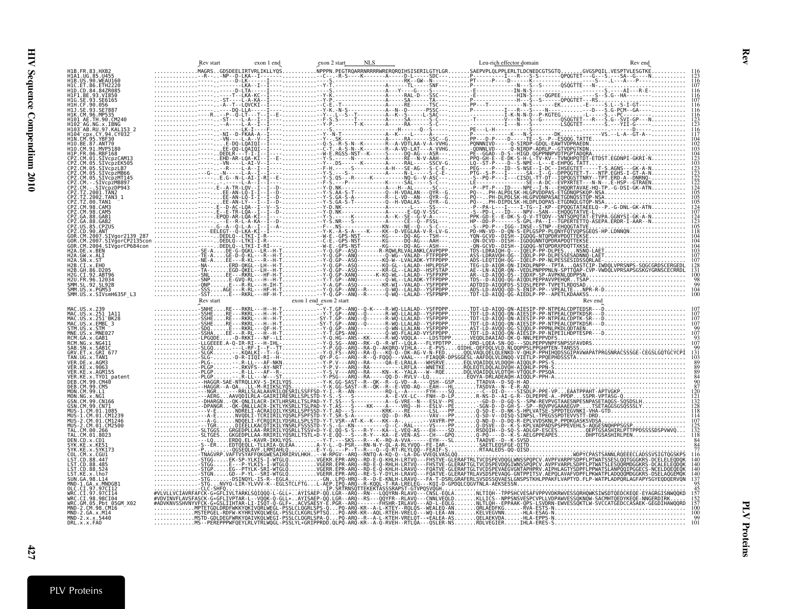<span id="page-26-0"></span>

| H1B.FR.83.HXB2                                                                                                                                                                                | exon 1 end                               | exon 2 start                                                                                                                                                                                                                                                                                                                                                                                                 | Leu-rich effector domain | Rev end |
|-----------------------------------------------------------------------------------------------------------------------------------------------------------------------------------------------|------------------------------------------|--------------------------------------------------------------------------------------------------------------------------------------------------------------------------------------------------------------------------------------------------------------------------------------------------------------------------------------------------------------------------------------------------------------|--------------------------|---------|
| H1A1.UG.85.U455<br>H1B.US.90.WEAU160<br>H1D.CD.84<br>11G. SE. 93. SE6165                                                                                                                      |                                          |                                                                                                                                                                                                                                                                                                                                                                                                              |                          |         |
| I104 <sup>-</sup> cpx.CY.94.CY032<br>110.BE.87.ANT70<br>11P.FR.06.RBF168                                                                                                                      |                                          |                                                                                                                                                                                                                                                                                                                                                                                                              |                          |         |
|                                                                                                                                                                                               |                                          |                                                                                                                                                                                                                                                                                                                                                                                                              |                          |         |
| . DE . x . BEN<br>GW.x.ALI<br>.CT.x.FH∩<br>.GH 86 D205                                                                                                                                        |                                          |                                                                                                                                                                                                                                                                                                                                                                                                              |                          |         |
| CT.92.ABT96<br>12U.FR.96.12034<br>SMM.SL.92.SL92B<br>SMM.US.x.PGM53<br>SMM.US.x.SIVsmH635F L3<br>MAC.US.x.251 1A11<br>MAC.US.x.251 <sup>-</sup> BK28                                          |                                          |                                                                                                                                                                                                                                                                                                                                                                                                              |                          |         |
| MAC.US.x.EMBL 3<br>STM.US.x.STM<br>MNE.US.x.MNE027<br>RCM GA x GAB1<br>RCM.NG.x.NG411<br>SAB SN x SAB1<br>GRV.ET.x.GRI 677<br>TAN.UG.x.TANI<br>VER.DE.x.AGM3<br>R.KE.x.9063<br>ER.KE.x.AGM155 |                                          | $\begin{smallmatrix}\n\frac{1}{2} & \frac{1}{2} & \frac{1}{2} & \frac{1}{2} & \frac{1}{2} & \frac{1}{2} & \frac{1}{2} & \frac{1}{2} & \frac{1}{2} & \frac{1}{2} & \frac{1}{2} & \frac{1}{2} & \frac{1}{2} & \frac{1}{2} & \frac{1}{2} & \frac{1}{2} & \frac{1}{2} & \frac{1}{2} & \frac{1}{2} & \frac{1}{2} & \frac{1}{2} & \frac{1}{2} & \frac{1}{2} & \frac{1}{2} & \frac{1}{2} & \frac{1}{2} & \frac{1}{$ |                          |         |
| VER.KE.x.TY01_patent<br>99. CM40<br>DEB.CM.99.CM5<br>.CM.99.L1<br>MON.NG.x.NG1<br>19 CN166<br>GSN.CM.99.CN71<br>CM.01.CM1239<br>.01.CM1246                                                    |                                          |                                                                                                                                                                                                                                                                                                                                                                                                              |                          |         |
| 2.CM.01.CM2500<br>DEN.CD.x.CD1<br><b>KE.X.SYK173</b><br>ST.CD.88.524                                                                                                                          |                                          |                                                                                                                                                                                                                                                                                                                                                                                                              |                          |         |
| VRC.GM.05.Pbt 05GM X02<br>MND-2.GA.x.M14<br>MND-2.x.x.5440<br>DRL.x.x.FA0                                                                                                                     | NVYQ-LIR-YLVVV-K--EGLSTCLFTG<br>CLC-SHFQ | -AEP.IPQ-ARQ--R-KQQL-T-RA-LRELEG---KQI-D-GPDQLCQGVTNLA-AEKSES<br>IP.SRŤRNSÔTTEKEKŤAS<br>WILLVCIAVREAECHER "TWININGSQIOOG"-L-GLUX-LAVISAEP-OQ.LGR-ARQ-FREERITASSSRAPST-GTVPOSVQGH"."<br>VUVILVCIAVREAECH-G-GELIFITARKLSQIOOG-L-GLUX-LAVISAEP-OQ.LGR-ARQ--RS---QQYFR--RLAVQ---CNNLVEQLDKLIGS--NPPSNSVESPCVPLLVDPAMVES                                                                                          |                          |         |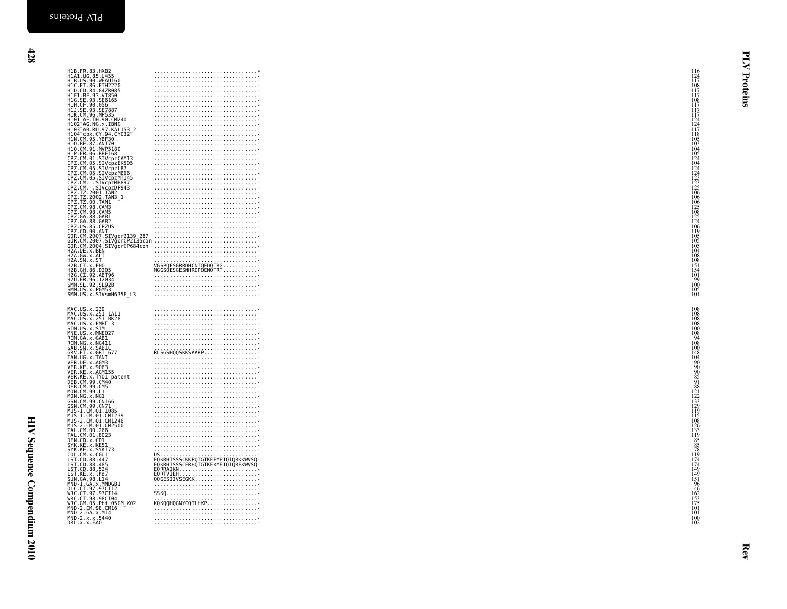|            | H1B.FR.83.HXB2<br>H1B.US.90.WEAU160<br>H1B.US.90.WEAU160<br>H1C.ET.86.ETH2220<br>H1D.CD.84.84ZR085<br>H1F1.BE.93.SE6165<br>H1H.CF.90.0566<br>H1J.CF.90.0566<br>H1J.CF.90.0566<br>H1J.CF.90.0566 |                                                                                                                                                   | 116<br>124<br>117<br>108<br>117<br>108<br>117<br>117<br>Proteins                                      |
|------------|-------------------------------------------------------------------------------------------------------------------------------------------------------------------------------------------------|---------------------------------------------------------------------------------------------------------------------------------------------------|-------------------------------------------------------------------------------------------------------|
|            | H1K.CM.96.MP535                                                                                                                                                                                 |                                                                                                                                                   |                                                                                                       |
|            | H101_AE.TH.90.CM240<br>H101_AE.TH.90.CM240<br>H103_AB.RU.97.KAL153_2<br>H104 cpx. CY. 94. CY032                                                                                                 |                                                                                                                                                   | 117<br>124<br>124<br>117                                                                              |
|            | H1N.CM.95.YBF30<br>H10.BE.87.ANT70<br>H10.CM.91.MVP5180                                                                                                                                         |                                                                                                                                                   |                                                                                                       |
|            | H1P. FR. 06. RBF168<br>CPZ.CM.01.SIVcpzCAM13<br>CPZ.CM.05.SIVCpzEK505<br>CPZ.CM.05.SIVCpzLB7                                                                                                    |                                                                                                                                                   |                                                                                                       |
|            | CPZ.CM.05.SIVCpzMB66<br>CPZ.CM.05.SIVCpzMT145<br>CPZ.CM. - . SIVcpzMB897<br>CPZ.CM. - . SIVcpzDP943                                                                                             |                                                                                                                                                   |                                                                                                       |
|            | .2001.TAN2<br>CPZ.TZ.<br>CPZ.TZ.2002.TAN3_1<br>CPZ.TZ.00.TAN1                                                                                                                                   |                                                                                                                                                   |                                                                                                       |
|            | CPZ.CM.98.CAM3<br>CPZ.CM.98.CAM5<br>CPZ.GA.88.GAB1<br>.88.GAB2                                                                                                                                  |                                                                                                                                                   |                                                                                                       |
| <b>GOR</b> | CPZ.GA.<br>CPZ.US.<br>CPZ.CD.<br>.85 CPZUS<br>GOR CM                                                                                                                                            | . CD. 99. ANT<br>. CM. 2007. SI Vgor 2139   287<br>. CM. 2007. SI Vgor CP2135con<br>. CM. 2007. SI Vgor CP2135con<br>. CM. 2004. SI Vgor CP684con |                                                                                                       |
| GOR        | H2A DE x BEN<br>H2A.GW.X.ALI<br>H2A.SN.x.ST                                                                                                                                                     |                                                                                                                                                   |                                                                                                       |
|            | H2B.CI.x.EHO<br>H2B.GH.86.D205<br>H2G.CI.92.ABT96                                                                                                                                               | VGSPÖESGREDHENTÖEDÖTRG<br>COSPOESGREDHENTÖEDÖTRG<br>COSPOESGRESHHRDPQENQTRT                                                                       | 11851044242332506065252469110555440105554410951105554410955544099105554409920202020202020202020202020 |
|            | H2U.FR.96.12034<br>SMM.SL.92.SL92B<br>SMM.US.x.PGM53<br>SMM.US.x.SIVsmH635F L3                                                                                                                  |                                                                                                                                                   | $\frac{100}{105}$                                                                                     |
|            |                                                                                                                                                                                                 |                                                                                                                                                   | 108                                                                                                   |
|            | MAC.US.x.239<br>MAC.US.x.251_1A11<br>MAC.US.x.251_BK28<br>MAC.US.x.EMBL 3<br>STM.US.x.STM                                                                                                       |                                                                                                                                                   |                                                                                                       |
|            | MNE.US.x.MNE027<br>RCM. GA. x . GAB1<br>RCM. NG. x . NG411<br>SAB. SN. x . SAB1C<br>GRV. ET. x . GRI_677                                                                                        |                                                                                                                                                   |                                                                                                       |
|            | TAN.UG.x.TANI<br>VER DE x AGM3                                                                                                                                                                  | RLSGSHQQSKKSAARP.                                                                                                                                 |                                                                                                       |
|            | VER. JE. x. 49063<br>VER. KE. x. 49063<br>VER. KE. x. 490155<br>DEB. CM. 99. CM40<br>DEB. CM. 99. CM5<br>MON. CM. 99. LL1<br>MON. CM. 99. LL1                                                   |                                                                                                                                                   |                                                                                                       |
|            | MON.NG.X.NGI<br>GSN.CM.99.CN166                                                                                                                                                                 |                                                                                                                                                   |                                                                                                       |
|            | GSN.CM.99.CN71<br>MUS-1.CM.01.1085<br>MUS-1.CM.01.CM1239<br>MUS-2.CM.01.CM1246                                                                                                                  |                                                                                                                                                   |                                                                                                       |
|            | MUS-2.CM.01.CM2500<br>TAL.CM.00.266<br>TAL.CM.01.8023                                                                                                                                           |                                                                                                                                                   |                                                                                                       |
|            | DEN.CD.x.CD1<br>SYK.KE.x.KE51<br>SYK.KE.x.SYK173<br>COL.CM.x.CGU1                                                                                                                               |                                                                                                                                                   |                                                                                                       |
| LST.       | LST.CD.88.447<br>LST. CD. 88. 485<br>LST. CD. 88. 524<br>.KE.x.lho7                                                                                                                             |                                                                                                                                                   |                                                                                                       |
|            | SUN.GA.98.L14                                                                                                                                                                                   |                                                                                                                                                   |                                                                                                       |
|            | SUNI.04.98.144<br>MND-1.GA.x.MNDGB1<br>WRC.CI.97.97CI12<br>WRC.CI.97.97CI14<br>WRC.CI.98.98CI04<br>WND-2.CM.98.CM16<br>MND-2.CM.98.CM16<br>MND-2.CA.x.M144<br>MND-2.CA.x.M144                   | SSKQ<br>KÓKÓÓHÓGNÝCÓTLHKP::::::::::::::::                                                                                                         | 115<br>108<br>126<br>133<br>1985<br>278<br>109<br>44<br>109<br>46<br>25<br>101<br>101<br>101          |
|            | MND-2.x.x.5440<br>DRL.x.x.FA0                                                                                                                                                                   |                                                                                                                                                   | $\frac{100}{102}$                                                                                     |
|            |                                                                                                                                                                                                 |                                                                                                                                                   |                                                                                                       |
|            |                                                                                                                                                                                                 |                                                                                                                                                   | kev                                                                                                   |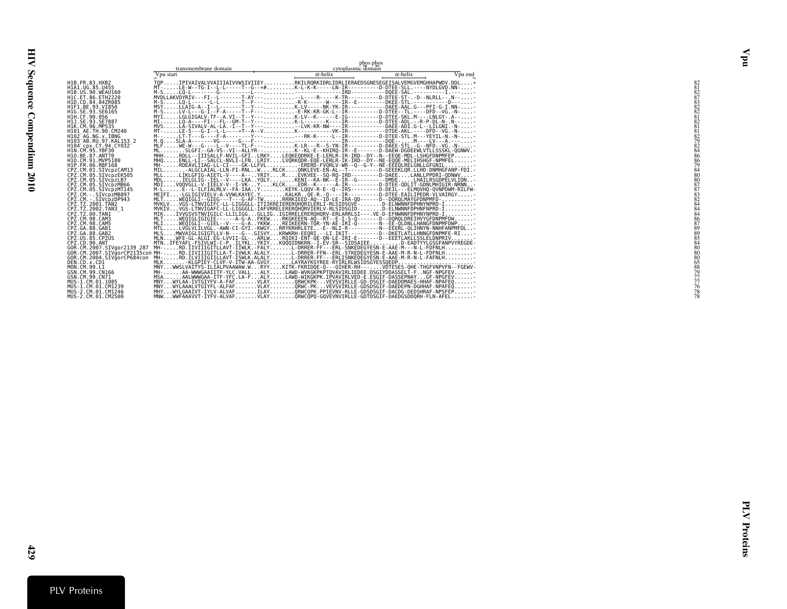<span id="page-28-0"></span>

Vpu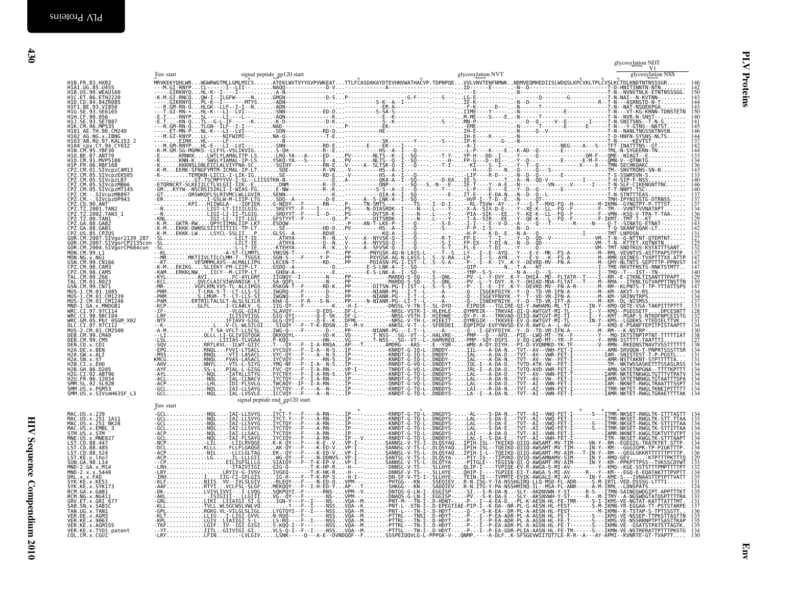<span id="page-29-0"></span>

| Env start |                                |  |  |                   |
|-----------|--------------------------------|--|--|-------------------|
|           |                                |  |  |                   |
|           |                                |  |  |                   |
|           |                                |  |  |                   |
|           |                                |  |  |                   |
|           |                                |  |  |                   |
|           |                                |  |  | 133<br>132<br>134 |
|           |                                |  |  | 135               |
|           |                                |  |  |                   |
|           |                                |  |  |                   |
|           |                                |  |  |                   |
|           |                                |  |  |                   |
|           |                                |  |  |                   |
|           | signal peptide end gp120 start |  |  |                   |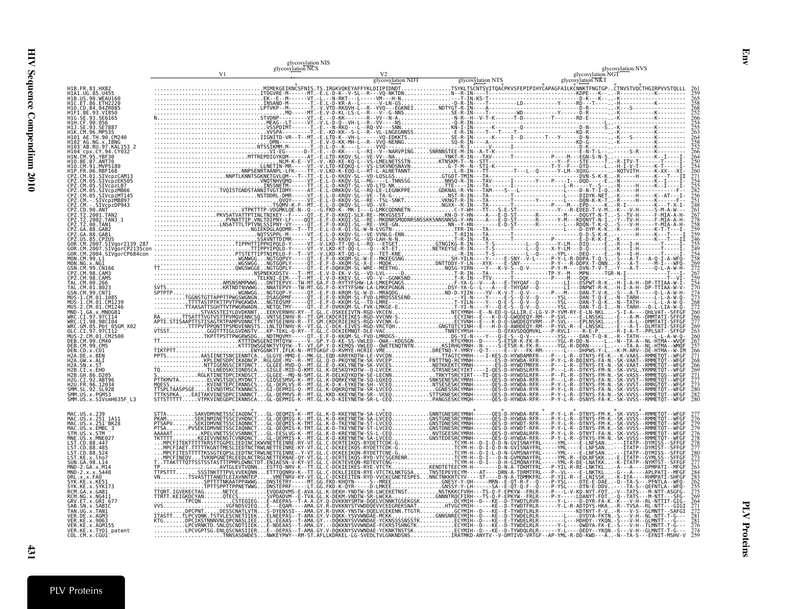|                                                             | glycosylation NIS<br>glycosylation NCS |  | glycosylation NVS |
|-------------------------------------------------------------|----------------------------------------|--|-------------------|
|                                                             |                                        |  |                   |
| H1B. FR. 83. HXB2<br>H1A1.UG.85.U455                        |                                        |  |                   |
| ET.86.ETH2220                                               |                                        |  |                   |
|                                                             |                                        |  |                   |
|                                                             |                                        |  |                   |
|                                                             |                                        |  |                   |
|                                                             |                                        |  |                   |
| 103 AB.RU.97.KAL153 2<br>CDX.CY.94.CY032                    |                                        |  |                   |
| I10.CM.91.MVP5180                                           |                                        |  |                   |
| HIP. FR. 06.RBF168<br>CM.01.SIVcpzCAM13                     |                                        |  |                   |
| CM.05.SIVcpzLB7<br>CM.05.SIVcpzMB66                         |                                        |  |                   |
| CM.05.SIVcpzMT145                                           |                                        |  |                   |
| M. - SIVcpzMB897                                            |                                        |  |                   |
| :PZ. CD.90.ANT<br>PZ. TZ.2001.TAN2                          |                                        |  |                   |
|                                                             |                                        |  |                   |
|                                                             |                                        |  |                   |
|                                                             |                                        |  |                   |
|                                                             |                                        |  |                   |
|                                                             |                                        |  |                   |
|                                                             |                                        |  |                   |
|                                                             |                                        |  |                   |
|                                                             |                                        |  |                   |
| MUS-2.CM.01.CM1246<br>$MD - 1.GA \times MNDGB1$             |                                        |  |                   |
|                                                             |                                        |  |                   |
| WRC.GM.05.Pbt 05GM_X02<br>OLC.CI.97.97CI12                  |                                        |  |                   |
| 2.CM.01.CM2500<br>CM 99 CM40                                |                                        |  |                   |
| CM.99.CM5                                                   |                                        |  |                   |
|                                                             |                                        |  |                   |
| 12B.GH.86.D205                                              |                                        |  |                   |
|                                                             |                                        |  |                   |
| SHHT.SL.3.PGM53<br>SMM.US.x.PGM53<br>SMM.US.x.SIVsmH635F_L3 |                                        |  |                   |
|                                                             |                                        |  |                   |
| MAC.US.x.251 1A11                                           |                                        |  |                   |
|                                                             |                                        |  |                   |
| MAC.US.x.EMBL_3<br>STM.US.x.STM<br>US.x.MNE027              |                                        |  |                   |
| CD.88.447<br>LST.CD.88.485<br>LST.CD.88.524                 |                                        |  |                   |
| LST.KE.x.lho7                                               |                                        |  |                   |
| MND-2.GA.x.M14<br>MND-2.x.x.5440                            |                                        |  |                   |
| .x.x.FAN                                                    |                                        |  |                   |
| SYK.KE.x.SYK173                                             |                                        |  |                   |
|                                                             |                                        |  |                   |
| SN.x.SABIC                                                  |                                        |  |                   |
|                                                             |                                        |  |                   |
| KE.x.AGM155<br>VER.KE.x.TY01_patent<br>COL.CM.x.CGU1        |                                        |  |                   |
|                                                             |                                        |  |                   |

Env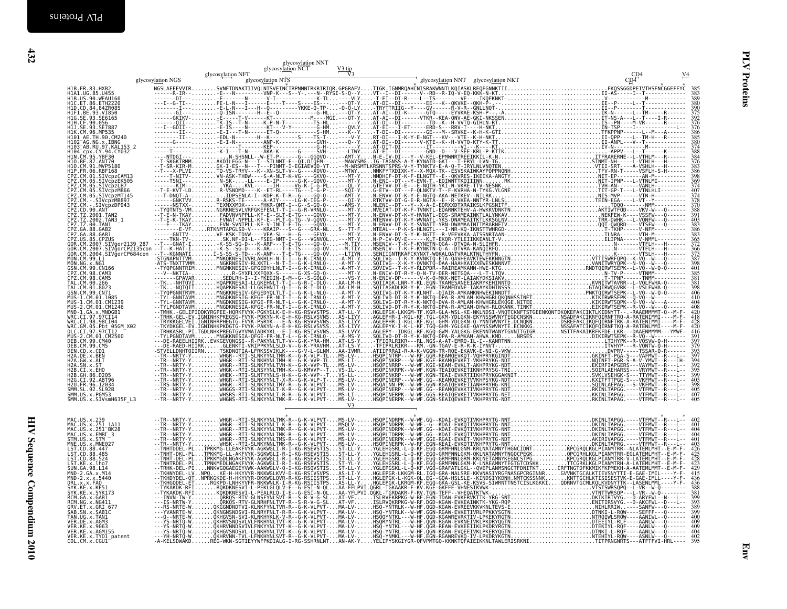| CD4<br>glycosylation NTS<br>CD4<br>glycosylation NGS<br>glycosylation NNT glycosylation NKT<br>389<br>380<br>390<br>375<br>375<br>392<br>$\frac{376}{376}$<br>386<br>385<br>380<br>374<br>388<br>384<br>376<br>383<br>386<br>398<br>$\frac{374}{407}$<br>374<br>$\frac{378}{370}$<br>388<br>391<br>$\frac{403}{383}$<br>386<br>365<br>372<br>$\frac{366}{373}$<br>$\frac{373}{387}$<br>398<br>401<br>385<br>381<br>406<br>$^{410}_{404}$<br>408<br>420<br>$^{418}_{428}$<br>420<br>416<br>379<br>393<br>397<br>394<br>$\frac{392}{395}$<br>399<br>403<br>398<br>405<br>407<br>405<br>V <sub>3</sub><br>MAC.US.x.251 1A11<br>MAC.US.x.251 BK28<br>MAC.US.x.EMBL_3<br>404<br>404<br>401<br>MNE.US.x.MNE027<br>LST.CD.88.447<br>LST.CD.88.485<br>LST.CD.88.485<br>$403$<br>$426$<br>$425$<br>$428$<br>$423$<br>$429$<br>LST.CD.88.524<br>LST.KE.x.1ho7<br>SUN.GA.98.L14<br>MND-2.GA.x.M14<br>MND-2.x.x.5440<br>DRL.x.x.FAO<br>SYK.KE.x.KE51<br>SYK.KE.x.KE51<br>388<br>SYK.KE.x.SYK173<br>RCM.GA.x.GAB1<br>RCM.NG.x.NG411<br>$\frac{381}{399}$<br>393<br>389<br>GRV. ET. x. GRI 677<br>SAB. SN. x. SABIC<br>TAN. UG. x. TAN1<br>VER. DE. x. AGM3<br>399<br>400<br>409<br>VER.KE.X.3000<br>VER.KE.X.AGM155<br>VER.KE.X.TY01_patent<br>COL.CM.X.CGU1<br>$\frac{402}{395}$ |                  |                   | glycosylation NNT<br>glycosylation NCT | $\frac{V3 \text{ tip}}{V3}$ |  |                  |
|----------------------------------------------------------------------------------------------------------------------------------------------------------------------------------------------------------------------------------------------------------------------------------------------------------------------------------------------------------------------------------------------------------------------------------------------------------------------------------------------------------------------------------------------------------------------------------------------------------------------------------------------------------------------------------------------------------------------------------------------------------------------------------------------------------------------------------------------------------------------------------------------------------------------------------------------------------------------------------------------------------------------------------------------------------------------------------------------------------------------------------------------------------------------------------------------------------------------------------------------------------------------|------------------|-------------------|----------------------------------------|-----------------------------|--|------------------|
|                                                                                                                                                                                                                                                                                                                                                                                                                                                                                                                                                                                                                                                                                                                                                                                                                                                                                                                                                                                                                                                                                                                                                                                                                                                                      |                  | glycosylation NFT |                                        |                             |  | $\underline{V4}$ |
|                                                                                                                                                                                                                                                                                                                                                                                                                                                                                                                                                                                                                                                                                                                                                                                                                                                                                                                                                                                                                                                                                                                                                                                                                                                                      |                  |                   |                                        |                             |  |                  |
|                                                                                                                                                                                                                                                                                                                                                                                                                                                                                                                                                                                                                                                                                                                                                                                                                                                                                                                                                                                                                                                                                                                                                                                                                                                                      |                  |                   |                                        |                             |  |                  |
|                                                                                                                                                                                                                                                                                                                                                                                                                                                                                                                                                                                                                                                                                                                                                                                                                                                                                                                                                                                                                                                                                                                                                                                                                                                                      |                  |                   |                                        |                             |  |                  |
|                                                                                                                                                                                                                                                                                                                                                                                                                                                                                                                                                                                                                                                                                                                                                                                                                                                                                                                                                                                                                                                                                                                                                                                                                                                                      |                  |                   |                                        |                             |  |                  |
|                                                                                                                                                                                                                                                                                                                                                                                                                                                                                                                                                                                                                                                                                                                                                                                                                                                                                                                                                                                                                                                                                                                                                                                                                                                                      |                  |                   |                                        |                             |  |                  |
|                                                                                                                                                                                                                                                                                                                                                                                                                                                                                                                                                                                                                                                                                                                                                                                                                                                                                                                                                                                                                                                                                                                                                                                                                                                                      |                  |                   |                                        |                             |  |                  |
|                                                                                                                                                                                                                                                                                                                                                                                                                                                                                                                                                                                                                                                                                                                                                                                                                                                                                                                                                                                                                                                                                                                                                                                                                                                                      |                  |                   |                                        |                             |  |                  |
|                                                                                                                                                                                                                                                                                                                                                                                                                                                                                                                                                                                                                                                                                                                                                                                                                                                                                                                                                                                                                                                                                                                                                                                                                                                                      |                  |                   |                                        |                             |  |                  |
|                                                                                                                                                                                                                                                                                                                                                                                                                                                                                                                                                                                                                                                                                                                                                                                                                                                                                                                                                                                                                                                                                                                                                                                                                                                                      |                  |                   |                                        |                             |  |                  |
|                                                                                                                                                                                                                                                                                                                                                                                                                                                                                                                                                                                                                                                                                                                                                                                                                                                                                                                                                                                                                                                                                                                                                                                                                                                                      |                  |                   |                                        |                             |  |                  |
|                                                                                                                                                                                                                                                                                                                                                                                                                                                                                                                                                                                                                                                                                                                                                                                                                                                                                                                                                                                                                                                                                                                                                                                                                                                                      |                  |                   |                                        |                             |  |                  |
|                                                                                                                                                                                                                                                                                                                                                                                                                                                                                                                                                                                                                                                                                                                                                                                                                                                                                                                                                                                                                                                                                                                                                                                                                                                                      |                  |                   |                                        |                             |  |                  |
|                                                                                                                                                                                                                                                                                                                                                                                                                                                                                                                                                                                                                                                                                                                                                                                                                                                                                                                                                                                                                                                                                                                                                                                                                                                                      |                  |                   |                                        |                             |  |                  |
|                                                                                                                                                                                                                                                                                                                                                                                                                                                                                                                                                                                                                                                                                                                                                                                                                                                                                                                                                                                                                                                                                                                                                                                                                                                                      |                  |                   |                                        |                             |  |                  |
|                                                                                                                                                                                                                                                                                                                                                                                                                                                                                                                                                                                                                                                                                                                                                                                                                                                                                                                                                                                                                                                                                                                                                                                                                                                                      |                  |                   |                                        |                             |  |                  |
|                                                                                                                                                                                                                                                                                                                                                                                                                                                                                                                                                                                                                                                                                                                                                                                                                                                                                                                                                                                                                                                                                                                                                                                                                                                                      |                  |                   |                                        |                             |  |                  |
|                                                                                                                                                                                                                                                                                                                                                                                                                                                                                                                                                                                                                                                                                                                                                                                                                                                                                                                                                                                                                                                                                                                                                                                                                                                                      |                  |                   |                                        |                             |  |                  |
|                                                                                                                                                                                                                                                                                                                                                                                                                                                                                                                                                                                                                                                                                                                                                                                                                                                                                                                                                                                                                                                                                                                                                                                                                                                                      |                  |                   |                                        |                             |  |                  |
|                                                                                                                                                                                                                                                                                                                                                                                                                                                                                                                                                                                                                                                                                                                                                                                                                                                                                                                                                                                                                                                                                                                                                                                                                                                                      |                  |                   |                                        |                             |  |                  |
|                                                                                                                                                                                                                                                                                                                                                                                                                                                                                                                                                                                                                                                                                                                                                                                                                                                                                                                                                                                                                                                                                                                                                                                                                                                                      |                  |                   |                                        |                             |  |                  |
|                                                                                                                                                                                                                                                                                                                                                                                                                                                                                                                                                                                                                                                                                                                                                                                                                                                                                                                                                                                                                                                                                                                                                                                                                                                                      |                  |                   |                                        |                             |  |                  |
|                                                                                                                                                                                                                                                                                                                                                                                                                                                                                                                                                                                                                                                                                                                                                                                                                                                                                                                                                                                                                                                                                                                                                                                                                                                                      |                  |                   |                                        |                             |  |                  |
|                                                                                                                                                                                                                                                                                                                                                                                                                                                                                                                                                                                                                                                                                                                                                                                                                                                                                                                                                                                                                                                                                                                                                                                                                                                                      |                  |                   |                                        |                             |  |                  |
|                                                                                                                                                                                                                                                                                                                                                                                                                                                                                                                                                                                                                                                                                                                                                                                                                                                                                                                                                                                                                                                                                                                                                                                                                                                                      |                  |                   |                                        |                             |  |                  |
|                                                                                                                                                                                                                                                                                                                                                                                                                                                                                                                                                                                                                                                                                                                                                                                                                                                                                                                                                                                                                                                                                                                                                                                                                                                                      | MAC.US.x.239     |                   |                                        |                             |  |                  |
|                                                                                                                                                                                                                                                                                                                                                                                                                                                                                                                                                                                                                                                                                                                                                                                                                                                                                                                                                                                                                                                                                                                                                                                                                                                                      | STM.US.x.STM     |                   |                                        |                             |  |                  |
|                                                                                                                                                                                                                                                                                                                                                                                                                                                                                                                                                                                                                                                                                                                                                                                                                                                                                                                                                                                                                                                                                                                                                                                                                                                                      |                  |                   |                                        |                             |  |                  |
|                                                                                                                                                                                                                                                                                                                                                                                                                                                                                                                                                                                                                                                                                                                                                                                                                                                                                                                                                                                                                                                                                                                                                                                                                                                                      |                  |                   |                                        |                             |  |                  |
|                                                                                                                                                                                                                                                                                                                                                                                                                                                                                                                                                                                                                                                                                                                                                                                                                                                                                                                                                                                                                                                                                                                                                                                                                                                                      |                  |                   |                                        |                             |  |                  |
|                                                                                                                                                                                                                                                                                                                                                                                                                                                                                                                                                                                                                                                                                                                                                                                                                                                                                                                                                                                                                                                                                                                                                                                                                                                                      |                  |                   |                                        |                             |  |                  |
|                                                                                                                                                                                                                                                                                                                                                                                                                                                                                                                                                                                                                                                                                                                                                                                                                                                                                                                                                                                                                                                                                                                                                                                                                                                                      |                  |                   |                                        |                             |  |                  |
|                                                                                                                                                                                                                                                                                                                                                                                                                                                                                                                                                                                                                                                                                                                                                                                                                                                                                                                                                                                                                                                                                                                                                                                                                                                                      |                  |                   |                                        |                             |  |                  |
|                                                                                                                                                                                                                                                                                                                                                                                                                                                                                                                                                                                                                                                                                                                                                                                                                                                                                                                                                                                                                                                                                                                                                                                                                                                                      | VER. KE. x. 9063 |                   |                                        |                             |  |                  |
|                                                                                                                                                                                                                                                                                                                                                                                                                                                                                                                                                                                                                                                                                                                                                                                                                                                                                                                                                                                                                                                                                                                                                                                                                                                                      |                  |                   |                                        |                             |  |                  |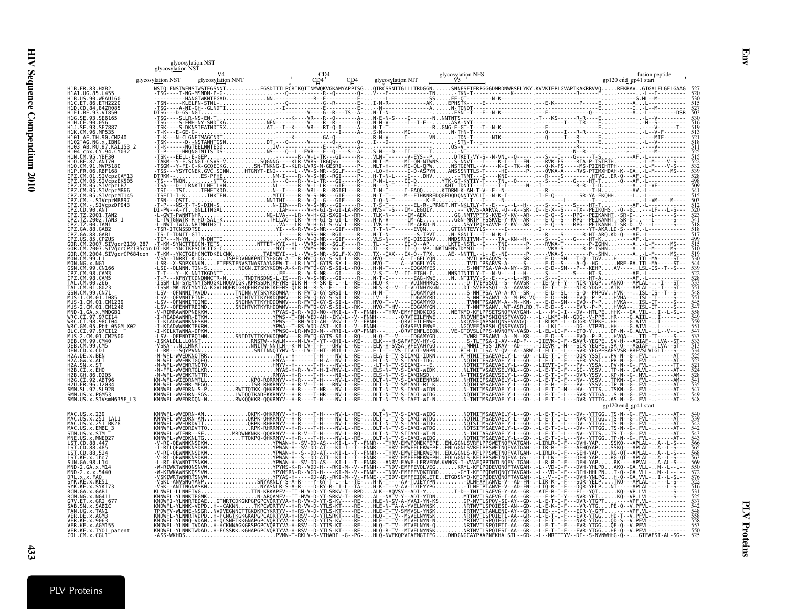|                                                                                                                                         | glycosylation NST<br>glycosylation NST |  |                                                                                                                                                                                                                                                                                                                                                                                                      |                                               |  |
|-----------------------------------------------------------------------------------------------------------------------------------------|----------------------------------------|--|------------------------------------------------------------------------------------------------------------------------------------------------------------------------------------------------------------------------------------------------------------------------------------------------------------------------------------------------------------------------------------------------------|-----------------------------------------------|--|
|                                                                                                                                         |                                        |  |                                                                                                                                                                                                                                                                                                                                                                                                      |                                               |  |
| H1B.FR.83.HXB2<br>H1A1.UG.85.U455<br>HIB.US.90.WEAU160<br>H1D.CD.84.84ZR085<br>AE.TH.90.CM240                                           |                                        |  |                                                                                                                                                                                                                                                                                                                                                                                                      |                                               |  |
| 03 <sup>-</sup> AB.RU.97.KAL153 2                                                                                                       |                                        |  |                                                                                                                                                                                                                                                                                                                                                                                                      |                                               |  |
| CM. SIVcpzMB897                                                                                                                         |                                        |  |                                                                                                                                                                                                                                                                                                                                                                                                      |                                               |  |
|                                                                                                                                         |                                        |  |                                                                                                                                                                                                                                                                                                                                                                                                      |                                               |  |
|                                                                                                                                         |                                        |  |                                                                                                                                                                                                                                                                                                                                                                                                      |                                               |  |
| H2U.FR.96.12034<br>SMM.SL.92.SL92B<br>SMM.US.x.PGM53<br>SMM.US.x.SIVsmH635F L3                                                          |                                        |  |                                                                                                                                                                                                                                                                                                                                                                                                      | gp120 end_gp41 start                          |  |
| MAC.US.x.251 1A11<br>US.x.EMBL 3<br>STM.US.x.STM<br>88.447<br>CD.88.524                                                                 |                                        |  | $\begin{tabular}{ c c c c c c c c} \hline \textbf{RMPB} & \textbf{RMPB} & \textbf{RMPB} & \textbf{RMPB} & \textbf{RMPB} & \textbf{RMPB} & \textbf{RMPB} & \textbf{RMPB} & \textbf{RMPB} & \textbf{RMPB} & \textbf{RMPB} & \textbf{RMPB} & \textbf{RMPB} & \textbf{RMPB} & \textbf{RMPB} & \textbf{RMPB} & \textbf{RMPB} & \textbf{RMPB} & \textbf{RMPB} & \textbf{RMPB} & \textbf{RMPB} & \textbf{R$ |                                               |  |
| .KE.x.KE51<br>GRV.ET.x.GRI 677<br>TAN.UG.x.TAN1<br>.DE.x.AGM3<br>.KE.x.9063<br>VER.KE.X.AGM155<br>VER.KE.X.TY01_patent<br>COL.CM.x.CGU1 |                                        |  | -PVMN-T-RKLV-S-VTHARIL-G--PG-HLO-NWEKOPVIAFMGTIEGDNDGNGCAYPAAPNFKHALSTL--GR.                                                                                                                                                                                                                                                                                                                         | -L--MRTTTYV--DI--S-NVNWHHG-0--GIFAFSI-AL-SG-- |  |

Env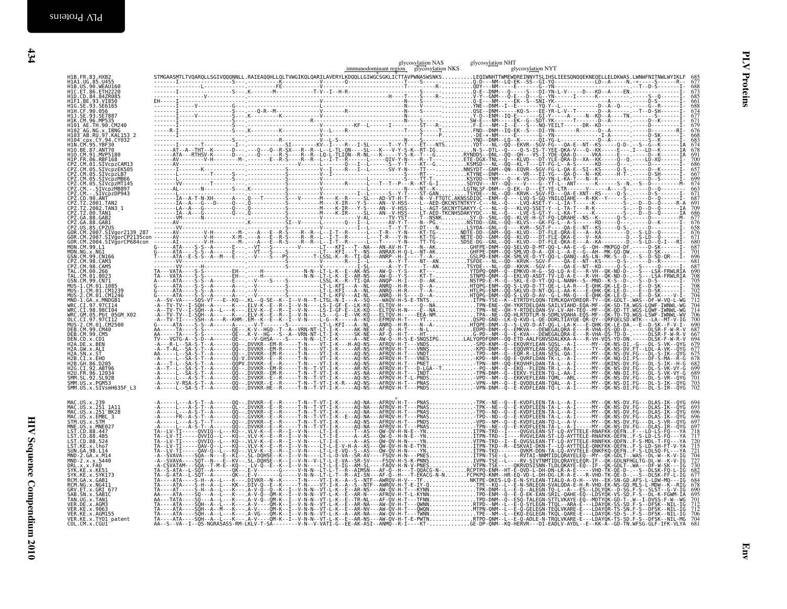|                                                                                                                                                                                                                                                                         |  | glycosylation NAS<br>immunodominant region glycosylation NKS | glycosylation NHT<br>glycosylation NYT                                               |
|-------------------------------------------------------------------------------------------------------------------------------------------------------------------------------------------------------------------------------------------------------------------------|--|--------------------------------------------------------------|--------------------------------------------------------------------------------------|
|                                                                                                                                                                                                                                                                         |  |                                                              |                                                                                      |
|                                                                                                                                                                                                                                                                         |  |                                                              |                                                                                      |
|                                                                                                                                                                                                                                                                         |  |                                                              |                                                                                      |
|                                                                                                                                                                                                                                                                         |  |                                                              |                                                                                      |
|                                                                                                                                                                                                                                                                         |  |                                                              |                                                                                      |
| MAC.US.x.239<br>MAC.US.x.251 1A11<br>MAC.US.x.251 BK28<br>MAC.US.x.EMBL 3<br>STM.US.x.CTM<br>MNE.US.x.MNE027<br>LST.CD.88.447<br>LST.CD.88.485<br>LST. CD. 88.524<br>LST.KE.x.lho7<br>SUN.GA.98.L14<br>MND-2.GA.x.M14<br>MND-2.x.x.5440<br>DRL.X.X.FAO<br>SYK.KE.X.KE51 |  |                                                              | 693<br>696<br>$696$<br>$697$<br>718<br>715<br>721<br>704<br>727<br>730<br>682<br>677 |
| SYK.KE.X.SYK173<br>RCM.GA.x.GAB1<br>RCM.NG.x.NG411<br>GRV.ET.x.GRI 677<br>SAB.SN.x.SABIC<br>TAN.UG.x.TAN1<br>VER.DE.x.AGM3<br>VER.KE.x.9063<br>VER.KE.x.AGM155<br>VER.KE.x.TY01_patent<br>COL.CM.x.CGU1                                                                 |  |                                                              | 684<br>678<br>690<br>695<br>$\frac{712}{712}$<br>706<br>704                          |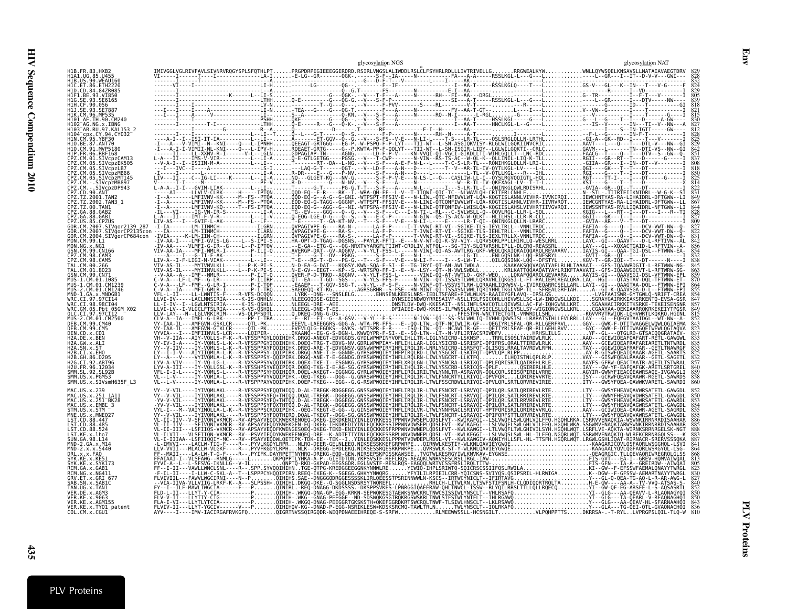|                                                           | glycosylation NGS                                                                                                                                                                                                                                                                                                                                                                                                                       | glycosylation NAT |
|-----------------------------------------------------------|-----------------------------------------------------------------------------------------------------------------------------------------------------------------------------------------------------------------------------------------------------------------------------------------------------------------------------------------------------------------------------------------------------------------------------------------|-------------------|
| H1B.FR.83.HXB2<br>H1A1.UG.85.U455                         |                                                                                                                                                                                                                                                                                                                                                                                                                                         |                   |
| H1D.CD.84.84ZR085                                         |                                                                                                                                                                                                                                                                                                                                                                                                                                         |                   |
| H1F1.BE.93.VI850                                          |                                                                                                                                                                                                                                                                                                                                                                                                                                         |                   |
|                                                           |                                                                                                                                                                                                                                                                                                                                                                                                                                         |                   |
| 102 <sup>-</sup> AG.NG.x.IBNG<br>1103 AR RIL 97 KAI 153 2 |                                                                                                                                                                                                                                                                                                                                                                                                                                         |                   |
| 104 <sup>–</sup> cpx.CY.94.CY032                          |                                                                                                                                                                                                                                                                                                                                                                                                                                         |                   |
|                                                           |                                                                                                                                                                                                                                                                                                                                                                                                                                         |                   |
|                                                           |                                                                                                                                                                                                                                                                                                                                                                                                                                         |                   |
| 27.CM.05.SIVcnzLB7<br>Z.CM.05.SIVcpzMB66                  |                                                                                                                                                                                                                                                                                                                                                                                                                                         |                   |
| Z.CM.-.SIVcpzMB897                                        |                                                                                                                                                                                                                                                                                                                                                                                                                                         |                   |
| 'Z.CD.90.ANT                                              |                                                                                                                                                                                                                                                                                                                                                                                                                                         |                   |
| 7 GA 88 GAR7                                              |                                                                                                                                                                                                                                                                                                                                                                                                                                         |                   |
| CM.2007.SIVgor2139 287                                    |                                                                                                                                                                                                                                                                                                                                                                                                                                         |                   |
|                                                           |                                                                                                                                                                                                                                                                                                                                                                                                                                         |                   |
|                                                           |                                                                                                                                                                                                                                                                                                                                                                                                                                         |                   |
|                                                           |                                                                                                                                                                                                                                                                                                                                                                                                                                         |                   |
|                                                           |                                                                                                                                                                                                                                                                                                                                                                                                                                         |                   |
|                                                           |                                                                                                                                                                                                                                                                                                                                                                                                                                         |                   |
|                                                           |                                                                                                                                                                                                                                                                                                                                                                                                                                         |                   |
| CI.98.98CI04<br>/RC.GM.05.Pht 05GM X02<br>CT 97 97CT12    |                                                                                                                                                                                                                                                                                                                                                                                                                                         |                   |
|                                                           |                                                                                                                                                                                                                                                                                                                                                                                                                                         |                   |
|                                                           |                                                                                                                                                                                                                                                                                                                                                                                                                                         |                   |
|                                                           |                                                                                                                                                                                                                                                                                                                                                                                                                                         |                   |
| CT.92.ABT96                                               |                                                                                                                                                                                                                                                                                                                                                                                                                                         |                   |
|                                                           |                                                                                                                                                                                                                                                                                                                                                                                                                                         |                   |
| SMM.US.x.PGM53<br>SMM.US.x.SIVsmH635F L3                  |                                                                                                                                                                                                                                                                                                                                                                                                                                         |                   |
|                                                           |                                                                                                                                                                                                                                                                                                                                                                                                                                         |                   |
| MAC.US.x.EMBL 3                                           |                                                                                                                                                                                                                                                                                                                                                                                                                                         |                   |
|                                                           |                                                                                                                                                                                                                                                                                                                                                                                                                                         |                   |
|                                                           |                                                                                                                                                                                                                                                                                                                                                                                                                                         |                   |
|                                                           |                                                                                                                                                                                                                                                                                                                                                                                                                                         |                   |
|                                                           |                                                                                                                                                                                                                                                                                                                                                                                                                                         |                   |
|                                                           |                                                                                                                                                                                                                                                                                                                                                                                                                                         |                   |
|                                                           |                                                                                                                                                                                                                                                                                                                                                                                                                                         |                   |
|                                                           |                                                                                                                                                                                                                                                                                                                                                                                                                                         |                   |
| /ER.KE.x.AGM155<br>VER.KE.x.TYO1 patent                   | $\begin{array}{cccccccccccccccc} \mathbf{V} & \mathbf{V} & \mathbf{V} & \mathbf{V} & \mathbf{V} & \mathbf{V} & \mathbf{V} & \mathbf{V} & \mathbf{V} & \mathbf{V} & \mathbf{V} & \mathbf{V} & \mathbf{V} & \mathbf{V} & \mathbf{V} & \mathbf{V} & \mathbf{V} & \mathbf{V} & \mathbf{V} & \mathbf{V} & \mathbf{V} & \mathbf{V} & \mathbf{V} & \mathbf{V} & \mathbf{V} & \mathbf{V} & \mathbf{V} & \mathbf{V} & \mathbf{V} & \mathbf{V} &$ |                   |
| COL.CM.x.CGU1                                             |                                                                                                                                                                                                                                                                                                                                                                                                                                         |                   |

Env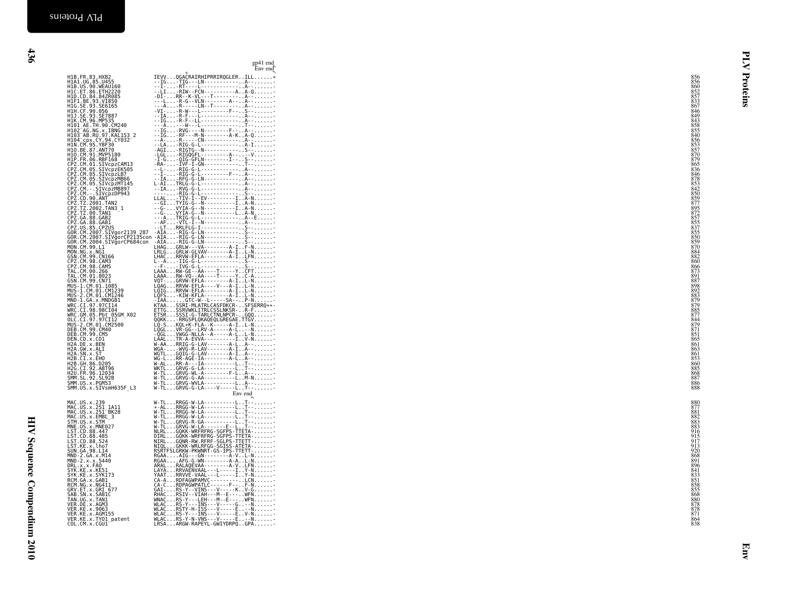|                                                                                                                                                                                                                                                      |                                                                                                                                                                                                                                | gp41 end<br>Env end |
|------------------------------------------------------------------------------------------------------------------------------------------------------------------------------------------------------------------------------------------------------|--------------------------------------------------------------------------------------------------------------------------------------------------------------------------------------------------------------------------------|---------------------|
| H1B.FR.83.HXB2<br>H1A1.UG.85.U455<br>H1B.US.90.WEAU160<br>H1C.ET.86.ETH2220                                                                                                                                                                          | IEVVQGACRAIRHIPRRIRQGLERILL*                                                                                                                                                                                                   |                     |
|                                                                                                                                                                                                                                                      |                                                                                                                                                                                                                                |                     |
| H1D.CD.84.84ZR085<br>HIF1.BE.93.VI850<br>H1G.SE.93.SE6165                                                                                                                                                                                            |                                                                                                                                                                                                                                |                     |
| H16.5E.99.056<br>H11.CF.99.056<br>H11.SE.93.SE7887<br>H1K.CM.96.MP535<br>H101_AE.TH.90.CM240<br>H102_AG.NG.x.IBNG<br>H103_AB.RU.97.KAL153_2<br>H103_AB.RU.97.KAL153_2                                                                                |                                                                                                                                                                                                                                |                     |
|                                                                                                                                                                                                                                                      |                                                                                                                                                                                                                                |                     |
|                                                                                                                                                                                                                                                      |                                                                                                                                                                                                                                |                     |
| H102 - Ab. NV.: ΣΣΙΜΝΟ<br>H103 - AB. NV.: ΣΣΙΜΝΟΣ<br>H104 - CP.: ΣΣΙΜΝΟΣ - ΣΤΑΙΣΤΟΣ<br>H104 - CP.: 2010 - PC.: 2010<br>H10- CP.: 30.: NVTP-108<br>H10- CP.: 30.: NVTP-108<br>H10- CP.: 30.: NVTP-108<br>CP2 - CM- 05 - STVCP2EK565<br>CP2 - CM- 05 - |                                                                                                                                                                                                                                |                     |
|                                                                                                                                                                                                                                                      |                                                                                                                                                                                                                                |                     |
|                                                                                                                                                                                                                                                      |                                                                                                                                                                                                                                |                     |
|                                                                                                                                                                                                                                                      |                                                                                                                                                                                                                                |                     |
|                                                                                                                                                                                                                                                      |                                                                                                                                                                                                                                |                     |
|                                                                                                                                                                                                                                                      |                                                                                                                                                                                                                                |                     |
|                                                                                                                                                                                                                                                      |                                                                                                                                                                                                                                |                     |
|                                                                                                                                                                                                                                                      |                                                                                                                                                                                                                                |                     |
|                                                                                                                                                                                                                                                      |                                                                                                                                                                                                                                |                     |
|                                                                                                                                                                                                                                                      |                                                                                                                                                                                                                                |                     |
|                                                                                                                                                                                                                                                      |                                                                                                                                                                                                                                |                     |
|                                                                                                                                                                                                                                                      |                                                                                                                                                                                                                                |                     |
| GSN.CM.99.CN166<br>CPZ.CM.98.CAM3<br>CPZ.CM.98.CAM5                                                                                                                                                                                                  |                                                                                                                                                                                                                                |                     |
| TAL.CM.00.266<br>TAL.CM.01.8023                                                                                                                                                                                                                      |                                                                                                                                                                                                                                |                     |
| TAL.CM.01.8023<br>GSN.CM.99.CM71<br>MUS-1.CM.01.1085<br>MUS-2.CM.01.CM1239<br>MND-1.CA.x.MNDGB1<br>MND-1.CA.x.MNDGB1<br>WRC.CT.97.97CT14                                                                                                             |                                                                                                                                                                                                                                |                     |
|                                                                                                                                                                                                                                                      |                                                                                                                                                                                                                                |                     |
|                                                                                                                                                                                                                                                      |                                                                                                                                                                                                                                |                     |
|                                                                                                                                                                                                                                                      |                                                                                                                                                                                                                                |                     |
|                                                                                                                                                                                                                                                      |                                                                                                                                                                                                                                |                     |
|                                                                                                                                                                                                                                                      |                                                                                                                                                                                                                                |                     |
|                                                                                                                                                                                                                                                      |                                                                                                                                                                                                                                |                     |
|                                                                                                                                                                                                                                                      |                                                                                                                                                                                                                                |                     |
| WRC.CI.97.97C114<br>WRC.CI.98.98C104<br>OLC.CI.97.97C1112<br>OLC.CI.97.97C112<br>MUS-2.CM.07.97C112<br>DEB.CM.99.CM40<br>DEB.CM.99.CM40<br>UPB.COR.2011<br>H2A.SN.x.GEI<br>H2A.SN.x.ST1<br>H2A.SN.x.ST1<br>H2A.SN.x.ST1<br>H2A.SN.x.ST1              |                                                                                                                                                                                                                                |                     |
| H2B.GH.86.D205<br>H2G.CI.92.ABT96                                                                                                                                                                                                                    |                                                                                                                                                                                                                                |                     |
| H2U.FR.96.12034<br>SMM.SL.92.SL92B<br>SMM.US.x.PGM53<br>SMM.US.x.SIVsmH635F_L3                                                                                                                                                                       |                                                                                                                                                                                                                                |                     |
|                                                                                                                                                                                                                                                      | W-TLGRVG-WVLA----------LA---------<br>W-TLGRVG-G-LA----V-----LT----------                                                                                                                                                      |                     |
|                                                                                                                                                                                                                                                      | Env end                                                                                                                                                                                                                        |                     |
| MAC.US.x.239<br>MAC.US.x.251 1A11<br>MAC.US.x.251 BK28<br>MAC.US.x.EMBL_3<br>STM.US.x.STM                                                                                                                                                            |                                                                                                                                                                                                                                |                     |
|                                                                                                                                                                                                                                                      |                                                                                                                                                                                                                                |                     |
| MNE.US.x.MNE027<br>LST.CD.88.447                                                                                                                                                                                                                     |                                                                                                                                                                                                                                |                     |
|                                                                                                                                                                                                                                                      |                                                                                                                                                                                                                                |                     |
| LST.CD.88.485<br>LST.CD.88.524<br>LST.KE.x.lho7<br>SUN.GA.98.L14                                                                                                                                                                                     |                                                                                                                                                                                                                                |                     |
| MND-2.GA.x.M14                                                                                                                                                                                                                                       |                                                                                                                                                                                                                                |                     |
| MND-2.x.x.5440<br>DRL.x.x.FAO                                                                                                                                                                                                                        |                                                                                                                                                                                                                                |                     |
| SYK.KE.x.KE51<br>SYK.KE.x.SYK173                                                                                                                                                                                                                     |                                                                                                                                                                                                                                |                     |
|                                                                                                                                                                                                                                                      |                                                                                                                                                                                                                                |                     |
| SYK.KE.x.SYKI73<br>RCM.GA.x.GAB1<br>GRV.ET.x.GR1<br>GRV.ET.x.GR1<br>GRV.ET.x.GR1<br>GRD.SN.x.SABIC<br>VER.KE.x.AOM<br>VER.KE.x.AOM155<br>VER.KE.x.AOM155<br>VER.KE.x.AOM155<br>VER.KE.x.AOM155<br>VER.KE.x.AOM155<br>VER.KE.x.AOM155                 | Emiral RRGG-William Ending and The Mathematical Control Control Control Control Control Control Control Control Control Control Control Control Control Control Control Control Control Control Control Control Control Contro |                     |
|                                                                                                                                                                                                                                                      |                                                                                                                                                                                                                                |                     |
|                                                                                                                                                                                                                                                      |                                                                                                                                                                                                                                |                     |
|                                                                                                                                                                                                                                                      |                                                                                                                                                                                                                                |                     |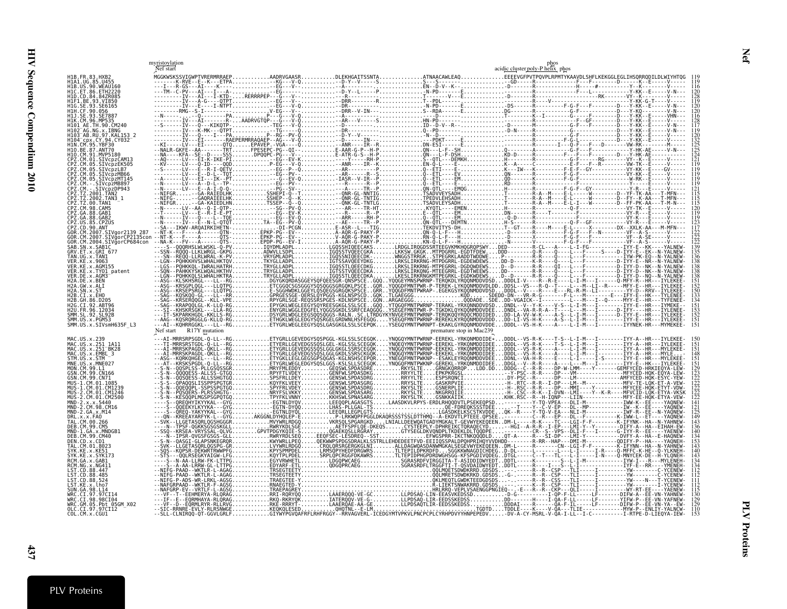<span id="page-36-0"></span>

|                                                     |                        | myristoylation<br>Nef start |  |  |                                                                                                                                                                                                                                                                                                                                                                                                                                  |                          | acidic cluster poly-P helix phos |  |  |  |
|-----------------------------------------------------|------------------------|-----------------------------|--|--|----------------------------------------------------------------------------------------------------------------------------------------------------------------------------------------------------------------------------------------------------------------------------------------------------------------------------------------------------------------------------------------------------------------------------------|--------------------------|----------------------------------|--|--|--|
|                                                     |                        |                             |  |  |                                                                                                                                                                                                                                                                                                                                                                                                                                  |                          |                                  |  |  |  |
|                                                     |                        |                             |  |  |                                                                                                                                                                                                                                                                                                                                                                                                                                  |                          |                                  |  |  |  |
|                                                     |                        |                             |  |  |                                                                                                                                                                                                                                                                                                                                                                                                                                  |                          |                                  |  |  |  |
|                                                     |                        |                             |  |  |                                                                                                                                                                                                                                                                                                                                                                                                                                  |                          |                                  |  |  |  |
|                                                     |                        |                             |  |  |                                                                                                                                                                                                                                                                                                                                                                                                                                  |                          |                                  |  |  |  |
|                                                     |                        |                             |  |  |                                                                                                                                                                                                                                                                                                                                                                                                                                  |                          |                                  |  |  |  |
|                                                     |                        |                             |  |  |                                                                                                                                                                                                                                                                                                                                                                                                                                  |                          |                                  |  |  |  |
|                                                     |                        |                             |  |  |                                                                                                                                                                                                                                                                                                                                                                                                                                  |                          |                                  |  |  |  |
|                                                     |                        |                             |  |  |                                                                                                                                                                                                                                                                                                                                                                                                                                  |                          |                                  |  |  |  |
|                                                     |                        |                             |  |  |                                                                                                                                                                                                                                                                                                                                                                                                                                  |                          |                                  |  |  |  |
|                                                     |                        |                             |  |  |                                                                                                                                                                                                                                                                                                                                                                                                                                  |                          |                                  |  |  |  |
|                                                     |                        |                             |  |  |                                                                                                                                                                                                                                                                                                                                                                                                                                  |                          |                                  |  |  |  |
|                                                     |                        |                             |  |  |                                                                                                                                                                                                                                                                                                                                                                                                                                  |                          |                                  |  |  |  |
|                                                     |                        |                             |  |  |                                                                                                                                                                                                                                                                                                                                                                                                                                  |                          |                                  |  |  |  |
|                                                     |                        |                             |  |  |                                                                                                                                                                                                                                                                                                                                                                                                                                  |                          |                                  |  |  |  |
|                                                     |                        |                             |  |  |                                                                                                                                                                                                                                                                                                                                                                                                                                  |                          |                                  |  |  |  |
|                                                     |                        |                             |  |  |                                                                                                                                                                                                                                                                                                                                                                                                                                  |                          |                                  |  |  |  |
|                                                     |                        |                             |  |  |                                                                                                                                                                                                                                                                                                                                                                                                                                  |                          |                                  |  |  |  |
|                                                     |                        |                             |  |  |                                                                                                                                                                                                                                                                                                                                                                                                                                  |                          |                                  |  |  |  |
|                                                     |                        |                             |  |  |                                                                                                                                                                                                                                                                                                                                                                                                                                  |                          |                                  |  |  |  |
|                                                     |                        |                             |  |  |                                                                                                                                                                                                                                                                                                                                                                                                                                  |                          |                                  |  |  |  |
|                                                     |                        | Nef start R17Y mutation     |  |  |                                                                                                                                                                                                                                                                                                                                                                                                                                  | premature stop in Mac239 |                                  |  |  |  |
| MAC.US.x.251 1A11<br>MAC.US.x.251 <sup>-</sup> BK28 |                        |                             |  |  |                                                                                                                                                                                                                                                                                                                                                                                                                                  |                          |                                  |  |  |  |
| MAC.US.x.EMBL 3<br>STM.US.x.STM<br>MNE.US.x.MNE027  |                        |                             |  |  |                                                                                                                                                                                                                                                                                                                                                                                                                                  |                          |                                  |  |  |  |
| SN.CM.99.CN166                                      |                        |                             |  |  |                                                                                                                                                                                                                                                                                                                                                                                                                                  |                          |                                  |  |  |  |
|                                                     |                        |                             |  |  |                                                                                                                                                                                                                                                                                                                                                                                                                                  |                          |                                  |  |  |  |
|                                                     | 2.CM.01.CM2500         |                             |  |  |                                                                                                                                                                                                                                                                                                                                                                                                                                  |                          |                                  |  |  |  |
| MND-2.CM.98.CM16<br>MND-2.GA.x.M14                  |                        |                             |  |  |                                                                                                                                                                                                                                                                                                                                                                                                                                  |                          |                                  |  |  |  |
|                                                     |                        |                             |  |  |                                                                                                                                                                                                                                                                                                                                                                                                                                  |                          |                                  |  |  |  |
| IND-1.GA.x.MNDGB1                                   |                        |                             |  |  |                                                                                                                                                                                                                                                                                                                                                                                                                                  |                          |                                  |  |  |  |
|                                                     |                        |                             |  |  |                                                                                                                                                                                                                                                                                                                                                                                                                                  |                          |                                  |  |  |  |
|                                                     |                        |                             |  |  |                                                                                                                                                                                                                                                                                                                                                                                                                                  |                          |                                  |  |  |  |
|                                                     |                        |                             |  |  |                                                                                                                                                                                                                                                                                                                                                                                                                                  |                          |                                  |  |  |  |
|                                                     |                        |                             |  |  |                                                                                                                                                                                                                                                                                                                                                                                                                                  |                          |                                  |  |  |  |
|                                                     |                        |                             |  |  |                                                                                                                                                                                                                                                                                                                                                                                                                                  |                          |                                  |  |  |  |
| VRC.CI.98.98CI04                                    | WRC.GM.05.Pbt 05GM X02 |                             |  |  | $\begin{bmatrix} \mathbf{1} & \mathbf{1} & \mathbf{1} & \mathbf{1} & \mathbf{1} & \mathbf{1} & \mathbf{1} & \mathbf{1} & \mathbf{1} & \mathbf{1} & \mathbf{1} & \mathbf{1} & \mathbf{1} & \mathbf{1} & \mathbf{1} & \mathbf{1} & \mathbf{1} & \mathbf{1} & \mathbf{1} & \mathbf{1} & \mathbf{1} & \mathbf{1} & \mathbf{1} & \mathbf{1} & \mathbf{1} & \mathbf{1} & \mathbf{1} & \mathbf{1} & \mathbf{1} & \mathbf{1} & \mathbf{$ |                          |                                  |  |  |  |
| )LC.CI.97.97CI12<br>COL.CM.x.CGU1                   |                        |                             |  |  |                                                                                                                                                                                                                                                                                                                                                                                                                                  |                          |                                  |  |  |  |